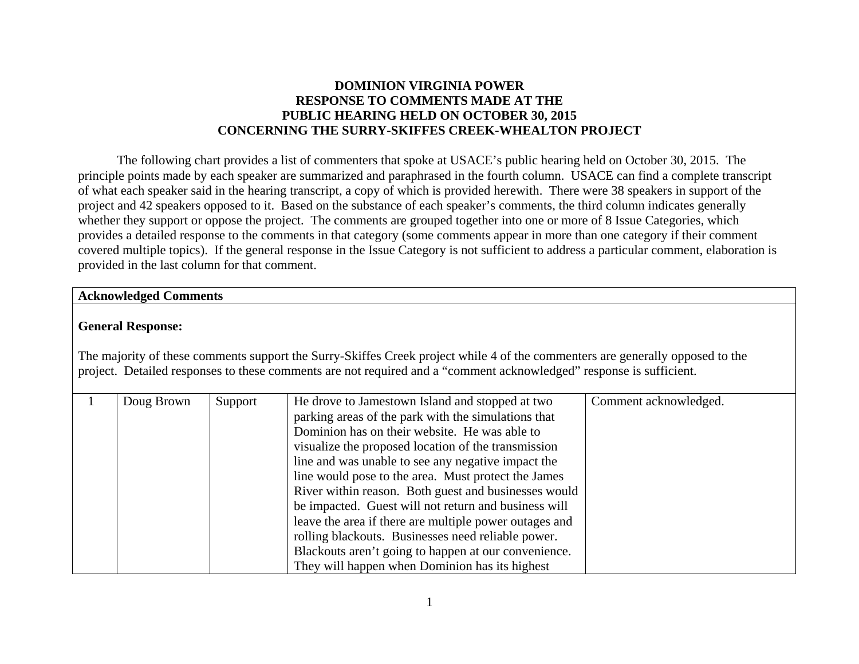# **DOMINION VIRGINIA POWER RESPONSE TO COMMENTS MADE AT THE PUBLIC HEARING HELD ON OCTOBER 30, 2015 CONCERNING THE SURRY-SKIFFES CREEK-WHEALTON PROJECT**

The following chart provides a list of commenters that spoke at USACE's public hearing held on October 30, 2015. The principle points made by each speaker are summarized and paraphrased in the fourth column. USACE can find a complete transcript of what each speaker said in the hearing transcript, a copy of which is provided herewith. There were 38 speakers in support of the project and 42 speakers opposed to it. Based on the substance of each speaker's comments, the third column indicates generally whether they support or oppose the project. The comments are grouped together into one or more of 8 Issue Categories, which provides a detailed response to the comments in that category (some comments appear in more than one category if their comment covered multiple topics). If the general response in the Issue Category is not sufficient to address a particular comment, elaboration is provided in the last column for that comment.

#### **Acknowledged Comments**

## **General Response:**

The majority of these comments support the Surry-Skiffes Creek project while 4 of the commenters are generally opposed to the project. Detailed responses to these comments are not required and a "comment acknowledged" response is sufficient.

| Doug Brown | Support | He drove to Jamestown Island and stopped at two        | Comment acknowledged. |
|------------|---------|--------------------------------------------------------|-----------------------|
|            |         | parking areas of the park with the simulations that    |                       |
|            |         | Dominion has on their website. He was able to          |                       |
|            |         | visualize the proposed location of the transmission    |                       |
|            |         | line and was unable to see any negative impact the     |                       |
|            |         | line would pose to the area. Must protect the James    |                       |
|            |         | River within reason. Both guest and businesses would   |                       |
|            |         | be impacted. Guest will not return and business will   |                       |
|            |         | leave the area if there are multiple power outages and |                       |
|            |         | rolling blackouts. Businesses need reliable power.     |                       |
|            |         | Blackouts aren't going to happen at our convenience.   |                       |
|            |         | They will happen when Dominion has its highest         |                       |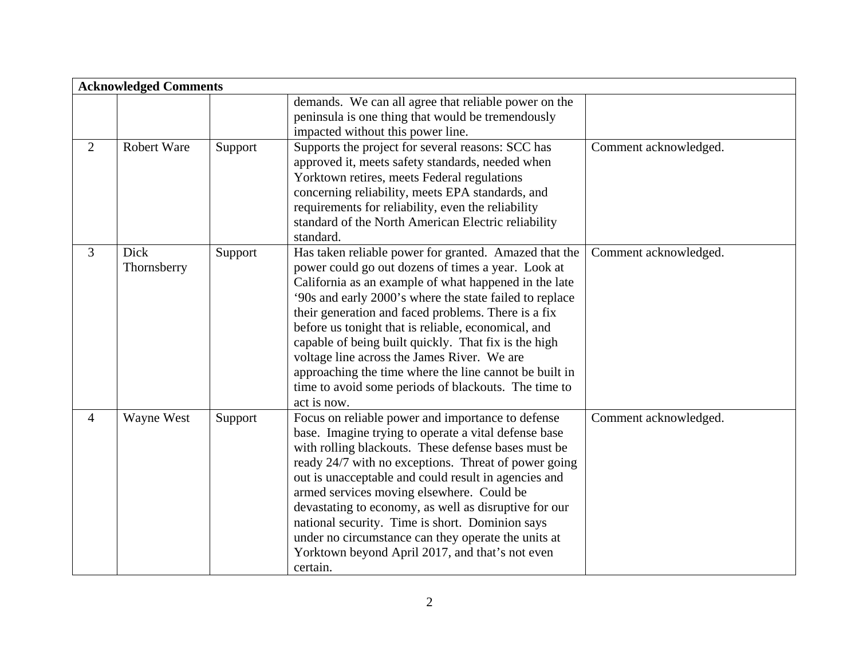|                | <b>Acknowledged Comments</b> |         |                                                         |                       |  |  |
|----------------|------------------------------|---------|---------------------------------------------------------|-----------------------|--|--|
|                |                              |         | demands. We can all agree that reliable power on the    |                       |  |  |
|                |                              |         | peninsula is one thing that would be tremendously       |                       |  |  |
|                |                              |         | impacted without this power line.                       |                       |  |  |
| 2              | <b>Robert Ware</b>           | Support | Supports the project for several reasons: SCC has       | Comment acknowledged. |  |  |
|                |                              |         | approved it, meets safety standards, needed when        |                       |  |  |
|                |                              |         | Yorktown retires, meets Federal regulations             |                       |  |  |
|                |                              |         | concerning reliability, meets EPA standards, and        |                       |  |  |
|                |                              |         | requirements for reliability, even the reliability      |                       |  |  |
|                |                              |         | standard of the North American Electric reliability     |                       |  |  |
|                |                              |         | standard.                                               |                       |  |  |
| $\overline{3}$ | <b>Dick</b>                  | Support | Has taken reliable power for granted. Amazed that the   | Comment acknowledged. |  |  |
|                | Thornsberry                  |         | power could go out dozens of times a year. Look at      |                       |  |  |
|                |                              |         | California as an example of what happened in the late   |                       |  |  |
|                |                              |         | '90s and early 2000's where the state failed to replace |                       |  |  |
|                |                              |         | their generation and faced problems. There is a fix     |                       |  |  |
|                |                              |         | before us tonight that is reliable, economical, and     |                       |  |  |
|                |                              |         | capable of being built quickly. That fix is the high    |                       |  |  |
|                |                              |         | voltage line across the James River. We are             |                       |  |  |
|                |                              |         | approaching the time where the line cannot be built in  |                       |  |  |
|                |                              |         | time to avoid some periods of blackouts. The time to    |                       |  |  |
|                |                              |         | act is now.                                             |                       |  |  |
| $\overline{4}$ | Wayne West                   | Support | Focus on reliable power and importance to defense       | Comment acknowledged. |  |  |
|                |                              |         | base. Imagine trying to operate a vital defense base    |                       |  |  |
|                |                              |         | with rolling blackouts. These defense bases must be     |                       |  |  |
|                |                              |         | ready 24/7 with no exceptions. Threat of power going    |                       |  |  |
|                |                              |         | out is unacceptable and could result in agencies and    |                       |  |  |
|                |                              |         | armed services moving elsewhere. Could be               |                       |  |  |
|                |                              |         | devastating to economy, as well as disruptive for our   |                       |  |  |
|                |                              |         | national security. Time is short. Dominion says         |                       |  |  |
|                |                              |         | under no circumstance can they operate the units at     |                       |  |  |
|                |                              |         | Yorktown beyond April 2017, and that's not even         |                       |  |  |
|                |                              |         | certain.                                                |                       |  |  |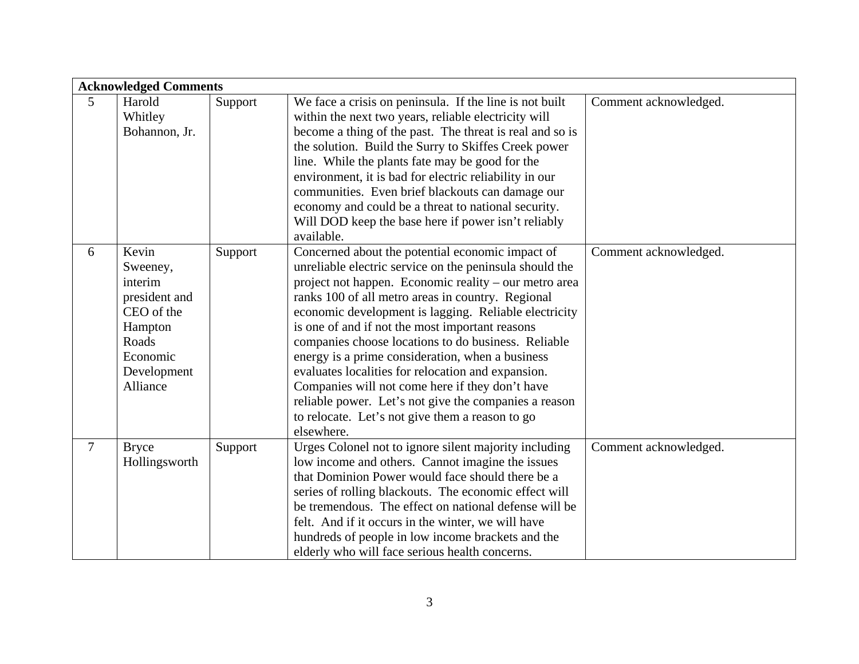|   | <b>Acknowledged Comments</b> |         |                                                          |                       |  |
|---|------------------------------|---------|----------------------------------------------------------|-----------------------|--|
| 5 | Harold                       | Support | We face a crisis on peninsula. If the line is not built  | Comment acknowledged. |  |
|   | Whitley                      |         | within the next two years, reliable electricity will     |                       |  |
|   | Bohannon, Jr.                |         | become a thing of the past. The threat is real and so is |                       |  |
|   |                              |         | the solution. Build the Surry to Skiffes Creek power     |                       |  |
|   |                              |         | line. While the plants fate may be good for the          |                       |  |
|   |                              |         | environment, it is bad for electric reliability in our   |                       |  |
|   |                              |         | communities. Even brief blackouts can damage our         |                       |  |
|   |                              |         | economy and could be a threat to national security.      |                       |  |
|   |                              |         | Will DOD keep the base here if power isn't reliably      |                       |  |
|   |                              |         | available.                                               |                       |  |
| 6 | Kevin                        | Support | Concerned about the potential economic impact of         | Comment acknowledged. |  |
|   | Sweeney,                     |         | unreliable electric service on the peninsula should the  |                       |  |
|   | interim                      |         | project not happen. Economic reality – our metro area    |                       |  |
|   | president and                |         | ranks 100 of all metro areas in country. Regional        |                       |  |
|   | CEO of the                   |         | economic development is lagging. Reliable electricity    |                       |  |
|   | Hampton                      |         | is one of and if not the most important reasons          |                       |  |
|   | Roads                        |         | companies choose locations to do business. Reliable      |                       |  |
|   | Economic                     |         | energy is a prime consideration, when a business         |                       |  |
|   | Development                  |         | evaluates localities for relocation and expansion.       |                       |  |
|   | Alliance                     |         | Companies will not come here if they don't have          |                       |  |
|   |                              |         | reliable power. Let's not give the companies a reason    |                       |  |
|   |                              |         | to relocate. Let's not give them a reason to go          |                       |  |
|   |                              |         | elsewhere.                                               |                       |  |
| 7 | <b>Bryce</b>                 | Support | Urges Colonel not to ignore silent majority including    | Comment acknowledged. |  |
|   | Hollingsworth                |         | low income and others. Cannot imagine the issues         |                       |  |
|   |                              |         | that Dominion Power would face should there be a         |                       |  |
|   |                              |         | series of rolling blackouts. The economic effect will    |                       |  |
|   |                              |         | be tremendous. The effect on national defense will be    |                       |  |
|   |                              |         | felt. And if it occurs in the winter, we will have       |                       |  |
|   |                              |         | hundreds of people in low income brackets and the        |                       |  |
|   |                              |         | elderly who will face serious health concerns.           |                       |  |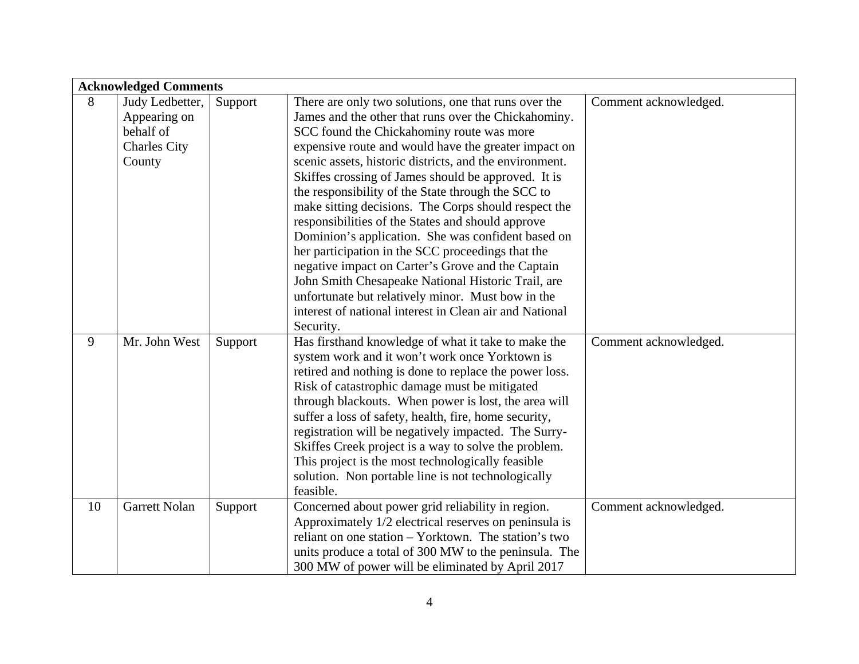|    | <b>Acknowledged Comments</b> |         |                                                         |                       |  |
|----|------------------------------|---------|---------------------------------------------------------|-----------------------|--|
| 8  | Judy Ledbetter,              | Support | There are only two solutions, one that runs over the    | Comment acknowledged. |  |
|    | Appearing on                 |         | James and the other that runs over the Chickahominy.    |                       |  |
|    | behalf of                    |         | SCC found the Chickahominy route was more               |                       |  |
|    | <b>Charles City</b>          |         | expensive route and would have the greater impact on    |                       |  |
|    | County                       |         | scenic assets, historic districts, and the environment. |                       |  |
|    |                              |         | Skiffes crossing of James should be approved. It is     |                       |  |
|    |                              |         | the responsibility of the State through the SCC to      |                       |  |
|    |                              |         | make sitting decisions. The Corps should respect the    |                       |  |
|    |                              |         | responsibilities of the States and should approve       |                       |  |
|    |                              |         | Dominion's application. She was confident based on      |                       |  |
|    |                              |         | her participation in the SCC proceedings that the       |                       |  |
|    |                              |         | negative impact on Carter's Grove and the Captain       |                       |  |
|    |                              |         | John Smith Chesapeake National Historic Trail, are      |                       |  |
|    |                              |         | unfortunate but relatively minor. Must bow in the       |                       |  |
|    |                              |         | interest of national interest in Clean air and National |                       |  |
|    |                              |         | Security.                                               |                       |  |
| 9  | Mr. John West                | Support | Has firsthand knowledge of what it take to make the     | Comment acknowledged. |  |
|    |                              |         | system work and it won't work once Yorktown is          |                       |  |
|    |                              |         | retired and nothing is done to replace the power loss.  |                       |  |
|    |                              |         | Risk of catastrophic damage must be mitigated           |                       |  |
|    |                              |         | through blackouts. When power is lost, the area will    |                       |  |
|    |                              |         | suffer a loss of safety, health, fire, home security,   |                       |  |
|    |                              |         | registration will be negatively impacted. The Surry-    |                       |  |
|    |                              |         | Skiffes Creek project is a way to solve the problem.    |                       |  |
|    |                              |         | This project is the most technologically feasible       |                       |  |
|    |                              |         | solution. Non portable line is not technologically      |                       |  |
|    |                              |         | feasible.                                               |                       |  |
| 10 | Garrett Nolan                | Support | Concerned about power grid reliability in region.       | Comment acknowledged. |  |
|    |                              |         | Approximately 1/2 electrical reserves on peninsula is   |                       |  |
|    |                              |         | reliant on one station – Yorktown. The station's two    |                       |  |
|    |                              |         | units produce a total of 300 MW to the peninsula. The   |                       |  |
|    |                              |         | 300 MW of power will be eliminated by April 2017        |                       |  |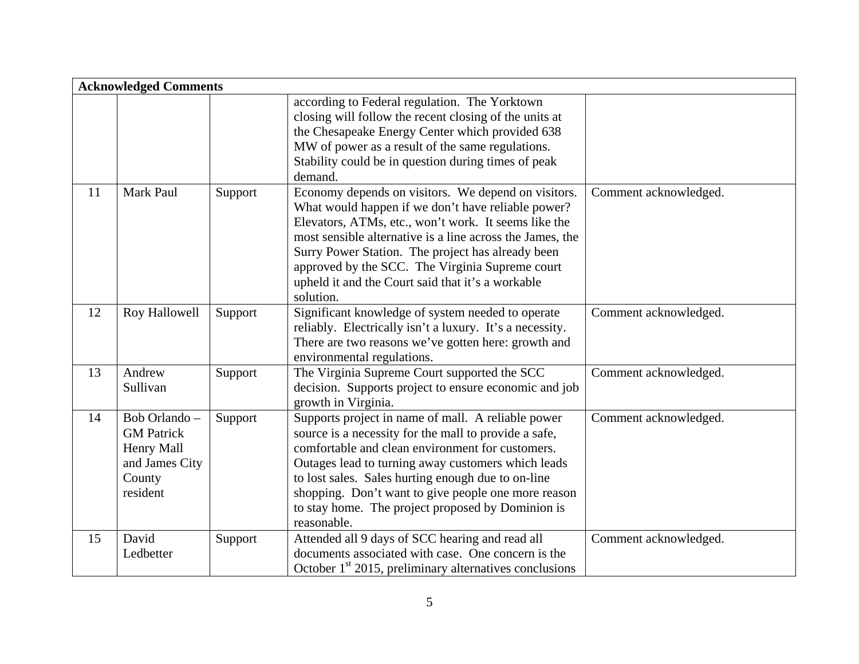|    | <b>Acknowledged Comments</b>                                                            |         |                                                                                                                                                                                                                                                                                                                                                                                                          |                       |  |  |
|----|-----------------------------------------------------------------------------------------|---------|----------------------------------------------------------------------------------------------------------------------------------------------------------------------------------------------------------------------------------------------------------------------------------------------------------------------------------------------------------------------------------------------------------|-----------------------|--|--|
|    |                                                                                         |         | according to Federal regulation. The Yorktown<br>closing will follow the recent closing of the units at<br>the Chesapeake Energy Center which provided 638<br>MW of power as a result of the same regulations.<br>Stability could be in question during times of peak<br>demand.                                                                                                                         |                       |  |  |
| 11 | Mark Paul                                                                               | Support | Economy depends on visitors. We depend on visitors.<br>What would happen if we don't have reliable power?<br>Elevators, ATMs, etc., won't work. It seems like the<br>most sensible alternative is a line across the James, the<br>Surry Power Station. The project has already been<br>approved by the SCC. The Virginia Supreme court<br>upheld it and the Court said that it's a workable<br>solution. | Comment acknowledged. |  |  |
| 12 | Roy Hallowell                                                                           | Support | Significant knowledge of system needed to operate<br>reliably. Electrically isn't a luxury. It's a necessity.<br>There are two reasons we've gotten here: growth and<br>environmental regulations.                                                                                                                                                                                                       | Comment acknowledged. |  |  |
| 13 | Andrew<br>Sullivan                                                                      | Support | The Virginia Supreme Court supported the SCC<br>decision. Supports project to ensure economic and job<br>growth in Virginia.                                                                                                                                                                                                                                                                             | Comment acknowledged. |  |  |
| 14 | Bob Orlando-<br><b>GM</b> Patrick<br>Henry Mall<br>and James City<br>County<br>resident | Support | Supports project in name of mall. A reliable power<br>source is a necessity for the mall to provide a safe,<br>comfortable and clean environment for customers.<br>Outages lead to turning away customers which leads<br>to lost sales. Sales hurting enough due to on-line<br>shopping. Don't want to give people one more reason<br>to stay home. The project proposed by Dominion is<br>reasonable.   | Comment acknowledged. |  |  |
| 15 | David<br>Ledbetter                                                                      | Support | Attended all 9 days of SCC hearing and read all<br>documents associated with case. One concern is the<br>October $1st$ 2015, preliminary alternatives conclusions                                                                                                                                                                                                                                        | Comment acknowledged. |  |  |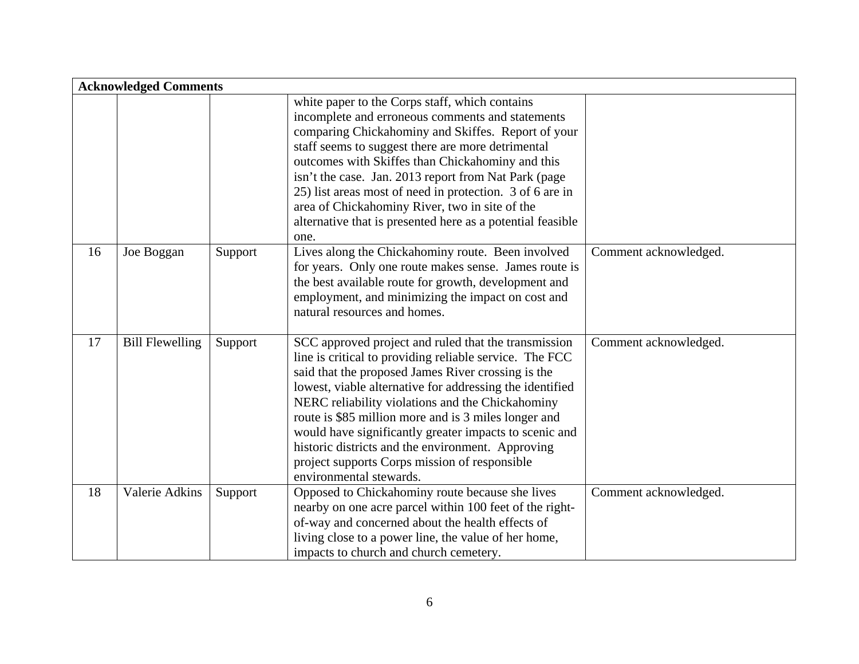| <b>Acknowledged Comments</b> |                        |         |                                                                                                                                                                                                                                                                                                                                                                                                                                                                                                                                          |                       |  |
|------------------------------|------------------------|---------|------------------------------------------------------------------------------------------------------------------------------------------------------------------------------------------------------------------------------------------------------------------------------------------------------------------------------------------------------------------------------------------------------------------------------------------------------------------------------------------------------------------------------------------|-----------------------|--|
|                              |                        |         | white paper to the Corps staff, which contains<br>incomplete and erroneous comments and statements<br>comparing Chickahominy and Skiffes. Report of your<br>staff seems to suggest there are more detrimental<br>outcomes with Skiffes than Chickahominy and this<br>isn't the case. Jan. 2013 report from Nat Park (page<br>25) list areas most of need in protection. 3 of 6 are in<br>area of Chickahominy River, two in site of the<br>alternative that is presented here as a potential feasible<br>one.                            |                       |  |
| 16                           | Joe Boggan             | Support | Lives along the Chickahominy route. Been involved<br>for years. Only one route makes sense. James route is<br>the best available route for growth, development and<br>employment, and minimizing the impact on cost and<br>natural resources and homes.                                                                                                                                                                                                                                                                                  | Comment acknowledged. |  |
| 17                           | <b>Bill Flewelling</b> | Support | SCC approved project and ruled that the transmission<br>line is critical to providing reliable service. The FCC<br>said that the proposed James River crossing is the<br>lowest, viable alternative for addressing the identified<br>NERC reliability violations and the Chickahominy<br>route is \$85 million more and is 3 miles longer and<br>would have significantly greater impacts to scenic and<br>historic districts and the environment. Approving<br>project supports Corps mission of responsible<br>environmental stewards. | Comment acknowledged. |  |
| 18                           | Valerie Adkins         | Support | Opposed to Chickahominy route because she lives<br>nearby on one acre parcel within 100 feet of the right-<br>of-way and concerned about the health effects of<br>living close to a power line, the value of her home,<br>impacts to church and church cemetery.                                                                                                                                                                                                                                                                         | Comment acknowledged. |  |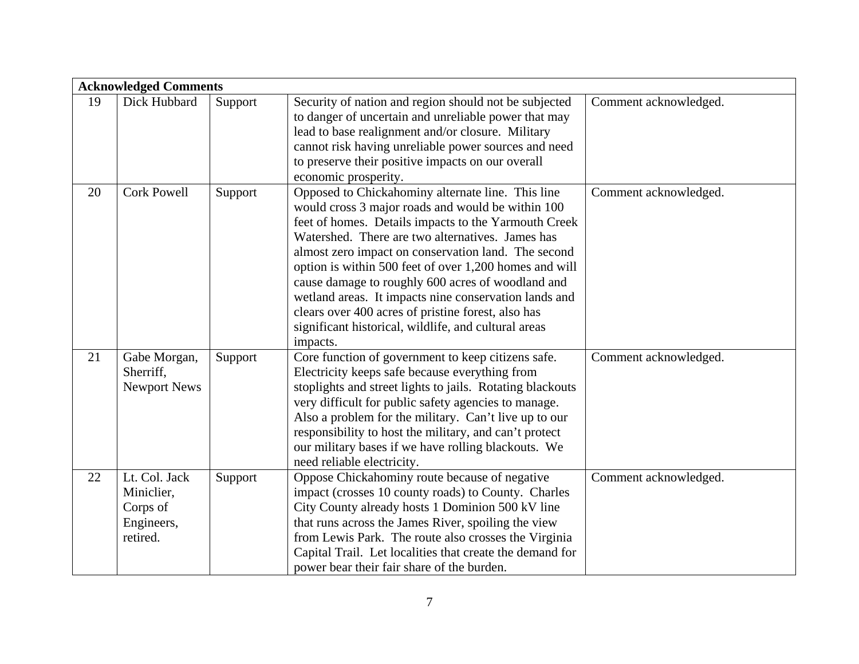|    |                     | <b>Acknowledged Comments</b> |                                                           |                       |  |  |  |
|----|---------------------|------------------------------|-----------------------------------------------------------|-----------------------|--|--|--|
| 19 | Dick Hubbard        | Support                      | Security of nation and region should not be subjected     | Comment acknowledged. |  |  |  |
|    |                     |                              | to danger of uncertain and unreliable power that may      |                       |  |  |  |
|    |                     |                              | lead to base realignment and/or closure. Military         |                       |  |  |  |
|    |                     |                              | cannot risk having unreliable power sources and need      |                       |  |  |  |
|    |                     |                              | to preserve their positive impacts on our overall         |                       |  |  |  |
|    |                     |                              | economic prosperity.                                      |                       |  |  |  |
| 20 | <b>Cork Powell</b>  | Support                      | Opposed to Chickahominy alternate line. This line         | Comment acknowledged. |  |  |  |
|    |                     |                              | would cross 3 major roads and would be within 100         |                       |  |  |  |
|    |                     |                              | feet of homes. Details impacts to the Yarmouth Creek      |                       |  |  |  |
|    |                     |                              | Watershed. There are two alternatives. James has          |                       |  |  |  |
|    |                     |                              | almost zero impact on conservation land. The second       |                       |  |  |  |
|    |                     |                              | option is within 500 feet of over 1,200 homes and will    |                       |  |  |  |
|    |                     |                              | cause damage to roughly 600 acres of woodland and         |                       |  |  |  |
|    |                     |                              | wetland areas. It impacts nine conservation lands and     |                       |  |  |  |
|    |                     |                              | clears over 400 acres of pristine forest, also has        |                       |  |  |  |
|    |                     |                              | significant historical, wildlife, and cultural areas      |                       |  |  |  |
|    |                     |                              | impacts.                                                  |                       |  |  |  |
| 21 | Gabe Morgan,        | Support                      | Core function of government to keep citizens safe.        | Comment acknowledged. |  |  |  |
|    | Sherriff,           |                              | Electricity keeps safe because everything from            |                       |  |  |  |
|    | <b>Newport News</b> |                              | stoplights and street lights to jails. Rotating blackouts |                       |  |  |  |
|    |                     |                              | very difficult for public safety agencies to manage.      |                       |  |  |  |
|    |                     |                              | Also a problem for the military. Can't live up to our     |                       |  |  |  |
|    |                     |                              | responsibility to host the military, and can't protect    |                       |  |  |  |
|    |                     |                              | our military bases if we have rolling blackouts. We       |                       |  |  |  |
|    |                     |                              | need reliable electricity.                                |                       |  |  |  |
| 22 | Lt. Col. Jack       | Support                      | Oppose Chickahominy route because of negative             | Comment acknowledged. |  |  |  |
|    | Miniclier,          |                              | impact (crosses 10 county roads) to County. Charles       |                       |  |  |  |
|    | Corps of            |                              | City County already hosts 1 Dominion 500 kV line          |                       |  |  |  |
|    | Engineers,          |                              | that runs across the James River, spoiling the view       |                       |  |  |  |
|    | retired.            |                              | from Lewis Park. The route also crosses the Virginia      |                       |  |  |  |
|    |                     |                              | Capital Trail. Let localities that create the demand for  |                       |  |  |  |
|    |                     |                              | power bear their fair share of the burden.                |                       |  |  |  |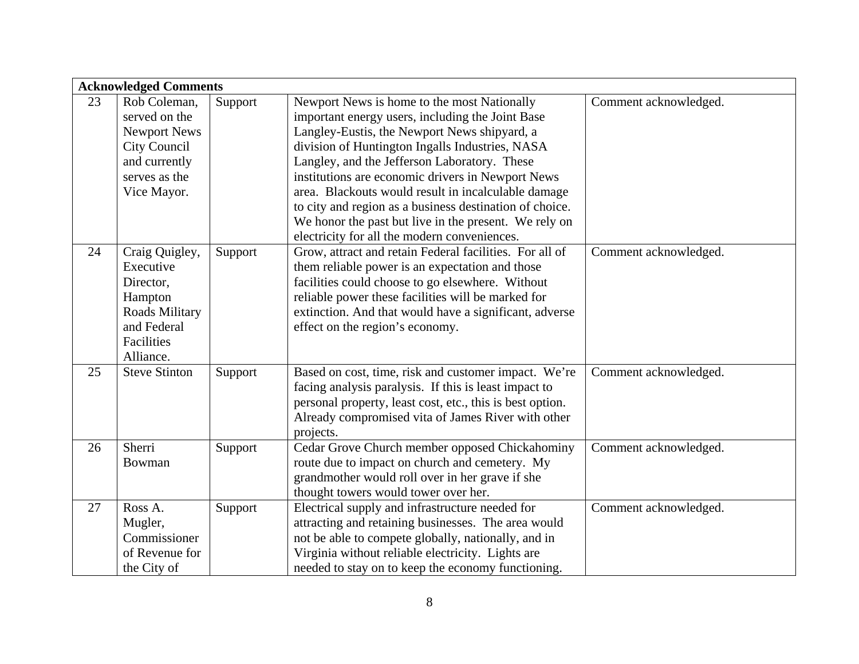|    | <b>Acknowledged Comments</b> |         |                                                           |                       |  |  |
|----|------------------------------|---------|-----------------------------------------------------------|-----------------------|--|--|
| 23 | Rob Coleman,                 | Support | Newport News is home to the most Nationally               | Comment acknowledged. |  |  |
|    | served on the                |         | important energy users, including the Joint Base          |                       |  |  |
|    | Newport News                 |         | Langley-Eustis, the Newport News shipyard, a              |                       |  |  |
|    | City Council                 |         | division of Huntington Ingalls Industries, NASA           |                       |  |  |
|    | and currently                |         | Langley, and the Jefferson Laboratory. These              |                       |  |  |
|    | serves as the                |         | institutions are economic drivers in Newport News         |                       |  |  |
|    | Vice Mayor.                  |         | area. Blackouts would result in incalculable damage       |                       |  |  |
|    |                              |         | to city and region as a business destination of choice.   |                       |  |  |
|    |                              |         | We honor the past but live in the present. We rely on     |                       |  |  |
|    |                              |         | electricity for all the modern conveniences.              |                       |  |  |
| 24 | Craig Quigley,               | Support | Grow, attract and retain Federal facilities. For all of   | Comment acknowledged. |  |  |
|    | Executive                    |         | them reliable power is an expectation and those           |                       |  |  |
|    | Director,                    |         | facilities could choose to go elsewhere. Without          |                       |  |  |
|    | Hampton                      |         | reliable power these facilities will be marked for        |                       |  |  |
|    | Roads Military               |         | extinction. And that would have a significant, adverse    |                       |  |  |
|    | and Federal                  |         | effect on the region's economy.                           |                       |  |  |
|    | Facilities                   |         |                                                           |                       |  |  |
|    | Alliance.                    |         |                                                           |                       |  |  |
| 25 | <b>Steve Stinton</b>         | Support | Based on cost, time, risk and customer impact. We're      | Comment acknowledged. |  |  |
|    |                              |         | facing analysis paralysis. If this is least impact to     |                       |  |  |
|    |                              |         | personal property, least cost, etc., this is best option. |                       |  |  |
|    |                              |         | Already compromised vita of James River with other        |                       |  |  |
|    |                              |         | projects.                                                 |                       |  |  |
| 26 | Sherri                       | Support | Cedar Grove Church member opposed Chickahominy            | Comment acknowledged. |  |  |
|    | Bowman                       |         | route due to impact on church and cemetery. My            |                       |  |  |
|    |                              |         | grandmother would roll over in her grave if she           |                       |  |  |
|    |                              |         | thought towers would tower over her.                      |                       |  |  |
| 27 | Ross A.                      | Support | Electrical supply and infrastructure needed for           | Comment acknowledged. |  |  |
|    | Mugler,                      |         | attracting and retaining businesses. The area would       |                       |  |  |
|    | Commissioner                 |         | not be able to compete globally, nationally, and in       |                       |  |  |
|    | of Revenue for               |         | Virginia without reliable electricity. Lights are         |                       |  |  |
|    | the City of                  |         | needed to stay on to keep the economy functioning.        |                       |  |  |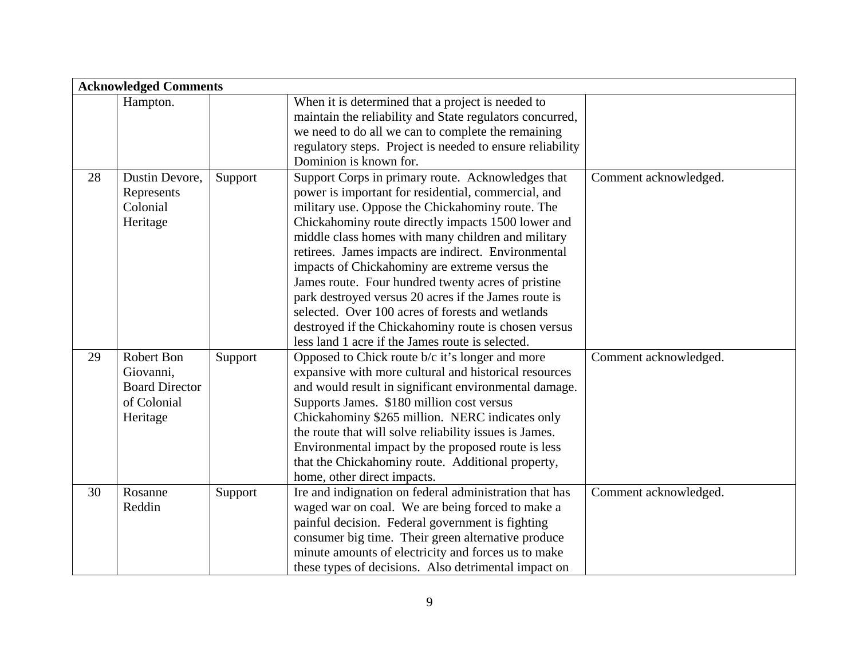|    | <b>Acknowledged Comments</b>             |         |                                                                                                                                                                     |                       |  |
|----|------------------------------------------|---------|---------------------------------------------------------------------------------------------------------------------------------------------------------------------|-----------------------|--|
|    | Hampton.                                 |         | When it is determined that a project is needed to<br>maintain the reliability and State regulators concurred,<br>we need to do all we can to complete the remaining |                       |  |
|    |                                          |         | regulatory steps. Project is needed to ensure reliability                                                                                                           |                       |  |
|    |                                          |         | Dominion is known for.                                                                                                                                              |                       |  |
| 28 | Dustin Devore,<br>Represents<br>Colonial | Support | Support Corps in primary route. Acknowledges that<br>power is important for residential, commercial, and<br>military use. Oppose the Chickahominy route. The        | Comment acknowledged. |  |
|    | Heritage                                 |         | Chickahominy route directly impacts 1500 lower and                                                                                                                  |                       |  |
|    |                                          |         | middle class homes with many children and military                                                                                                                  |                       |  |
|    |                                          |         | retirees. James impacts are indirect. Environmental                                                                                                                 |                       |  |
|    |                                          |         | impacts of Chickahominy are extreme versus the                                                                                                                      |                       |  |
|    |                                          |         | James route. Four hundred twenty acres of pristine                                                                                                                  |                       |  |
|    |                                          |         | park destroyed versus 20 acres if the James route is                                                                                                                |                       |  |
|    |                                          |         | selected. Over 100 acres of forests and wetlands                                                                                                                    |                       |  |
|    |                                          |         | destroyed if the Chickahominy route is chosen versus                                                                                                                |                       |  |
|    |                                          |         | less land 1 acre if the James route is selected.                                                                                                                    |                       |  |
| 29 | Robert Bon                               | Support | Opposed to Chick route b/c it's longer and more                                                                                                                     | Comment acknowledged. |  |
|    | Giovanni,<br><b>Board Director</b>       |         | expansive with more cultural and historical resources                                                                                                               |                       |  |
|    | of Colonial                              |         | and would result in significant environmental damage.<br>Supports James. \$180 million cost versus                                                                  |                       |  |
|    | Heritage                                 |         | Chickahominy \$265 million. NERC indicates only                                                                                                                     |                       |  |
|    |                                          |         | the route that will solve reliability issues is James.                                                                                                              |                       |  |
|    |                                          |         | Environmental impact by the proposed route is less                                                                                                                  |                       |  |
|    |                                          |         | that the Chickahominy route. Additional property,                                                                                                                   |                       |  |
|    |                                          |         | home, other direct impacts.                                                                                                                                         |                       |  |
| 30 | Rosanne                                  | Support | Ire and indignation on federal administration that has                                                                                                              | Comment acknowledged. |  |
|    | Reddin                                   |         | waged war on coal. We are being forced to make a                                                                                                                    |                       |  |
|    |                                          |         | painful decision. Federal government is fighting                                                                                                                    |                       |  |
|    |                                          |         | consumer big time. Their green alternative produce                                                                                                                  |                       |  |
|    |                                          |         | minute amounts of electricity and forces us to make                                                                                                                 |                       |  |
|    |                                          |         | these types of decisions. Also detrimental impact on                                                                                                                |                       |  |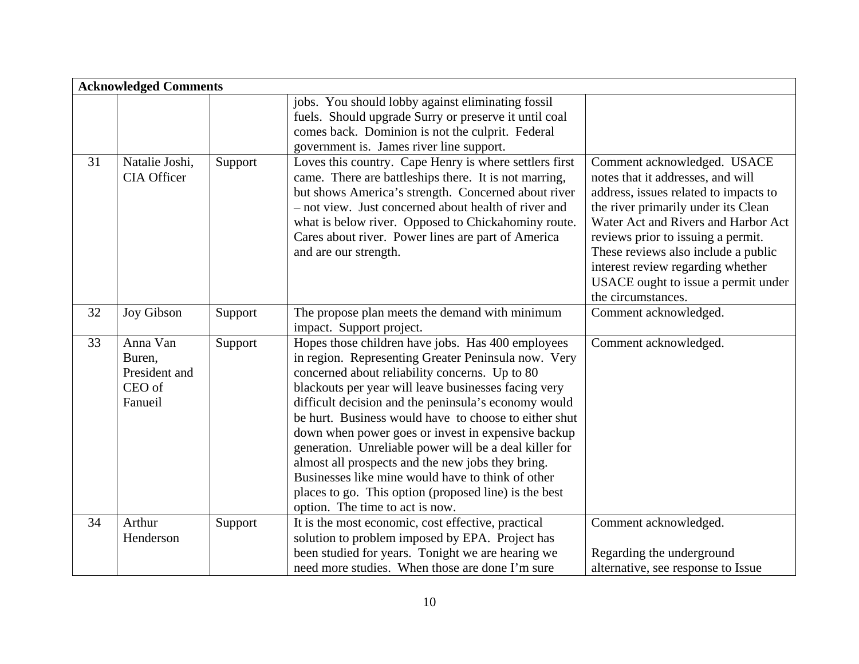|    | <b>Acknowledged Comments</b>                             |         |                                                                                                                                                                                                                                                                                                                                                                                                                                                                                                                                                                                                                                                           |                                                                                                                                                                                                                                                                                                                                                                        |  |
|----|----------------------------------------------------------|---------|-----------------------------------------------------------------------------------------------------------------------------------------------------------------------------------------------------------------------------------------------------------------------------------------------------------------------------------------------------------------------------------------------------------------------------------------------------------------------------------------------------------------------------------------------------------------------------------------------------------------------------------------------------------|------------------------------------------------------------------------------------------------------------------------------------------------------------------------------------------------------------------------------------------------------------------------------------------------------------------------------------------------------------------------|--|
|    |                                                          |         | jobs. You should lobby against eliminating fossil<br>fuels. Should upgrade Surry or preserve it until coal<br>comes back. Dominion is not the culprit. Federal<br>government is. James river line support.                                                                                                                                                                                                                                                                                                                                                                                                                                                |                                                                                                                                                                                                                                                                                                                                                                        |  |
| 31 | Natalie Joshi,<br><b>CIA Officer</b>                     | Support | Loves this country. Cape Henry is where settlers first<br>came. There are battleships there. It is not marring,<br>but shows America's strength. Concerned about river<br>- not view. Just concerned about health of river and<br>what is below river. Opposed to Chickahominy route.<br>Cares about river. Power lines are part of America<br>and are our strength.                                                                                                                                                                                                                                                                                      | Comment acknowledged. USACE<br>notes that it addresses, and will<br>address, issues related to impacts to<br>the river primarily under its Clean<br>Water Act and Rivers and Harbor Act<br>reviews prior to issuing a permit.<br>These reviews also include a public<br>interest review regarding whether<br>USACE ought to issue a permit under<br>the circumstances. |  |
| 32 | Joy Gibson                                               | Support | The propose plan meets the demand with minimum<br>impact. Support project.                                                                                                                                                                                                                                                                                                                                                                                                                                                                                                                                                                                | Comment acknowledged.                                                                                                                                                                                                                                                                                                                                                  |  |
| 33 | Anna Van<br>Buren,<br>President and<br>CEO of<br>Fanueil | Support | Hopes those children have jobs. Has 400 employees<br>in region. Representing Greater Peninsula now. Very<br>concerned about reliability concerns. Up to 80<br>blackouts per year will leave businesses facing very<br>difficult decision and the peninsula's economy would<br>be hurt. Business would have to choose to either shut<br>down when power goes or invest in expensive backup<br>generation. Unreliable power will be a deal killer for<br>almost all prospects and the new jobs they bring.<br>Businesses like mine would have to think of other<br>places to go. This option (proposed line) is the best<br>option. The time to act is now. | Comment acknowledged.                                                                                                                                                                                                                                                                                                                                                  |  |
| 34 | Arthur<br>Henderson                                      | Support | It is the most economic, cost effective, practical<br>solution to problem imposed by EPA. Project has<br>been studied for years. Tonight we are hearing we<br>need more studies. When those are done I'm sure                                                                                                                                                                                                                                                                                                                                                                                                                                             | Comment acknowledged.<br>Regarding the underground<br>alternative, see response to Issue                                                                                                                                                                                                                                                                               |  |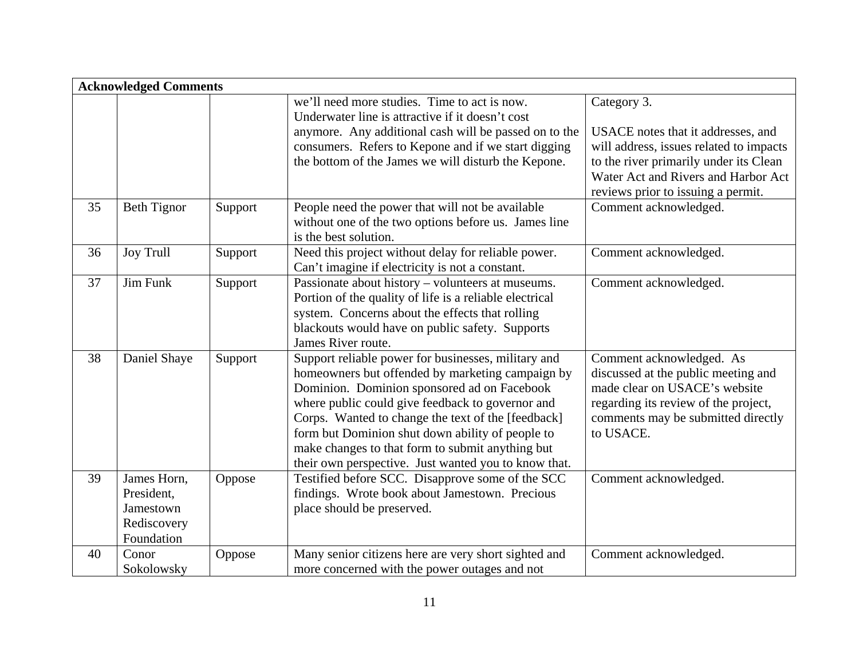|    | <b>Acknowledged Comments</b>                                        |         |                                                                                                                                                                                                                                                                                                                                                                                                                                  |                                                                                                                                                                                             |  |
|----|---------------------------------------------------------------------|---------|----------------------------------------------------------------------------------------------------------------------------------------------------------------------------------------------------------------------------------------------------------------------------------------------------------------------------------------------------------------------------------------------------------------------------------|---------------------------------------------------------------------------------------------------------------------------------------------------------------------------------------------|--|
|    |                                                                     |         | we'll need more studies. Time to act is now.<br>Underwater line is attractive if it doesn't cost<br>anymore. Any additional cash will be passed on to the<br>consumers. Refers to Kepone and if we start digging<br>the bottom of the James we will disturb the Kepone.                                                                                                                                                          | Category 3.<br>USACE notes that it addresses, and<br>will address, issues related to impacts<br>to the river primarily under its Clean<br>Water Act and Rivers and Harbor Act               |  |
| 35 | <b>Beth Tignor</b>                                                  | Support | People need the power that will not be available<br>without one of the two options before us. James line<br>is the best solution.                                                                                                                                                                                                                                                                                                | reviews prior to issuing a permit.<br>Comment acknowledged.                                                                                                                                 |  |
| 36 | <b>Joy Trull</b>                                                    | Support | Need this project without delay for reliable power.<br>Can't imagine if electricity is not a constant.                                                                                                                                                                                                                                                                                                                           | Comment acknowledged.                                                                                                                                                                       |  |
| 37 | Jim Funk                                                            | Support | Passionate about history – volunteers at museums.<br>Portion of the quality of life is a reliable electrical<br>system. Concerns about the effects that rolling<br>blackouts would have on public safety. Supports<br>James River route.                                                                                                                                                                                         | Comment acknowledged.                                                                                                                                                                       |  |
| 38 | Daniel Shaye                                                        | Support | Support reliable power for businesses, military and<br>homeowners but offended by marketing campaign by<br>Dominion. Dominion sponsored ad on Facebook<br>where public could give feedback to governor and<br>Corps. Wanted to change the text of the [feedback]<br>form but Dominion shut down ability of people to<br>make changes to that form to submit anything but<br>their own perspective. Just wanted you to know that. | Comment acknowledged. As<br>discussed at the public meeting and<br>made clear on USACE's website<br>regarding its review of the project,<br>comments may be submitted directly<br>to USACE. |  |
| 39 | James Horn,<br>President,<br>Jamestown<br>Rediscovery<br>Foundation | Oppose  | Testified before SCC. Disapprove some of the SCC<br>findings. Wrote book about Jamestown. Precious<br>place should be preserved.                                                                                                                                                                                                                                                                                                 | Comment acknowledged.                                                                                                                                                                       |  |
| 40 | Conor<br>Sokolowsky                                                 | Oppose  | Many senior citizens here are very short sighted and<br>more concerned with the power outages and not                                                                                                                                                                                                                                                                                                                            | Comment acknowledged.                                                                                                                                                                       |  |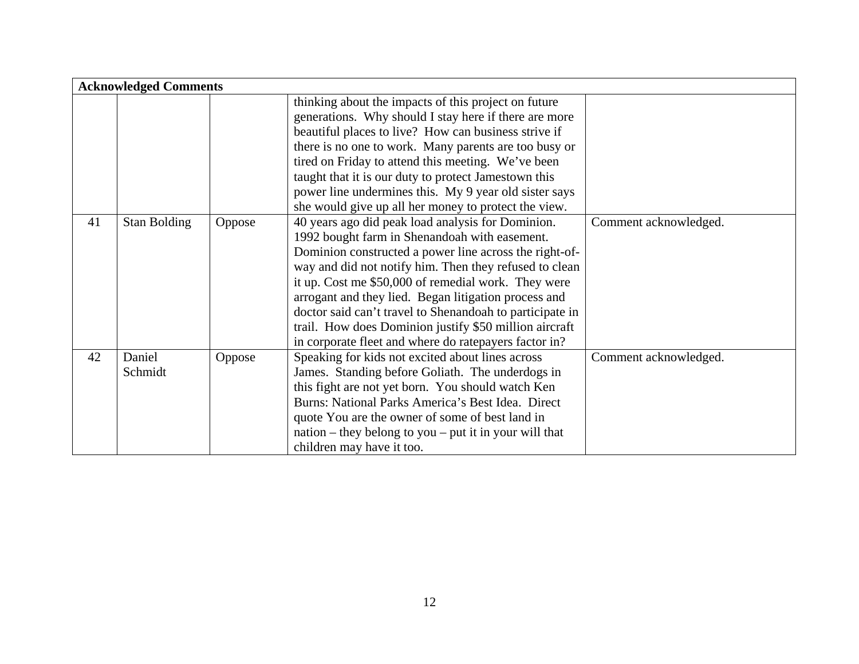|    | <b>Acknowledged Comments</b> |        |                                                                                                                                                                                                                                                                                                                                                                                                                                                                                                                      |                       |  |  |
|----|------------------------------|--------|----------------------------------------------------------------------------------------------------------------------------------------------------------------------------------------------------------------------------------------------------------------------------------------------------------------------------------------------------------------------------------------------------------------------------------------------------------------------------------------------------------------------|-----------------------|--|--|
|    |                              |        | thinking about the impacts of this project on future<br>generations. Why should I stay here if there are more<br>beautiful places to live? How can business strive if<br>there is no one to work. Many parents are too busy or<br>tired on Friday to attend this meeting. We've been<br>taught that it is our duty to protect Jamestown this<br>power line undermines this. My 9 year old sister says<br>she would give up all her money to protect the view.                                                        |                       |  |  |
| 41 | Stan Bolding                 | Oppose | 40 years ago did peak load analysis for Dominion.<br>1992 bought farm in Shenandoah with easement.<br>Dominion constructed a power line across the right-of-<br>way and did not notify him. Then they refused to clean<br>it up. Cost me \$50,000 of remedial work. They were<br>arrogant and they lied. Began litigation process and<br>doctor said can't travel to Shenandoah to participate in<br>trail. How does Dominion justify \$50 million aircraft<br>in corporate fleet and where do ratepayers factor in? | Comment acknowledged. |  |  |
| 42 | Daniel<br>Schmidt            | Oppose | Speaking for kids not excited about lines across<br>James. Standing before Goliath. The underdogs in<br>this fight are not yet born. You should watch Ken<br>Burns: National Parks America's Best Idea. Direct<br>quote You are the owner of some of best land in<br>$\mu$ nation – they belong to you – put it in your will that<br>children may have it too.                                                                                                                                                       | Comment acknowledged. |  |  |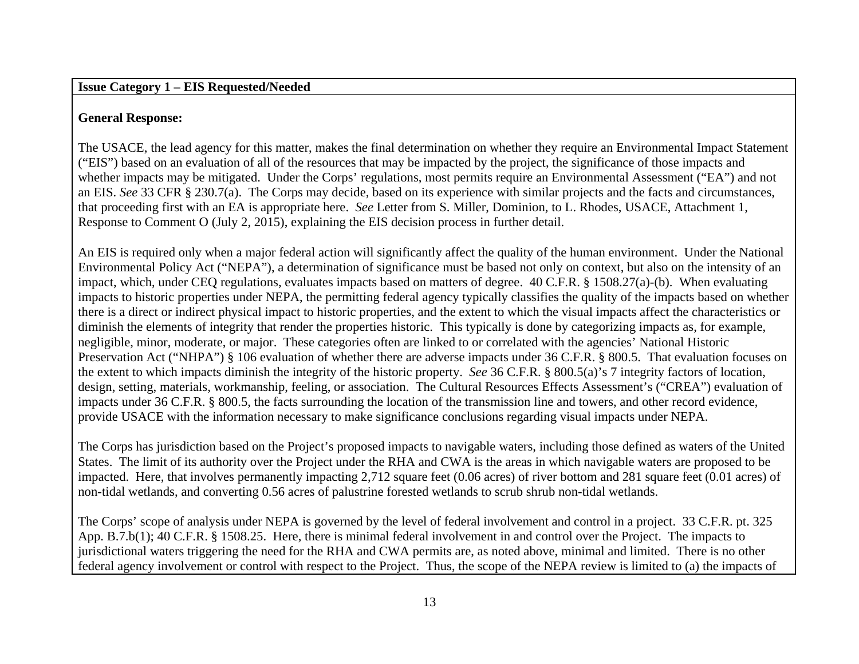#### **Issue Category 1 – EIS Requested/Needed**

# **General Response:**

The USACE, the lead agency for this matter, makes the final determination on whether they require an Environmental Impact Statement ("EIS") based on an evaluation of all of the resources that may be impacted by the project, the significance of those impacts and whether impacts may be mitigated. Under the Corps' regulations, most permits require an Environmental Assessment ("EA") and not an EIS. *See* 33 CFR § 230.7(a). The Corps may decide, based on its experience with similar projects and the facts and circumstances, that proceeding first with an EA is appropriate here. *See* Letter from S. Miller, Dominion, to L. Rhodes, USACE, Attachment 1, Response to Comment O (July 2, 2015), explaining the EIS decision process in further detail.

An EIS is required only when a major federal action will significantly affect the quality of the human environment. Under the National Environmental Policy Act ("NEPA"), a determination of significance must be based not only on context, but also on the intensity of an impact, which, under CEQ regulations, evaluates impacts based on matters of degree. 40 C.F.R. § 1508.27(a)-(b). When evaluating impacts to historic properties under NEPA, the permitting federal agency typically classifies the quality of the impacts based on whether there is a direct or indirect physical impact to historic properties, and the extent to which the visual impacts affect the characteristics or diminish the elements of integrity that render the properties historic. This typically is done by categorizing impacts as, for example, negligible, minor, moderate, or major. These categories often are linked to or correlated with the agencies' National Historic Preservation Act ("NHPA") § 106 evaluation of whether there are adverse impacts under 36 C.F.R. § 800.5. That evaluation focuses on the extent to which impacts diminish the integrity of the historic property. *See* 36 C.F.R. § 800.5(a)'s 7 integrity factors of location, design, setting, materials, workmanship, feeling, or association. The Cultural Resources Effects Assessment's ("CREA") evaluation of impacts under 36 C.F.R. § 800.5, the facts surrounding the location of the transmission line and towers, and other record evidence, provide USACE with the information necessary to make significance conclusions regarding visual impacts under NEPA.

The Corps has jurisdiction based on the Project's proposed impacts to navigable waters, including those defined as waters of the United States. The limit of its authority over the Project under the RHA and CWA is the areas in which navigable waters are proposed to be impacted. Here, that involves permanently impacting 2,712 square feet (0.06 acres) of river bottom and 281 square feet (0.01 acres) of non-tidal wetlands, and converting 0.56 acres of palustrine forested wetlands to scrub shrub non-tidal wetlands.

The Corps' scope of analysis under NEPA is governed by the level of federal involvement and control in a project. 33 C.F.R. pt. 325 App. B.7.b(1); 40 C.F.R. § 1508.25. Here, there is minimal federal involvement in and control over the Project. The impacts to jurisdictional waters triggering the need for the RHA and CWA permits are, as noted above, minimal and limited. There is no other federal agency involvement or control with respect to the Project. Thus, the scope of the NEPA review is limited to (a) the impacts of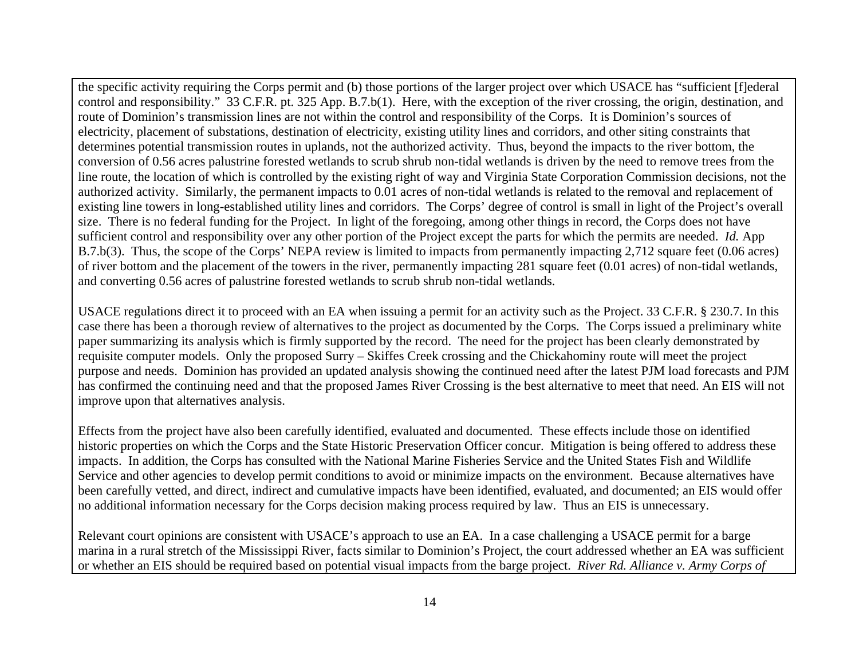the specific activity requiring the Corps permit and (b) those portions of the larger project over which USACE has "sufficient [f]ederal control and responsibility." 33 C.F.R. pt. 325 App. B.7.b(1). Here, with the exception of the river crossing, the origin, destination, and route of Dominion's transmission lines are not within the control and responsibility of the Corps. It is Dominion's sources of electricity, placement of substations, destination of electricity, existing utility lines and corridors, and other siting constraints that determines potential transmission routes in uplands, not the authorized activity. Thus, beyond the impacts to the river bottom, the conversion of 0.56 acres palustrine forested wetlands to scrub shrub non-tidal wetlands is driven by the need to remove trees from the line route, the location of which is controlled by the existing right of way and Virginia State Corporation Commission decisions, not the authorized activity. Similarly, the permanent impacts to 0.01 acres of non-tidal wetlands is related to the removal and replacement of existing line towers in long-established utility lines and corridors. The Corps' degree of control is small in light of the Project's overall size. There is no federal funding for the Project. In light of the foregoing, among other things in record, the Corps does not have sufficient control and responsibility over any other portion of the Project except the parts for which the permits are needed. *Id.* App B.7.b(3). Thus, the scope of the Corps' NEPA review is limited to impacts from permanently impacting 2,712 square feet (0.06 acres) of river bottom and the placement of the towers in the river, permanently impacting 281 square feet (0.01 acres) of non-tidal wetlands, and converting 0.56 acres of palustrine forested wetlands to scrub shrub non-tidal wetlands.

USACE regulations direct it to proceed with an EA when issuing a permit for an activity such as the Project. 33 C.F.R. § 230.7. In this case there has been a thorough review of alternatives to the project as documented by the Corps. The Corps issued a preliminary white paper summarizing its analysis which is firmly supported by the record. The need for the project has been clearly demonstrated by requisite computer models. Only the proposed Surry – Skiffes Creek crossing and the Chickahominy route will meet the project purpose and needs. Dominion has provided an updated analysis showing the continued need after the latest PJM load forecasts and PJM has confirmed the continuing need and that the proposed James River Crossing is the best alternative to meet that need. An EIS will not improve upon that alternatives analysis.

Effects from the project have also been carefully identified, evaluated and documented. These effects include those on identified historic properties on which the Corps and the State Historic Preservation Officer concur. Mitigation is being offered to address these impacts. In addition, the Corps has consulted with the National Marine Fisheries Service and the United States Fish and Wildlife Service and other agencies to develop permit conditions to avoid or minimize impacts on the environment. Because alternatives have been carefully vetted, and direct, indirect and cumulative impacts have been identified, evaluated, and documented; an EIS would offer no additional information necessary for the Corps decision making process required by law. Thus an EIS is unnecessary.

Relevant court opinions are consistent with USACE's approach to use an EA. In a case challenging a USACE permit for a barge marina in a rural stretch of the Mississippi River, facts similar to Dominion's Project, the court addressed whether an EA was sufficient or whether an EIS should be required based on potential visual impacts from the barge project. *River Rd. Alliance v. Army Corps of*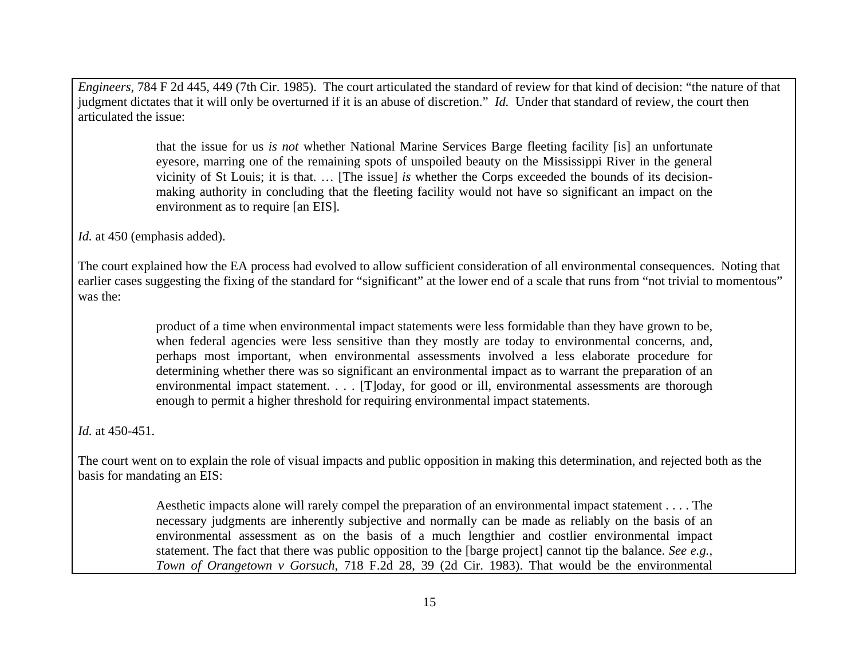*Engineers*, 784 F 2d 445, 449 (7th Cir. 1985). The court articulated the standard of review for that kind of decision: "the nature of that judgment dictates that it will only be overturned if it is an abuse of discretion." *Id.* Under that standard of review, the court then articulated the issue:

> that the issue for us *is not* whether National Marine Services Barge fleeting facility [is] an unfortunate eyesore, marring one of the remaining spots of unspoiled beauty on the Mississippi River in the general vicinity of St Louis; it is that. … [The issue] *is* whether the Corps exceeded the bounds of its decisionmaking authority in concluding that the fleeting facility would not have so significant an impact on the environment as to require [an EIS].

*Id.* at 450 (emphasis added).

The court explained how the EA process had evolved to allow sufficient consideration of all environmental consequences. Noting that earlier cases suggesting the fixing of the standard for "significant" at the lower end of a scale that runs from "not trivial to momentous" was the:

> product of a time when environmental impact statements were less formidable than they have grown to be, when federal agencies were less sensitive than they mostly are today to environmental concerns, and, perhaps most important, when environmental assessments involved a less elaborate procedure for determining whether there was so significant an environmental impact as to warrant the preparation of an environmental impact statement. . . . [T]oday, for good or ill, environmental assessments are thorough enough to permit a higher threshold for requiring environmental impact statements.

*Id.* at 450-451.

The court went on to explain the role of visual impacts and public opposition in making this determination, and rejected both as the basis for mandating an EIS:

> Aesthetic impacts alone will rarely compel the preparation of an environmental impact statement . . . . The necessary judgments are inherently subjective and normally can be made as reliably on the basis of an environmental assessment as on the basis of a much lengthier and costlier environmental impact statement. The fact that there was public opposition to the [barge project] cannot tip the balance. *See e.g., Town of Orangetown v Gorsuch,* 718 F.2d 28, 39 (2d Cir. 1983). That would be the environmental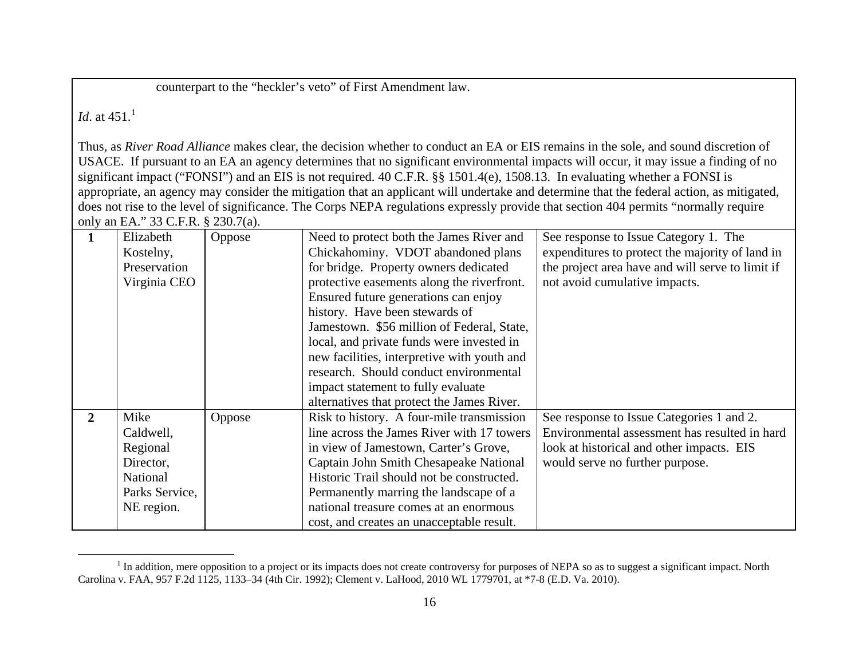<span id="page-15-0"></span>counterpart to the "heckler's veto" of First Amendment law.

*Id.* at  $451^{1}$  $451^{1}$  $451^{1}$ 

Thus, as *River Road Alliance* makes clear, the decision whether to conduct an EA or EIS remains in the sole, and sound discretion of USACE. If pursuant to an EA an agency determines that no significant environmental impacts will occur, it may issue a finding of no significant impact ("FONSI") and an EIS is not required. 40 C.F.R. §§ 1501.4(e), 1508.13. In evaluating whether a FONSI is appropriate, an agency may consider the mitigation that an applicant will undertake and determine that the federal action, as mitigated, does not rise to the level of significance. The Corps NEPA regulations expressly provide that section 404 permits "normally require only an EA." 33 C.F.R. § 230.7(a).

|                | Elizabeth      | Oppose | Need to protect both the James River and    | See response to Issue Category 1. The            |
|----------------|----------------|--------|---------------------------------------------|--------------------------------------------------|
|                | Kostelny,      |        | Chickahominy. VDOT abandoned plans          | expenditures to protect the majority of land in  |
|                | Preservation   |        | for bridge. Property owners dedicated       | the project area have and will serve to limit if |
|                | Virginia CEO   |        | protective easements along the riverfront.  | not avoid cumulative impacts.                    |
|                |                |        | Ensured future generations can enjoy        |                                                  |
|                |                |        | history. Have been stewards of              |                                                  |
|                |                |        | Jamestown. \$56 million of Federal, State,  |                                                  |
|                |                |        | local, and private funds were invested in   |                                                  |
|                |                |        | new facilities, interpretive with youth and |                                                  |
|                |                |        | research. Should conduct environmental      |                                                  |
|                |                |        | impact statement to fully evaluate          |                                                  |
|                |                |        | alternatives that protect the James River.  |                                                  |
| $\overline{2}$ | Mike           | Oppose | Risk to history. A four-mile transmission   | See response to Issue Categories 1 and 2.        |
|                | Caldwell,      |        | line across the James River with 17 towers  | Environmental assessment has resulted in hard    |
|                | Regional       |        | in view of Jamestown, Carter's Grove,       | look at historical and other impacts. EIS        |
|                | Director,      |        | Captain John Smith Chesapeake National      | would serve no further purpose.                  |
|                | National       |        | Historic Trail should not be constructed.   |                                                  |
|                | Parks Service, |        | Permanently marring the landscape of a      |                                                  |
|                | NE region.     |        | national treasure comes at an enormous      |                                                  |
|                |                |        | cost, and creates an unacceptable result.   |                                                  |

<sup>&</sup>lt;sup>1</sup> In addition, mere opposition to a project or its impacts does not create controversy for purposes of NEPA so as to suggest a significant impact. North Carolina v. FAA, 957 F.2d 1125, 1133–34 (4th Cir. 1992); Clement v. LaHood, 2010 WL 1779701, at \*7-8 (E.D. Va. 2010).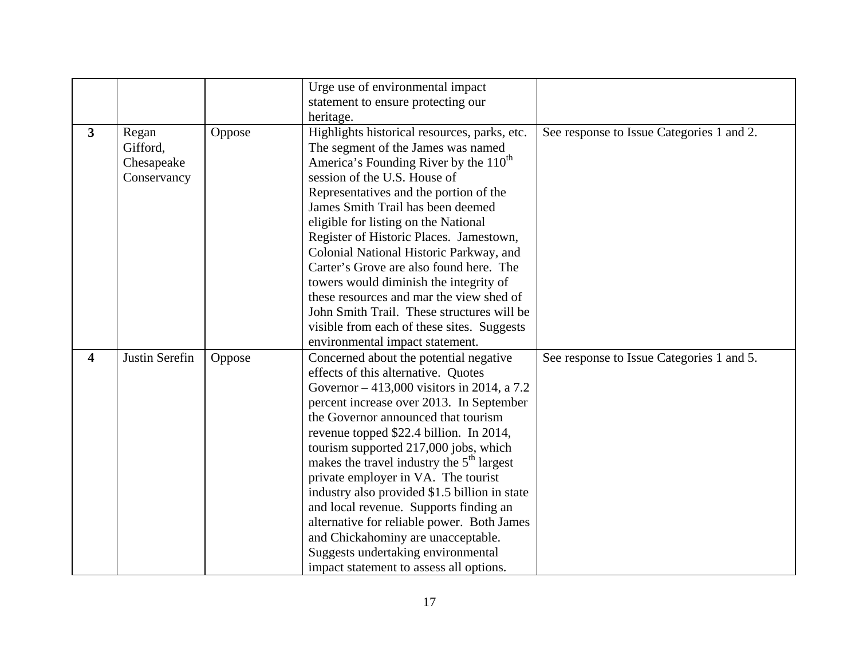|                |                |        | Urge use of environmental impact                  |                                           |
|----------------|----------------|--------|---------------------------------------------------|-------------------------------------------|
|                |                |        | statement to ensure protecting our                |                                           |
|                |                |        | heritage.                                         |                                           |
| $\overline{3}$ | Regan          | Oppose | Highlights historical resources, parks, etc.      | See response to Issue Categories 1 and 2. |
|                | Gifford,       |        | The segment of the James was named                |                                           |
|                | Chesapeake     |        | America's Founding River by the 110 <sup>th</sup> |                                           |
|                | Conservancy    |        | session of the U.S. House of                      |                                           |
|                |                |        | Representatives and the portion of the            |                                           |
|                |                |        | James Smith Trail has been deemed                 |                                           |
|                |                |        | eligible for listing on the National              |                                           |
|                |                |        | Register of Historic Places. Jamestown,           |                                           |
|                |                |        | Colonial National Historic Parkway, and           |                                           |
|                |                |        | Carter's Grove are also found here. The           |                                           |
|                |                |        | towers would diminish the integrity of            |                                           |
|                |                |        | these resources and mar the view shed of          |                                           |
|                |                |        | John Smith Trail. These structures will be        |                                           |
|                |                |        | visible from each of these sites. Suggests        |                                           |
|                |                |        | environmental impact statement.                   |                                           |
| 4              | Justin Serefin | Oppose | Concerned about the potential negative            | See response to Issue Categories 1 and 5. |
|                |                |        | effects of this alternative. Quotes               |                                           |
|                |                |        | Governor $-413,000$ visitors in 2014, a 7.2       |                                           |
|                |                |        | percent increase over 2013. In September          |                                           |
|                |                |        | the Governor announced that tourism               |                                           |
|                |                |        | revenue topped \$22.4 billion. In 2014,           |                                           |
|                |                |        | tourism supported 217,000 jobs, which             |                                           |
|                |                |        | makes the travel industry the $5th$ largest       |                                           |
|                |                |        | private employer in VA. The tourist               |                                           |
|                |                |        | industry also provided \$1.5 billion in state     |                                           |
|                |                |        | and local revenue. Supports finding an            |                                           |
|                |                |        | alternative for reliable power. Both James        |                                           |
|                |                |        | and Chickahominy are unacceptable.                |                                           |
|                |                |        | Suggests undertaking environmental                |                                           |
|                |                |        | impact statement to assess all options.           |                                           |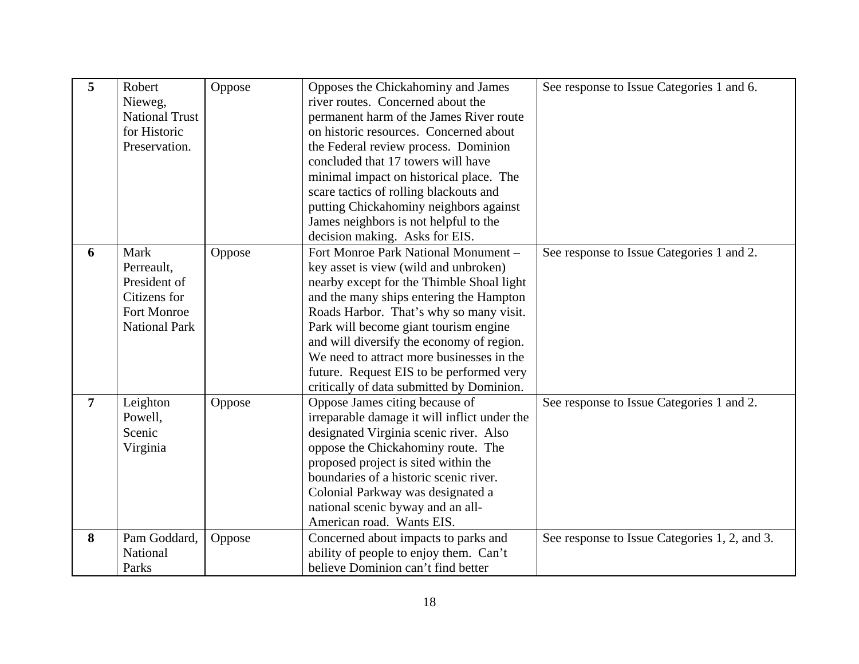| 5              | Robert<br>Nieweg,<br><b>National Trust</b><br>for Historic<br>Preservation.               | Oppose | Opposes the Chickahominy and James<br>river routes. Concerned about the<br>permanent harm of the James River route<br>on historic resources. Concerned about<br>the Federal review process. Dominion<br>concluded that 17 towers will have<br>minimal impact on historical place. The<br>scare tactics of rolling blackouts and                                                                                                              | See response to Issue Categories 1 and 6.     |
|----------------|-------------------------------------------------------------------------------------------|--------|----------------------------------------------------------------------------------------------------------------------------------------------------------------------------------------------------------------------------------------------------------------------------------------------------------------------------------------------------------------------------------------------------------------------------------------------|-----------------------------------------------|
|                |                                                                                           |        | putting Chickahominy neighbors against<br>James neighbors is not helpful to the<br>decision making. Asks for EIS.                                                                                                                                                                                                                                                                                                                            |                                               |
| 6              | Mark<br>Perreault,<br>President of<br>Citizens for<br>Fort Monroe<br><b>National Park</b> | Oppose | Fort Monroe Park National Monument -<br>key asset is view (wild and unbroken)<br>nearby except for the Thimble Shoal light<br>and the many ships entering the Hampton<br>Roads Harbor. That's why so many visit.<br>Park will become giant tourism engine<br>and will diversify the economy of region.<br>We need to attract more businesses in the<br>future. Request EIS to be performed very<br>critically of data submitted by Dominion. | See response to Issue Categories 1 and 2.     |
| $\overline{7}$ | Leighton<br>Powell,<br>Scenic<br>Virginia                                                 | Oppose | Oppose James citing because of<br>irreparable damage it will inflict under the<br>designated Virginia scenic river. Also<br>oppose the Chickahominy route. The<br>proposed project is sited within the<br>boundaries of a historic scenic river.<br>Colonial Parkway was designated a<br>national scenic byway and an all-<br>American road. Wants EIS.                                                                                      | See response to Issue Categories 1 and 2.     |
| 8              | Pam Goddard,<br>National<br>Parks                                                         | Oppose | Concerned about impacts to parks and<br>ability of people to enjoy them. Can't<br>believe Dominion can't find better                                                                                                                                                                                                                                                                                                                         | See response to Issue Categories 1, 2, and 3. |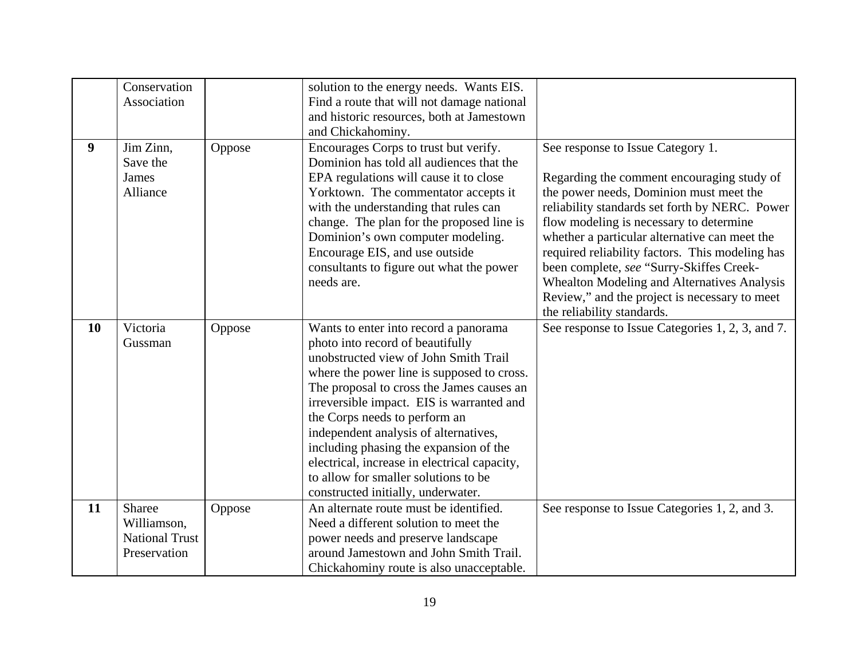|                  | Conservation          |        |                                              |                                                  |
|------------------|-----------------------|--------|----------------------------------------------|--------------------------------------------------|
|                  |                       |        | solution to the energy needs. Wants EIS.     |                                                  |
|                  | Association           |        | Find a route that will not damage national   |                                                  |
|                  |                       |        | and historic resources, both at Jamestown    |                                                  |
|                  |                       |        | and Chickahominy.                            |                                                  |
| $\boldsymbol{9}$ | Jim Zinn,             | Oppose | Encourages Corps to trust but verify.        | See response to Issue Category 1.                |
|                  | Save the              |        | Dominion has told all audiences that the     |                                                  |
|                  | <b>James</b>          |        | EPA regulations will cause it to close       | Regarding the comment encouraging study of       |
|                  | Alliance              |        | Yorktown. The commentator accepts it         | the power needs, Dominion must meet the          |
|                  |                       |        | with the understanding that rules can        | reliability standards set forth by NERC. Power   |
|                  |                       |        | change. The plan for the proposed line is    | flow modeling is necessary to determine          |
|                  |                       |        | Dominion's own computer modeling.            | whether a particular alternative can meet the    |
|                  |                       |        | Encourage EIS, and use outside               | required reliability factors. This modeling has  |
|                  |                       |        | consultants to figure out what the power     | been complete, see "Surry-Skiffes Creek-         |
|                  |                       |        | needs are.                                   | Whealton Modeling and Alternatives Analysis      |
|                  |                       |        |                                              | Review," and the project is necessary to meet    |
|                  |                       |        |                                              | the reliability standards.                       |
| 10               | Victoria              | Oppose | Wants to enter into record a panorama        | See response to Issue Categories 1, 2, 3, and 7. |
|                  | Gussman               |        | photo into record of beautifully             |                                                  |
|                  |                       |        | unobstructed view of John Smith Trail        |                                                  |
|                  |                       |        | where the power line is supposed to cross.   |                                                  |
|                  |                       |        | The proposal to cross the James causes an    |                                                  |
|                  |                       |        | irreversible impact. EIS is warranted and    |                                                  |
|                  |                       |        | the Corps needs to perform an                |                                                  |
|                  |                       |        | independent analysis of alternatives,        |                                                  |
|                  |                       |        | including phasing the expansion of the       |                                                  |
|                  |                       |        | electrical, increase in electrical capacity, |                                                  |
|                  |                       |        | to allow for smaller solutions to be         |                                                  |
|                  |                       |        |                                              |                                                  |
|                  |                       |        | constructed initially, underwater.           |                                                  |
| 11               | Sharee                | Oppose | An alternate route must be identified.       | See response to Issue Categories 1, 2, and 3.    |
|                  | Williamson,           |        | Need a different solution to meet the        |                                                  |
|                  | <b>National Trust</b> |        | power needs and preserve landscape           |                                                  |
|                  | Preservation          |        | around Jamestown and John Smith Trail.       |                                                  |
|                  |                       |        | Chickahominy route is also unacceptable.     |                                                  |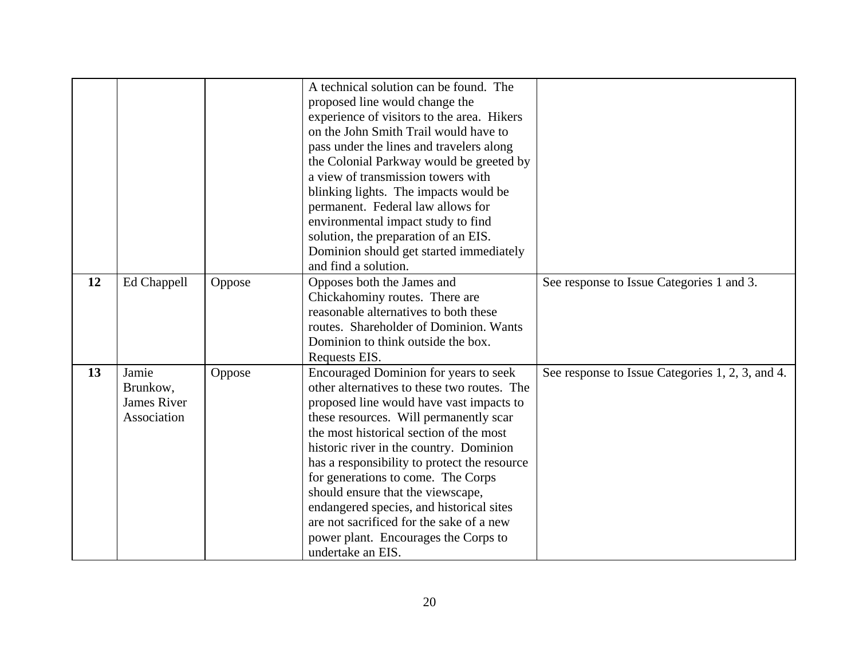|    |             |        | A technical solution can be found. The       |                                                  |
|----|-------------|--------|----------------------------------------------|--------------------------------------------------|
|    |             |        |                                              |                                                  |
|    |             |        | proposed line would change the               |                                                  |
|    |             |        | experience of visitors to the area. Hikers   |                                                  |
|    |             |        | on the John Smith Trail would have to        |                                                  |
|    |             |        | pass under the lines and travelers along     |                                                  |
|    |             |        | the Colonial Parkway would be greeted by     |                                                  |
|    |             |        | a view of transmission towers with           |                                                  |
|    |             |        | blinking lights. The impacts would be        |                                                  |
|    |             |        | permanent. Federal law allows for            |                                                  |
|    |             |        | environmental impact study to find           |                                                  |
|    |             |        | solution, the preparation of an EIS.         |                                                  |
|    |             |        | Dominion should get started immediately      |                                                  |
|    |             |        | and find a solution.                         |                                                  |
| 12 | Ed Chappell | Oppose | Opposes both the James and                   | See response to Issue Categories 1 and 3.        |
|    |             |        | Chickahominy routes. There are               |                                                  |
|    |             |        | reasonable alternatives to both these        |                                                  |
|    |             |        |                                              |                                                  |
|    |             |        | routes. Shareholder of Dominion. Wants       |                                                  |
|    |             |        | Dominion to think outside the box.           |                                                  |
|    |             |        | Requests EIS.                                |                                                  |
| 13 | Jamie       | Oppose | Encouraged Dominion for years to seek        | See response to Issue Categories 1, 2, 3, and 4. |
|    | Brunkow,    |        | other alternatives to these two routes. The  |                                                  |
|    | James River |        | proposed line would have vast impacts to     |                                                  |
|    | Association |        | these resources. Will permanently scar       |                                                  |
|    |             |        | the most historical section of the most      |                                                  |
|    |             |        | historic river in the country. Dominion      |                                                  |
|    |             |        | has a responsibility to protect the resource |                                                  |
|    |             |        | for generations to come. The Corps           |                                                  |
|    |             |        | should ensure that the viewscape,            |                                                  |
|    |             |        | endangered species, and historical sites     |                                                  |
|    |             |        | are not sacrificed for the sake of a new     |                                                  |
|    |             |        |                                              |                                                  |
|    |             |        | power plant. Encourages the Corps to         |                                                  |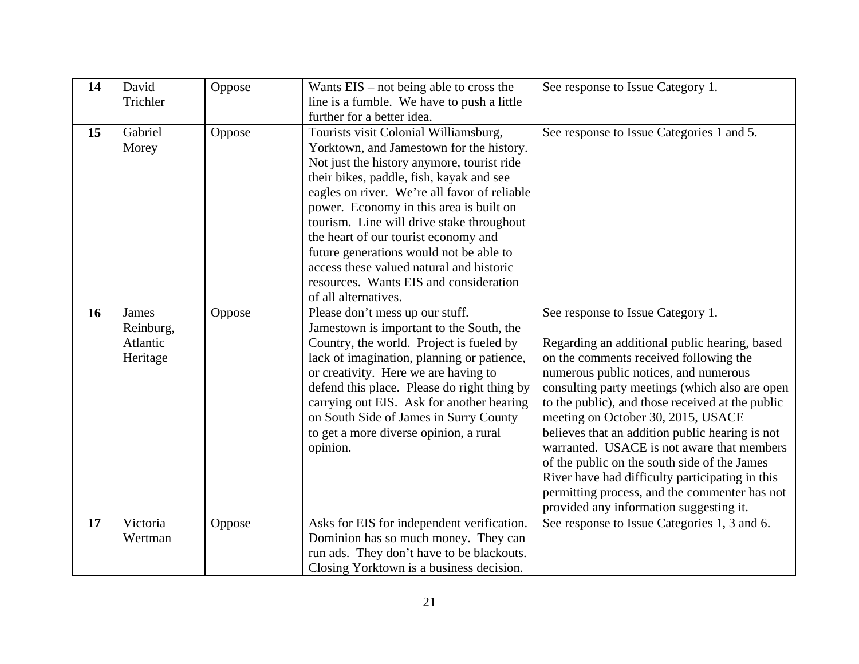| 14 | David<br>Trichler                          | Oppose | Wants $EIS - not being able to cross the$<br>line is a fumble. We have to push a little<br>further for a better idea.                                                                                                                                                                                                                                                                                                                                                                                                | See response to Issue Category 1.                                                                                                                                                                                                                                                                                                                                                                                                                                                                                                                                                                                 |
|----|--------------------------------------------|--------|----------------------------------------------------------------------------------------------------------------------------------------------------------------------------------------------------------------------------------------------------------------------------------------------------------------------------------------------------------------------------------------------------------------------------------------------------------------------------------------------------------------------|-------------------------------------------------------------------------------------------------------------------------------------------------------------------------------------------------------------------------------------------------------------------------------------------------------------------------------------------------------------------------------------------------------------------------------------------------------------------------------------------------------------------------------------------------------------------------------------------------------------------|
| 15 | Gabriel<br>Morey                           | Oppose | Tourists visit Colonial Williamsburg,<br>Yorktown, and Jamestown for the history.<br>Not just the history anymore, tourist ride<br>their bikes, paddle, fish, kayak and see<br>eagles on river. We're all favor of reliable<br>power. Economy in this area is built on<br>tourism. Line will drive stake throughout<br>the heart of our tourist economy and<br>future generations would not be able to<br>access these valued natural and historic<br>resources. Wants EIS and consideration<br>of all alternatives. | See response to Issue Categories 1 and 5.                                                                                                                                                                                                                                                                                                                                                                                                                                                                                                                                                                         |
| 16 | James<br>Reinburg,<br>Atlantic<br>Heritage | Oppose | Please don't mess up our stuff.<br>Jamestown is important to the South, the<br>Country, the world. Project is fueled by<br>lack of imagination, planning or patience,<br>or creativity. Here we are having to<br>defend this place. Please do right thing by<br>carrying out EIS. Ask for another hearing<br>on South Side of James in Surry County<br>to get a more diverse opinion, a rural<br>opinion.                                                                                                            | See response to Issue Category 1.<br>Regarding an additional public hearing, based<br>on the comments received following the<br>numerous public notices, and numerous<br>consulting party meetings (which also are open<br>to the public), and those received at the public<br>meeting on October 30, 2015, USACE<br>believes that an addition public hearing is not<br>warranted. USACE is not aware that members<br>of the public on the south side of the James<br>River have had difficulty participating in this<br>permitting process, and the commenter has not<br>provided any information suggesting it. |
| 17 | Victoria<br>Wertman                        | Oppose | Asks for EIS for independent verification.<br>Dominion has so much money. They can<br>run ads. They don't have to be blackouts.<br>Closing Yorktown is a business decision.                                                                                                                                                                                                                                                                                                                                          | See response to Issue Categories 1, 3 and 6.                                                                                                                                                                                                                                                                                                                                                                                                                                                                                                                                                                      |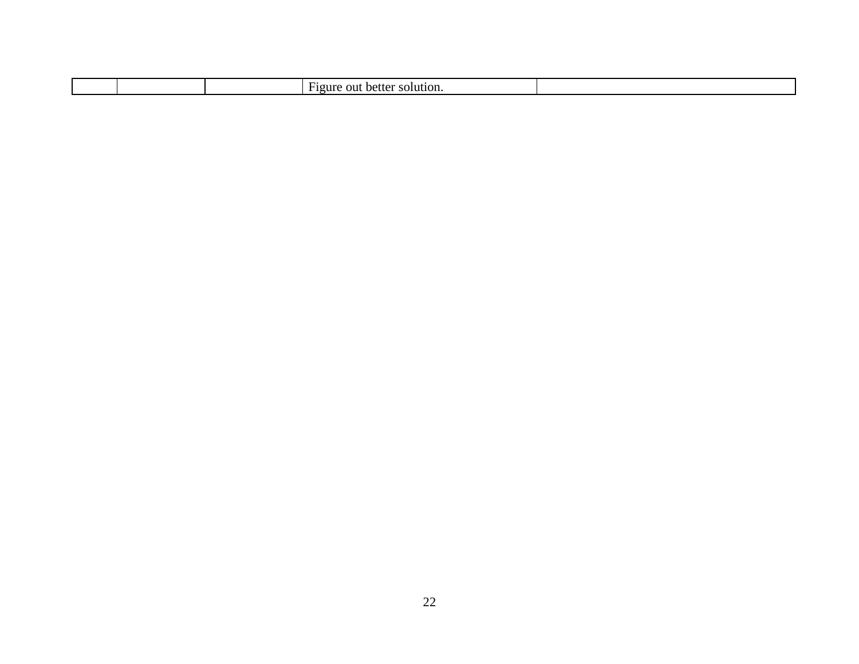| $\overline{\phantom{0}}$<br>OU1<br>. .<br>. .<br>$\ldots$<br>,,,<br>-<br>. |  |
|----------------------------------------------------------------------------|--|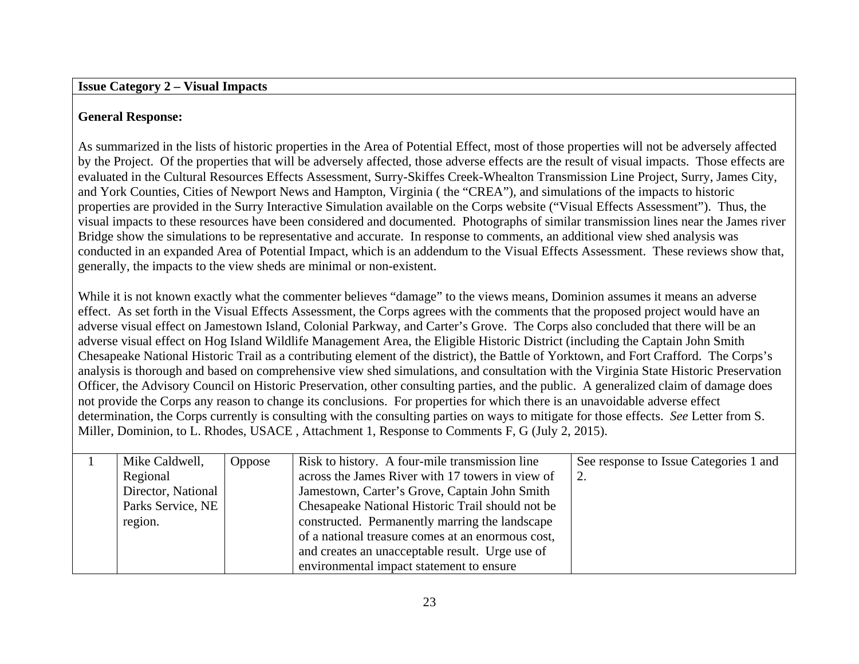#### **Issue Category 2 – Visual Impacts**

# **General Response:**

As summarized in the lists of historic properties in the Area of Potential Effect, most of those properties will not be adversely affected by the Project. Of the properties that will be adversely affected, those adverse effects are the result of visual impacts. Those effects are evaluated in the Cultural Resources Effects Assessment, Surry-Skiffes Creek-Whealton Transmission Line Project, Surry, James City, and York Counties, Cities of Newport News and Hampton, Virginia ( the "CREA"), and simulations of the impacts to historic properties are provided in the Surry Interactive Simulation available on the Corps website ("Visual Effects Assessment"). Thus, the visual impacts to these resources have been considered and documented. Photographs of similar transmission lines near the James river Bridge show the simulations to be representative and accurate. In response to comments, an additional view shed analysis was conducted in an expanded Area of Potential Impact, which is an addendum to the Visual Effects Assessment. These reviews show that, generally, the impacts to the view sheds are minimal or non-existent.

While it is not known exactly what the commenter believes "damage" to the views means, Dominion assumes it means an adverse effect. As set forth in the Visual Effects Assessment, the Corps agrees with the comments that the proposed project would have an adverse visual effect on Jamestown Island, Colonial Parkway, and Carter's Grove. The Corps also concluded that there will be an adverse visual effect on Hog Island Wildlife Management Area, the Eligible Historic District (including the Captain John Smith Chesapeake National Historic Trail as a contributing element of the district), the Battle of Yorktown, and Fort Crafford. The Corps's analysis is thorough and based on comprehensive view shed simulations, and consultation with the Virginia State Historic Preservation Officer, the Advisory Council on Historic Preservation, other consulting parties, and the public. A generalized claim of damage does not provide the Corps any reason to change its conclusions. For properties for which there is an unavoidable adverse effect determination, the Corps currently is consulting with the consulting parties on ways to mitigate for those effects. *See* Letter from S. Miller, Dominion, to L. Rhodes, USACE , Attachment 1, Response to Comments F, G (July 2, 2015).

| Mike Caldwell,     | Oppose | Risk to history. A four-mile transmission line    | See response to Issue Categories 1 and |
|--------------------|--------|---------------------------------------------------|----------------------------------------|
| Regional           |        | across the James River with 17 towers in view of  |                                        |
| Director, National |        | Jamestown, Carter's Grove, Captain John Smith     |                                        |
| Parks Service, NE  |        | Chesapeake National Historic Trail should not be  |                                        |
| region.            |        | constructed. Permanently marring the landscape    |                                        |
|                    |        | of a national treasure comes at an enormous cost, |                                        |
|                    |        | and creates an unacceptable result. Urge use of   |                                        |
|                    |        | environmental impact statement to ensure          |                                        |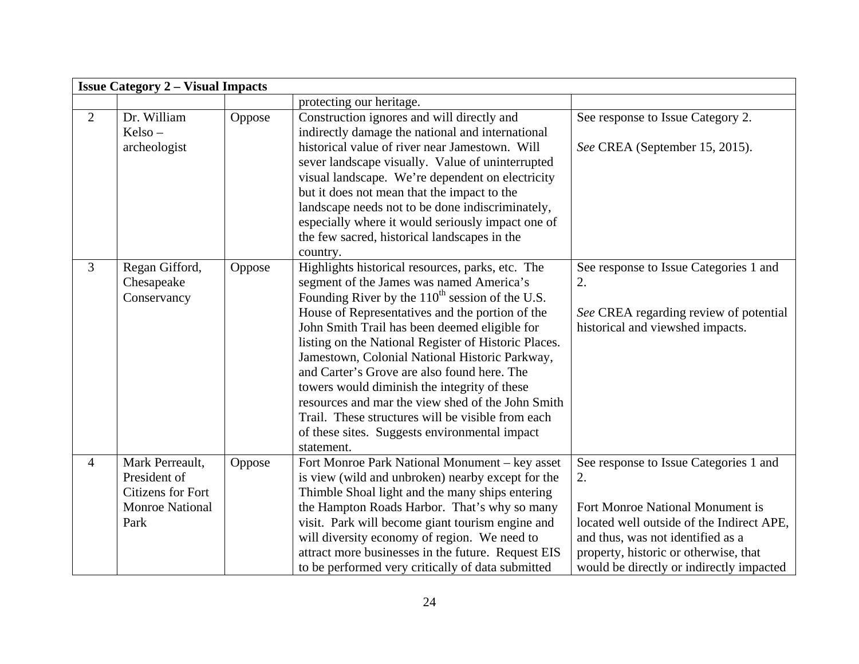|                | <b>Issue Category 2 – Visual Impacts</b>                                                      |        |                                                                                                                                                                                                                                                                                                                                                                                                                                                                                                                                                                                                                                            |                                                                                                                                                                                                                                                         |  |  |
|----------------|-----------------------------------------------------------------------------------------------|--------|--------------------------------------------------------------------------------------------------------------------------------------------------------------------------------------------------------------------------------------------------------------------------------------------------------------------------------------------------------------------------------------------------------------------------------------------------------------------------------------------------------------------------------------------------------------------------------------------------------------------------------------------|---------------------------------------------------------------------------------------------------------------------------------------------------------------------------------------------------------------------------------------------------------|--|--|
|                |                                                                                               |        | protecting our heritage.                                                                                                                                                                                                                                                                                                                                                                                                                                                                                                                                                                                                                   |                                                                                                                                                                                                                                                         |  |  |
| $\overline{2}$ | Dr. William<br>Kelso –<br>archeologist                                                        | Oppose | Construction ignores and will directly and<br>indirectly damage the national and international<br>historical value of river near Jamestown. Will<br>sever landscape visually. Value of uninterrupted<br>visual landscape. We're dependent on electricity<br>but it does not mean that the impact to the<br>landscape needs not to be done indiscriminately,<br>especially where it would seriously impact one of<br>the few sacred, historical landscapes in the<br>country.                                                                                                                                                               | See response to Issue Category 2.<br>See CREA (September 15, 2015).                                                                                                                                                                                     |  |  |
| $\overline{3}$ | Regan Gifford,<br>Chesapeake<br>Conservancy                                                   | Oppose | Highlights historical resources, parks, etc. The<br>segment of the James was named America's<br>Founding River by the $110^{th}$ session of the U.S.<br>House of Representatives and the portion of the<br>John Smith Trail has been deemed eligible for<br>listing on the National Register of Historic Places.<br>Jamestown, Colonial National Historic Parkway,<br>and Carter's Grove are also found here. The<br>towers would diminish the integrity of these<br>resources and mar the view shed of the John Smith<br>Trail. These structures will be visible from each<br>of these sites. Suggests environmental impact<br>statement. | See response to Issue Categories 1 and<br>2.<br>See CREA regarding review of potential<br>historical and viewshed impacts.                                                                                                                              |  |  |
| $\overline{4}$ | Mark Perreault,<br>President of<br><b>Citizens for Fort</b><br><b>Monroe National</b><br>Park | Oppose | Fort Monroe Park National Monument - key asset<br>is view (wild and unbroken) nearby except for the<br>Thimble Shoal light and the many ships entering<br>the Hampton Roads Harbor. That's why so many<br>visit. Park will become giant tourism engine and<br>will diversity economy of region. We need to<br>attract more businesses in the future. Request EIS<br>to be performed very critically of data submitted                                                                                                                                                                                                                      | See response to Issue Categories 1 and<br>2.<br>Fort Monroe National Monument is<br>located well outside of the Indirect APE,<br>and thus, was not identified as a<br>property, historic or otherwise, that<br>would be directly or indirectly impacted |  |  |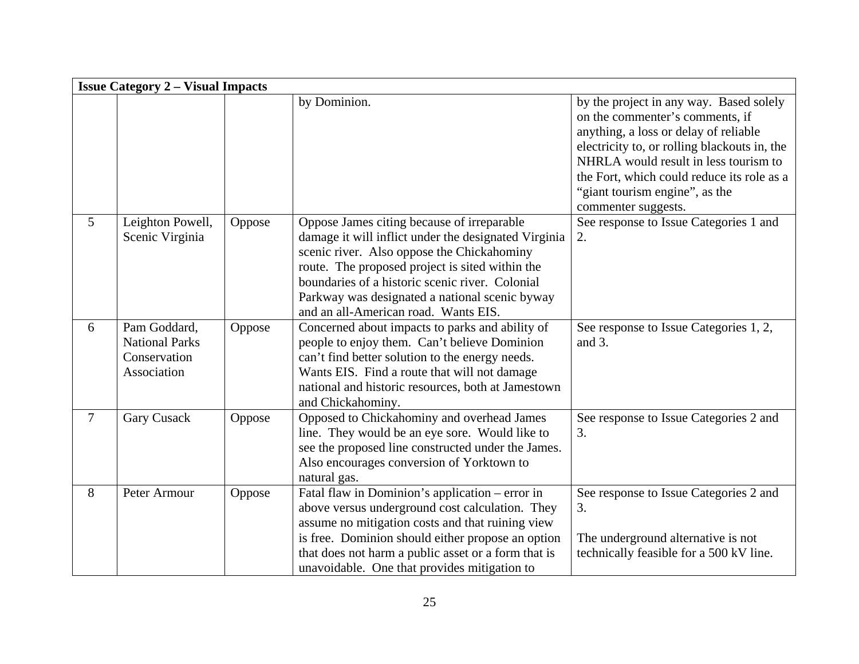|                | <b>Issue Category 2 - Visual Impacts</b>                             |        |                                                                                                                                                                                                                                                                                                                                                  |                                                                                                                                                                                                                                                                                                                     |  |  |
|----------------|----------------------------------------------------------------------|--------|--------------------------------------------------------------------------------------------------------------------------------------------------------------------------------------------------------------------------------------------------------------------------------------------------------------------------------------------------|---------------------------------------------------------------------------------------------------------------------------------------------------------------------------------------------------------------------------------------------------------------------------------------------------------------------|--|--|
|                |                                                                      |        | by Dominion.                                                                                                                                                                                                                                                                                                                                     | by the project in any way. Based solely<br>on the commenter's comments, if<br>anything, a loss or delay of reliable<br>electricity to, or rolling blackouts in, the<br>NHRLA would result in less tourism to<br>the Fort, which could reduce its role as a<br>"giant tourism engine", as the<br>commenter suggests. |  |  |
| 5              | Leighton Powell,<br>Scenic Virginia                                  | Oppose | Oppose James citing because of irreparable<br>damage it will inflict under the designated Virginia<br>scenic river. Also oppose the Chickahominy<br>route. The proposed project is sited within the<br>boundaries of a historic scenic river. Colonial<br>Parkway was designated a national scenic byway<br>and an all-American road. Wants EIS. | See response to Issue Categories 1 and<br>2.                                                                                                                                                                                                                                                                        |  |  |
| 6              | Pam Goddard,<br><b>National Parks</b><br>Conservation<br>Association | Oppose | Concerned about impacts to parks and ability of<br>people to enjoy them. Can't believe Dominion<br>can't find better solution to the energy needs.<br>Wants EIS. Find a route that will not damage<br>national and historic resources, both at Jamestown<br>and Chickahominy.                                                                    | See response to Issue Categories 1, 2,<br>and 3.                                                                                                                                                                                                                                                                    |  |  |
| $\overline{7}$ | <b>Gary Cusack</b>                                                   | Oppose | Opposed to Chickahominy and overhead James<br>line. They would be an eye sore. Would like to<br>see the proposed line constructed under the James.<br>Also encourages conversion of Yorktown to<br>natural gas.                                                                                                                                  | See response to Issue Categories 2 and<br>3.                                                                                                                                                                                                                                                                        |  |  |
| 8              | Peter Armour                                                         | Oppose | Fatal flaw in Dominion's application - error in<br>above versus underground cost calculation. They<br>assume no mitigation costs and that ruining view<br>is free. Dominion should either propose an option<br>that does not harm a public asset or a form that is<br>unavoidable. One that provides mitigation to                               | See response to Issue Categories 2 and<br>3.<br>The underground alternative is not<br>technically feasible for a 500 kV line.                                                                                                                                                                                       |  |  |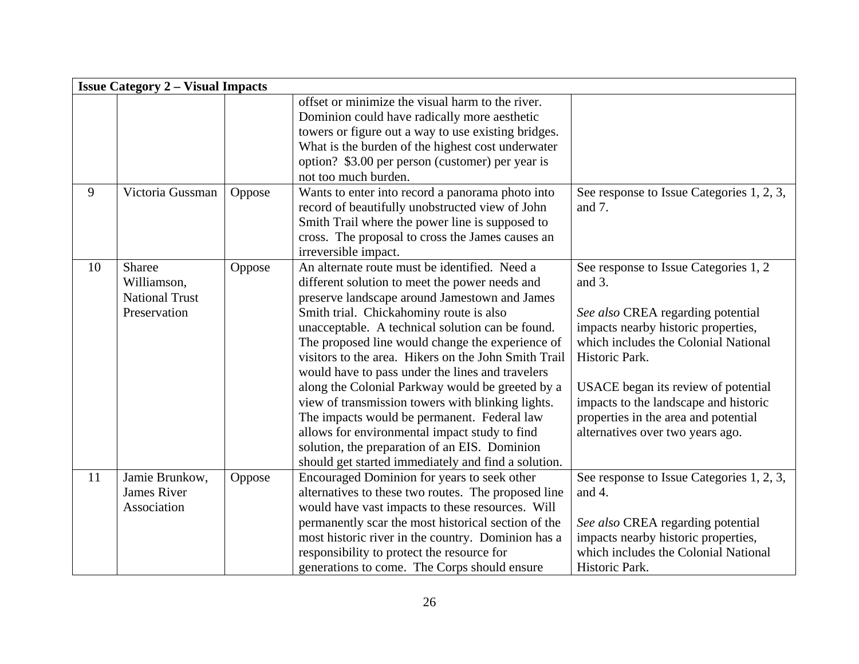|    | <b>Issue Category 2 – Visual Impacts</b>                       |        |                                                                                                                                                                                                                                                                                                                                                                                                                                                                                                                                                                                                                                                                                                                                  |                                                                                                                                                                                                                                                                                                                                                   |  |  |
|----|----------------------------------------------------------------|--------|----------------------------------------------------------------------------------------------------------------------------------------------------------------------------------------------------------------------------------------------------------------------------------------------------------------------------------------------------------------------------------------------------------------------------------------------------------------------------------------------------------------------------------------------------------------------------------------------------------------------------------------------------------------------------------------------------------------------------------|---------------------------------------------------------------------------------------------------------------------------------------------------------------------------------------------------------------------------------------------------------------------------------------------------------------------------------------------------|--|--|
|    |                                                                |        | offset or minimize the visual harm to the river.<br>Dominion could have radically more aesthetic<br>towers or figure out a way to use existing bridges.<br>What is the burden of the highest cost underwater<br>option? \$3.00 per person (customer) per year is<br>not too much burden.                                                                                                                                                                                                                                                                                                                                                                                                                                         |                                                                                                                                                                                                                                                                                                                                                   |  |  |
| 9  | Victoria Gussman                                               | Oppose | Wants to enter into record a panorama photo into<br>record of beautifully unobstructed view of John<br>Smith Trail where the power line is supposed to<br>cross. The proposal to cross the James causes an<br>irreversible impact.                                                                                                                                                                                                                                                                                                                                                                                                                                                                                               | See response to Issue Categories 1, 2, 3,<br>and $7$ .                                                                                                                                                                                                                                                                                            |  |  |
| 10 | Sharee<br>Williamson,<br><b>National Trust</b><br>Preservation | Oppose | An alternate route must be identified. Need a<br>different solution to meet the power needs and<br>preserve landscape around Jamestown and James<br>Smith trial. Chickahominy route is also<br>unacceptable. A technical solution can be found.<br>The proposed line would change the experience of<br>visitors to the area. Hikers on the John Smith Trail<br>would have to pass under the lines and travelers<br>along the Colonial Parkway would be greeted by a<br>view of transmission towers with blinking lights.<br>The impacts would be permanent. Federal law<br>allows for environmental impact study to find<br>solution, the preparation of an EIS. Dominion<br>should get started immediately and find a solution. | See response to Issue Categories 1, 2<br>and 3.<br>See also CREA regarding potential<br>impacts nearby historic properties,<br>which includes the Colonial National<br>Historic Park.<br>USACE began its review of potential<br>impacts to the landscape and historic<br>properties in the area and potential<br>alternatives over two years ago. |  |  |
| 11 | Jamie Brunkow,<br><b>James River</b><br>Association            | Oppose | Encouraged Dominion for years to seek other<br>alternatives to these two routes. The proposed line<br>would have vast impacts to these resources. Will<br>permanently scar the most historical section of the<br>most historic river in the country. Dominion has a<br>responsibility to protect the resource for<br>generations to come. The Corps should ensure                                                                                                                                                                                                                                                                                                                                                                | See response to Issue Categories 1, 2, 3,<br>and 4.<br>See also CREA regarding potential<br>impacts nearby historic properties,<br>which includes the Colonial National<br>Historic Park.                                                                                                                                                         |  |  |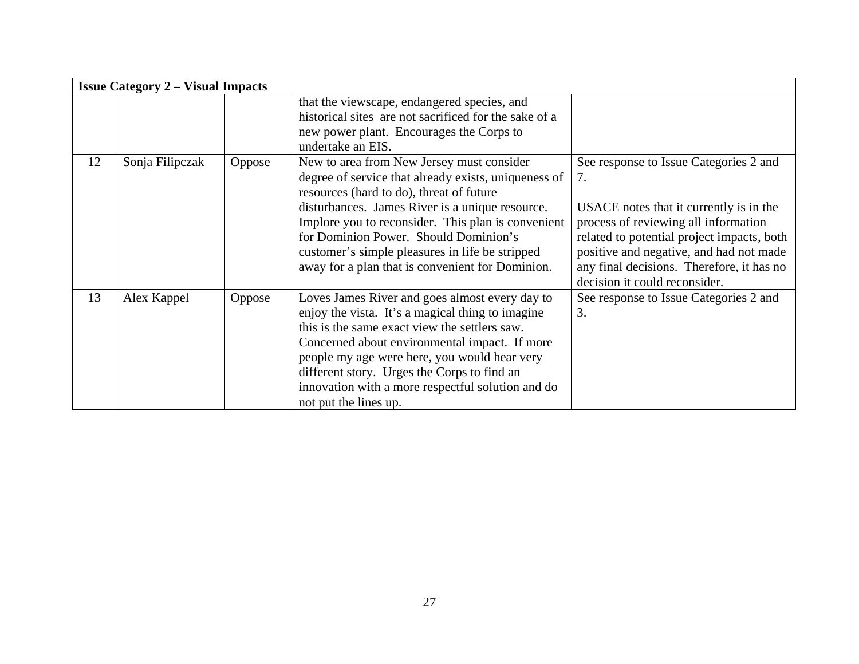|    | <b>Issue Category 2 – Visual Impacts</b> |        |                                                                                                                                                                                                                                                                                                                                                                                                        |                                                                                                                                                                                                                                                                                                        |
|----|------------------------------------------|--------|--------------------------------------------------------------------------------------------------------------------------------------------------------------------------------------------------------------------------------------------------------------------------------------------------------------------------------------------------------------------------------------------------------|--------------------------------------------------------------------------------------------------------------------------------------------------------------------------------------------------------------------------------------------------------------------------------------------------------|
|    |                                          |        | that the viewscape, endangered species, and<br>historical sites are not sacrificed for the sake of a<br>new power plant. Encourages the Corps to<br>undertake an EIS.                                                                                                                                                                                                                                  |                                                                                                                                                                                                                                                                                                        |
| 12 | Sonja Filipczak                          | Oppose | New to area from New Jersey must consider<br>degree of service that already exists, uniqueness of<br>resources (hard to do), threat of future<br>disturbances. James River is a unique resource.<br>Implore you to reconsider. This plan is convenient<br>for Dominion Power. Should Dominion's<br>customer's simple pleasures in life be stripped<br>away for a plan that is convenient for Dominion. | See response to Issue Categories 2 and<br>7.<br>USACE notes that it currently is in the<br>process of reviewing all information<br>related to potential project impacts, both<br>positive and negative, and had not made<br>any final decisions. Therefore, it has no<br>decision it could reconsider. |
| 13 | Alex Kappel                              | Oppose | Loves James River and goes almost every day to<br>enjoy the vista. It's a magical thing to imagine<br>this is the same exact view the settlers saw.<br>Concerned about environmental impact. If more<br>people my age were here, you would hear very<br>different story. Urges the Corps to find an<br>innovation with a more respectful solution and do<br>not put the lines up.                      | See response to Issue Categories 2 and<br>3.                                                                                                                                                                                                                                                           |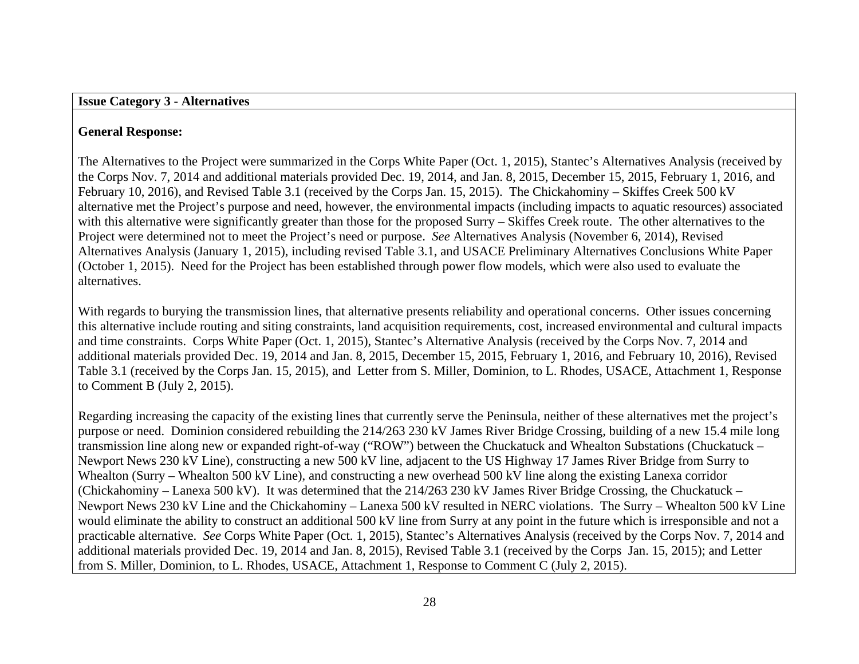## **General Response:**

The Alternatives to the Project were summarized in the Corps White Paper (Oct. 1, 2015), Stantec's Alternatives Analysis (received by the Corps Nov. 7, 2014 and additional materials provided Dec. 19, 2014, and Jan. 8, 2015, December 15, 2015, February 1, 2016, and February 10, 2016), and Revised Table 3.1 (received by the Corps Jan. 15, 2015). The Chickahominy – Skiffes Creek 500 kV alternative met the Project's purpose and need, however, the environmental impacts (including impacts to aquatic resources) associated with this alternative were significantly greater than those for the proposed Surry – Skiffes Creek route. The other alternatives to the Project were determined not to meet the Project's need or purpose. *See* Alternatives Analysis (November 6, 2014), Revised Alternatives Analysis (January 1, 2015), including revised Table 3.1, and USACE Preliminary Alternatives Conclusions White Paper (October 1, 2015). Need for the Project has been established through power flow models, which were also used to evaluate the alternatives.

With regards to burying the transmission lines, that alternative presents reliability and operational concerns. Other issues concerning this alternative include routing and siting constraints, land acquisition requirements, cost, increased environmental and cultural impacts and time constraints. Corps White Paper (Oct. 1, 2015), Stantec's Alternative Analysis (received by the Corps Nov. 7, 2014 and additional materials provided Dec. 19, 2014 and Jan. 8, 2015, December 15, 2015, February 1, 2016, and February 10, 2016), Revised Table 3.1 (received by the Corps Jan. 15, 2015), and Letter from S. Miller, Dominion, to L. Rhodes, USACE, Attachment 1, Response to Comment B (July 2, 2015).

Regarding increasing the capacity of the existing lines that currently serve the Peninsula, neither of these alternatives met the project's purpose or need. Dominion considered rebuilding the 214/263 230 kV James River Bridge Crossing, building of a new 15.4 mile long transmission line along new or expanded right-of-way ("ROW") between the Chuckatuck and Whealton Substations (Chuckatuck – Newport News 230 kV Line), constructing a new 500 kV line, adjacent to the US Highway 17 James River Bridge from Surry to Whealton (Surry – Whealton 500 kV Line), and constructing a new overhead 500 kV line along the existing Lanexa corridor (Chickahominy – Lanexa 500 kV). It was determined that the 214/263 230 kV James River Bridge Crossing, the Chuckatuck – Newport News 230 kV Line and the Chickahominy – Lanexa 500 kV resulted in NERC violations. The Surry – Whealton 500 kV Line would eliminate the ability to construct an additional 500 kV line from Surry at any point in the future which is irresponsible and not a practicable alternative. *See* Corps White Paper (Oct. 1, 2015), Stantec's Alternatives Analysis (received by the Corps Nov. 7, 2014 and additional materials provided Dec. 19, 2014 and Jan. 8, 2015), Revised Table 3.1 (received by the Corps Jan. 15, 2015); and Letter from S. Miller, Dominion, to L. Rhodes, USACE, Attachment 1, Response to Comment C (July 2, 2015).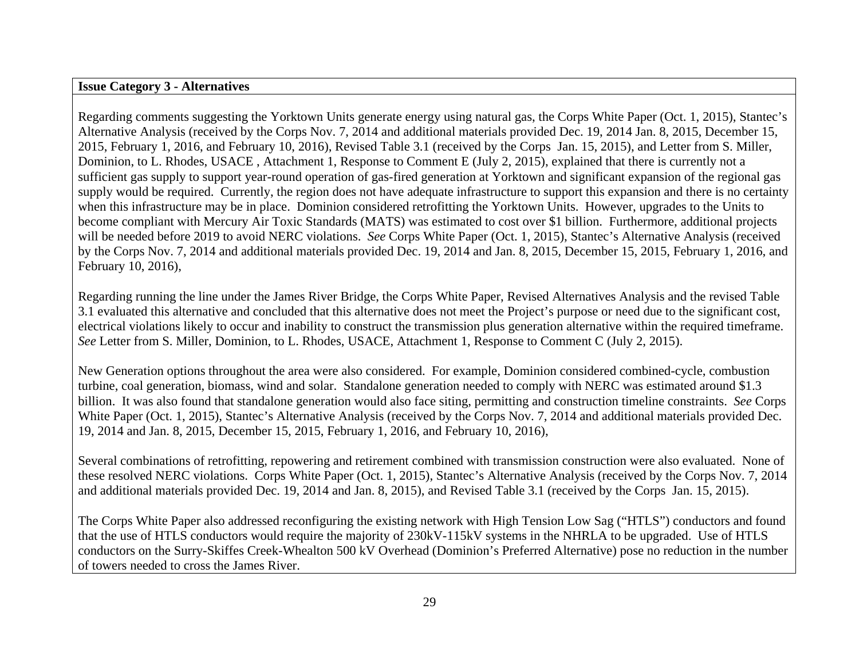#### **Issue Category 3 - Alternatives**

Regarding comments suggesting the Yorktown Units generate energy using natural gas, the Corps White Paper (Oct. 1, 2015), Stantec's Alternative Analysis (received by the Corps Nov. 7, 2014 and additional materials provided Dec. 19, 2014 Jan. 8, 2015, December 15, 2015, February 1, 2016, and February 10, 2016), Revised Table 3.1 (received by the Corps Jan. 15, 2015), and Letter from S. Miller, Dominion, to L. Rhodes, USACE , Attachment 1, Response to Comment E (July 2, 2015), explained that there is currently not a sufficient gas supply to support year-round operation of gas-fired generation at Yorktown and significant expansion of the regional gas supply would be required. Currently, the region does not have adequate infrastructure to support this expansion and there is no certainty when this infrastructure may be in place. Dominion considered retrofitting the Yorktown Units. However, upgrades to the Units to become compliant with Mercury Air Toxic Standards (MATS) was estimated to cost over \$1 billion. Furthermore, additional projects will be needed before 2019 to avoid NERC violations. *See* Corps White Paper (Oct. 1, 2015), Stantec's Alternative Analysis (received by the Corps Nov. 7, 2014 and additional materials provided Dec. 19, 2014 and Jan. 8, 2015, December 15, 2015, February 1, 2016, and February 10, 2016),

Regarding running the line under the James River Bridge, the Corps White Paper, Revised Alternatives Analysis and the revised Table 3.1 evaluated this alternative and concluded that this alternative does not meet the Project's purpose or need due to the significant cost, electrical violations likely to occur and inability to construct the transmission plus generation alternative within the required timeframe. *See* Letter from S. Miller, Dominion, to L. Rhodes, USACE, Attachment 1, Response to Comment C (July 2, 2015).

New Generation options throughout the area were also considered. For example, Dominion considered combined-cycle, combustion turbine, coal generation, biomass, wind and solar. Standalone generation needed to comply with NERC was estimated around \$1.3 billion. It was also found that standalone generation would also face siting, permitting and construction timeline constraints. *See* Corps White Paper (Oct. 1, 2015), Stantec's Alternative Analysis (received by the Corps Nov. 7, 2014 and additional materials provided Dec. 19, 2014 and Jan. 8, 2015, December 15, 2015, February 1, 2016, and February 10, 2016),

Several combinations of retrofitting, repowering and retirement combined with transmission construction were also evaluated. None of these resolved NERC violations. Corps White Paper (Oct. 1, 2015), Stantec's Alternative Analysis (received by the Corps Nov. 7, 2014 and additional materials provided Dec. 19, 2014 and Jan. 8, 2015), and Revised Table 3.1 (received by the Corps Jan. 15, 2015).

The Corps White Paper also addressed reconfiguring the existing network with High Tension Low Sag ("HTLS") conductors and found that the use of HTLS conductors would require the majority of 230kV-115kV systems in the NHRLA to be upgraded. Use of HTLS conductors on the Surry-Skiffes Creek-Whealton 500 kV Overhead (Dominion's Preferred Alternative) pose no reduction in the number of towers needed to cross the James River.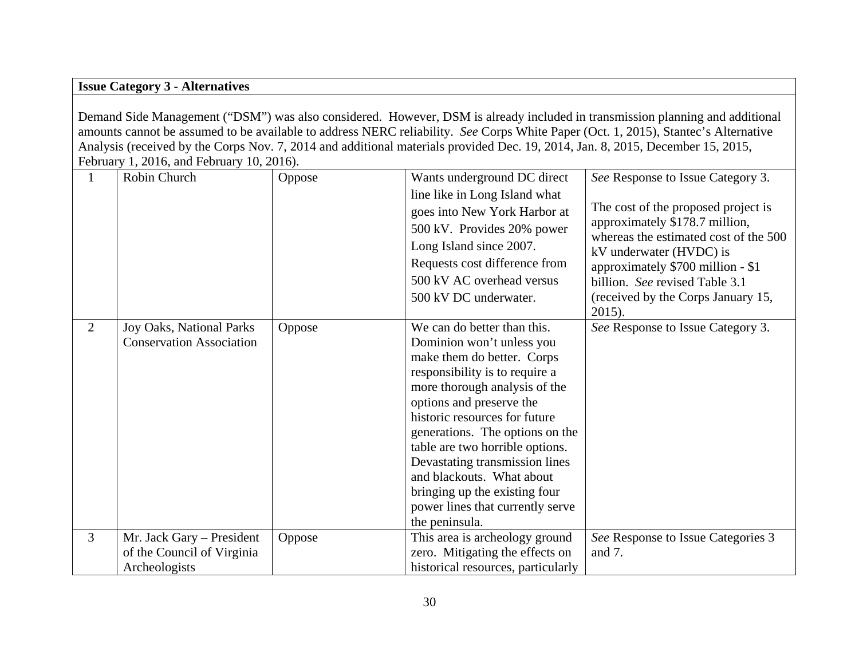# **Issue Category 3 - Alternatives**

Demand Side Management ("DSM") was also considered. However, DSM is already included in transmission planning and additional amounts cannot be assumed to be available to address NERC reliability. *See* Corps White Paper (Oct. 1, 2015), Stantec's Alternative Analysis (received by the Corps Nov. 7, 2014 and additional materials provided Dec. 19, 2014, Jan. 8, 2015, December 15, 2015, February 1, 2016, and February 10, 2016).

|                | Robin Church                    | Oppose | Wants underground DC direct        | See Response to Issue Category 3.                                |
|----------------|---------------------------------|--------|------------------------------------|------------------------------------------------------------------|
|                |                                 |        | line like in Long Island what      |                                                                  |
|                |                                 |        | goes into New York Harbor at       | The cost of the proposed project is                              |
|                |                                 |        | 500 kV. Provides 20% power         | approximately \$178.7 million,                                   |
|                |                                 |        | Long Island since 2007.            | whereas the estimated cost of the 500<br>kV underwater (HVDC) is |
|                |                                 |        | Requests cost difference from      | approximately \$700 million - \$1                                |
|                |                                 |        | 500 kV AC overhead versus          | billion. See revised Table 3.1                                   |
|                |                                 |        | 500 kV DC underwater.              | (received by the Corps January 15,                               |
|                |                                 |        |                                    | $2015$ ).                                                        |
| 2              | Joy Oaks, National Parks        | Oppose | We can do better than this.        | See Response to Issue Category 3.                                |
|                | <b>Conservation Association</b> |        | Dominion won't unless you          |                                                                  |
|                |                                 |        | make them do better. Corps         |                                                                  |
|                |                                 |        | responsibility is to require a     |                                                                  |
|                |                                 |        | more thorough analysis of the      |                                                                  |
|                |                                 |        | options and preserve the           |                                                                  |
|                |                                 |        | historic resources for future      |                                                                  |
|                |                                 |        | generations. The options on the    |                                                                  |
|                |                                 |        | table are two horrible options.    |                                                                  |
|                |                                 |        | Devastating transmission lines     |                                                                  |
|                |                                 |        | and blackouts. What about          |                                                                  |
|                |                                 |        | bringing up the existing four      |                                                                  |
|                |                                 |        | power lines that currently serve   |                                                                  |
|                |                                 |        | the peninsula.                     |                                                                  |
| $\overline{3}$ | Mr. Jack Gary - President       | Oppose | This area is archeology ground     | See Response to Issue Categories 3                               |
|                | of the Council of Virginia      |        | zero. Mitigating the effects on    | and 7.                                                           |
|                | Archeologists                   |        | historical resources, particularly |                                                                  |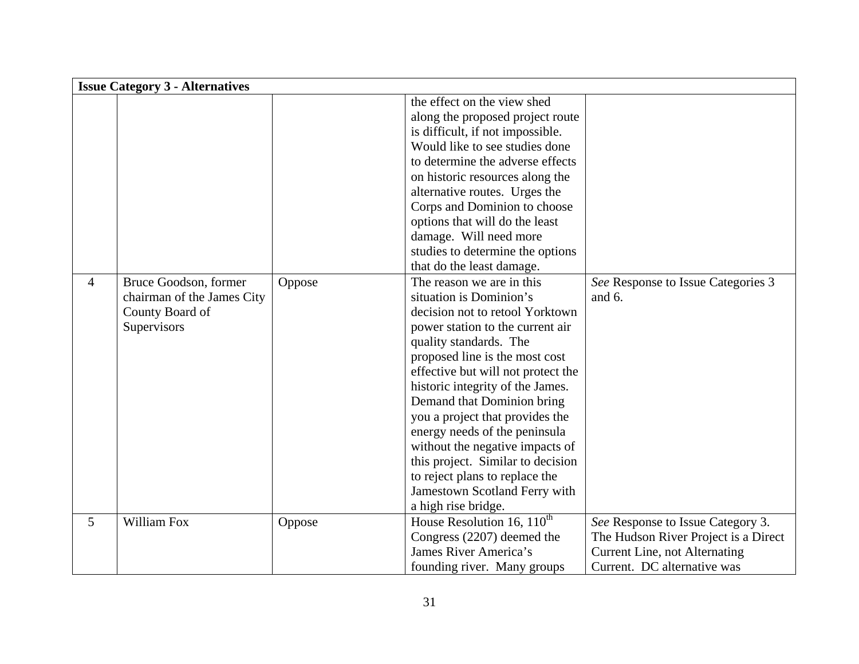|   | <b>Issue Category 3 - Alternatives</b> |        |                                        |                                      |
|---|----------------------------------------|--------|----------------------------------------|--------------------------------------|
|   |                                        |        | the effect on the view shed            |                                      |
|   |                                        |        | along the proposed project route       |                                      |
|   |                                        |        | is difficult, if not impossible.       |                                      |
|   |                                        |        | Would like to see studies done         |                                      |
|   |                                        |        | to determine the adverse effects       |                                      |
|   |                                        |        | on historic resources along the        |                                      |
|   |                                        |        | alternative routes. Urges the          |                                      |
|   |                                        |        | Corps and Dominion to choose           |                                      |
|   |                                        |        | options that will do the least         |                                      |
|   |                                        |        | damage. Will need more                 |                                      |
|   |                                        |        | studies to determine the options       |                                      |
|   |                                        |        | that do the least damage.              |                                      |
| 4 | Bruce Goodson, former                  | Oppose | The reason we are in this              | See Response to Issue Categories 3   |
|   | chairman of the James City             |        | situation is Dominion's                | and 6.                               |
|   | County Board of                        |        | decision not to retool Yorktown        |                                      |
|   | Supervisors                            |        | power station to the current air       |                                      |
|   |                                        |        | quality standards. The                 |                                      |
|   |                                        |        | proposed line is the most cost         |                                      |
|   |                                        |        | effective but will not protect the     |                                      |
|   |                                        |        | historic integrity of the James.       |                                      |
|   |                                        |        | Demand that Dominion bring             |                                      |
|   |                                        |        | you a project that provides the        |                                      |
|   |                                        |        | energy needs of the peninsula          |                                      |
|   |                                        |        | without the negative impacts of        |                                      |
|   |                                        |        | this project. Similar to decision      |                                      |
|   |                                        |        | to reject plans to replace the         |                                      |
|   |                                        |        | Jamestown Scotland Ferry with          |                                      |
|   |                                        |        | a high rise bridge.                    |                                      |
| 5 | William Fox                            | Oppose | House Resolution $16, 110^{\text{th}}$ | See Response to Issue Category 3.    |
|   |                                        |        | Congress (2207) deemed the             | The Hudson River Project is a Direct |
|   |                                        |        | James River America's                  | <b>Current Line, not Alternating</b> |
|   |                                        |        | founding river. Many groups            | Current. DC alternative was          |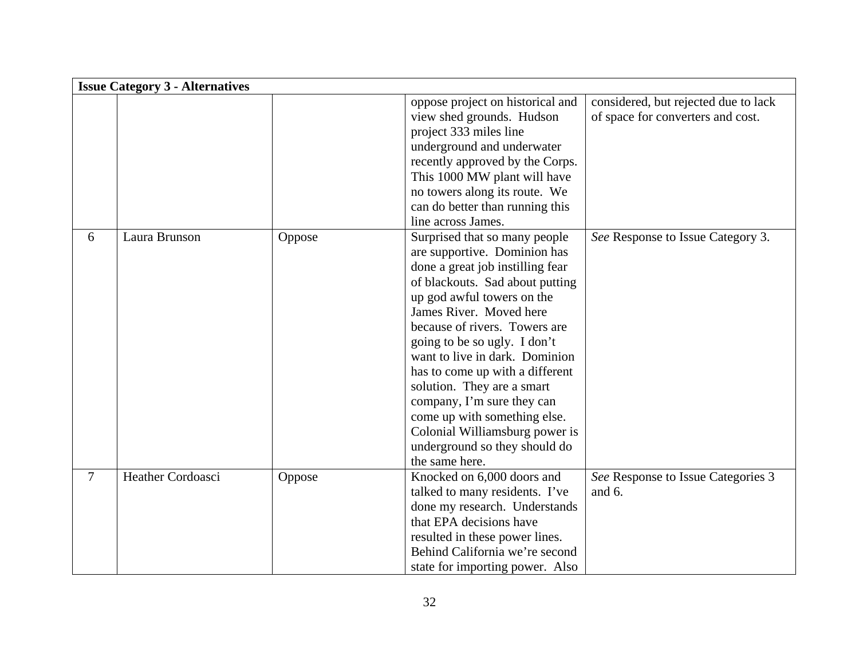|   | <b>Issue Category 3 - Alternatives</b> |        |                                  |                                      |
|---|----------------------------------------|--------|----------------------------------|--------------------------------------|
|   |                                        |        | oppose project on historical and | considered, but rejected due to lack |
|   |                                        |        | view shed grounds. Hudson        | of space for converters and cost.    |
|   |                                        |        | project 333 miles line           |                                      |
|   |                                        |        | underground and underwater       |                                      |
|   |                                        |        | recently approved by the Corps.  |                                      |
|   |                                        |        | This 1000 MW plant will have     |                                      |
|   |                                        |        | no towers along its route. We    |                                      |
|   |                                        |        | can do better than running this  |                                      |
|   |                                        |        | line across James.               |                                      |
| 6 | Laura Brunson                          | Oppose | Surprised that so many people    | See Response to Issue Category 3.    |
|   |                                        |        | are supportive. Dominion has     |                                      |
|   |                                        |        | done a great job instilling fear |                                      |
|   |                                        |        | of blackouts. Sad about putting  |                                      |
|   |                                        |        | up god awful towers on the       |                                      |
|   |                                        |        | James River. Moved here          |                                      |
|   |                                        |        | because of rivers. Towers are    |                                      |
|   |                                        |        | going to be so ugly. I don't     |                                      |
|   |                                        |        | want to live in dark. Dominion   |                                      |
|   |                                        |        | has to come up with a different  |                                      |
|   |                                        |        | solution. They are a smart       |                                      |
|   |                                        |        | company, I'm sure they can       |                                      |
|   |                                        |        | come up with something else.     |                                      |
|   |                                        |        | Colonial Williamsburg power is   |                                      |
|   |                                        |        | underground so they should do    |                                      |
|   |                                        |        | the same here.                   |                                      |
| 7 | Heather Cordoasci                      | Oppose | Knocked on 6,000 doors and       | See Response to Issue Categories 3   |
|   |                                        |        | talked to many residents. I've   | and 6.                               |
|   |                                        |        | done my research. Understands    |                                      |
|   |                                        |        | that EPA decisions have          |                                      |
|   |                                        |        | resulted in these power lines.   |                                      |
|   |                                        |        | Behind California we're second   |                                      |
|   |                                        |        | state for importing power. Also  |                                      |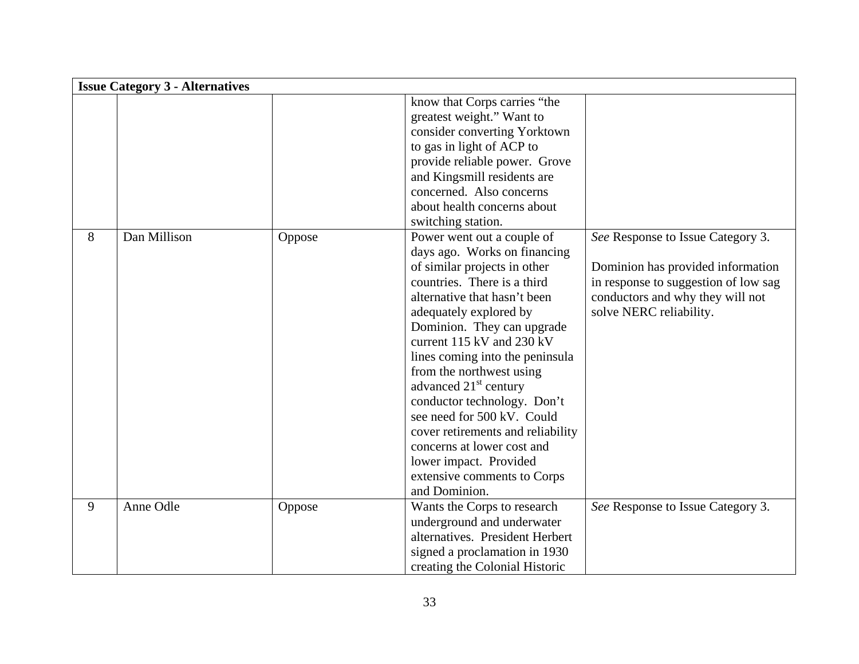|   | <b>Issue Category 3 - Alternatives</b> |        |                                   |                                      |
|---|----------------------------------------|--------|-----------------------------------|--------------------------------------|
|   |                                        |        | know that Corps carries "the      |                                      |
|   |                                        |        | greatest weight." Want to         |                                      |
|   |                                        |        | consider converting Yorktown      |                                      |
|   |                                        |        | to gas in light of ACP to         |                                      |
|   |                                        |        | provide reliable power. Grove     |                                      |
|   |                                        |        | and Kingsmill residents are       |                                      |
|   |                                        |        | concerned. Also concerns          |                                      |
|   |                                        |        | about health concerns about       |                                      |
|   |                                        |        | switching station.                |                                      |
| 8 | Dan Millison                           | Oppose | Power went out a couple of        | See Response to Issue Category 3.    |
|   |                                        |        | days ago. Works on financing      |                                      |
|   |                                        |        | of similar projects in other      | Dominion has provided information    |
|   |                                        |        | countries. There is a third       | in response to suggestion of low sag |
|   |                                        |        | alternative that hasn't been      | conductors and why they will not     |
|   |                                        |        | adequately explored by            | solve NERC reliability.              |
|   |                                        |        | Dominion. They can upgrade        |                                      |
|   |                                        |        | current $115$ kV and $230$ kV     |                                      |
|   |                                        |        | lines coming into the peninsula   |                                      |
|   |                                        |        | from the northwest using          |                                      |
|   |                                        |        | advanced 21 <sup>st</sup> century |                                      |
|   |                                        |        | conductor technology. Don't       |                                      |
|   |                                        |        | see need for 500 kV. Could        |                                      |
|   |                                        |        | cover retirements and reliability |                                      |
|   |                                        |        | concerns at lower cost and        |                                      |
|   |                                        |        | lower impact. Provided            |                                      |
|   |                                        |        | extensive comments to Corps       |                                      |
|   |                                        |        | and Dominion.                     |                                      |
| 9 | Anne Odle                              | Oppose | Wants the Corps to research       | See Response to Issue Category 3.    |
|   |                                        |        | underground and underwater        |                                      |
|   |                                        |        | alternatives. President Herbert   |                                      |
|   |                                        |        | signed a proclamation in 1930     |                                      |
|   |                                        |        | creating the Colonial Historic    |                                      |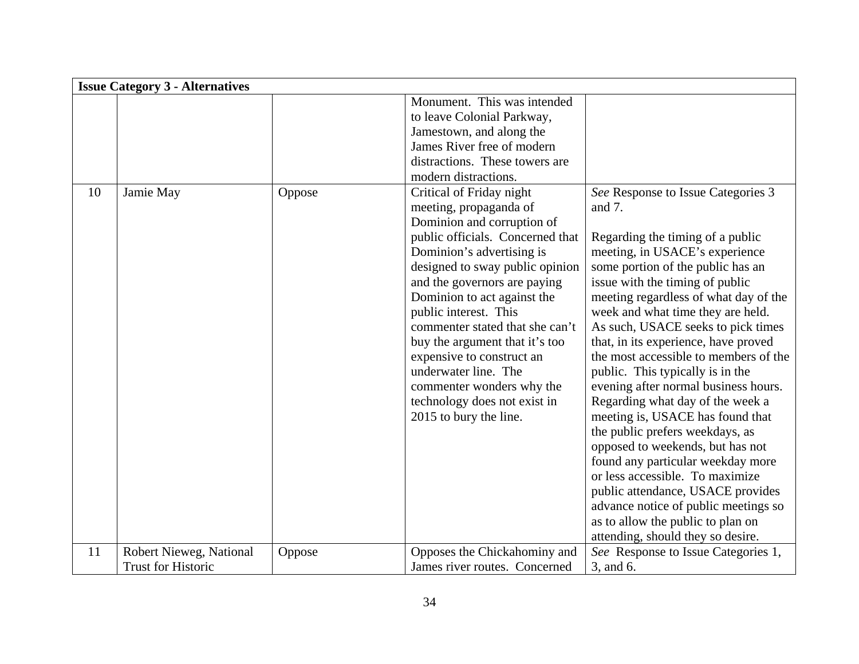|    | <b>Issue Category 3 - Alternatives</b>               |        |                                                                                                                                                                                                                                                                                                                                                                                                                                                                                               |                                                                                                                                                                                                                                                                                                                                                                                                                                                                                                                                                                                                                                                                                                                                                                                                                                                           |
|----|------------------------------------------------------|--------|-----------------------------------------------------------------------------------------------------------------------------------------------------------------------------------------------------------------------------------------------------------------------------------------------------------------------------------------------------------------------------------------------------------------------------------------------------------------------------------------------|-----------------------------------------------------------------------------------------------------------------------------------------------------------------------------------------------------------------------------------------------------------------------------------------------------------------------------------------------------------------------------------------------------------------------------------------------------------------------------------------------------------------------------------------------------------------------------------------------------------------------------------------------------------------------------------------------------------------------------------------------------------------------------------------------------------------------------------------------------------|
|    |                                                      |        | Monument. This was intended<br>to leave Colonial Parkway,<br>Jamestown, and along the<br>James River free of modern<br>distractions. These towers are<br>modern distractions.                                                                                                                                                                                                                                                                                                                 |                                                                                                                                                                                                                                                                                                                                                                                                                                                                                                                                                                                                                                                                                                                                                                                                                                                           |
| 10 | Jamie May                                            | Oppose | Critical of Friday night<br>meeting, propaganda of<br>Dominion and corruption of<br>public officials. Concerned that<br>Dominion's advertising is<br>designed to sway public opinion<br>and the governors are paying<br>Dominion to act against the<br>public interest. This<br>commenter stated that she can't<br>buy the argument that it's too<br>expensive to construct an<br>underwater line. The<br>commenter wonders why the<br>technology does not exist in<br>2015 to bury the line. | See Response to Issue Categories 3<br>and 7.<br>Regarding the timing of a public<br>meeting, in USACE's experience<br>some portion of the public has an<br>issue with the timing of public<br>meeting regardless of what day of the<br>week and what time they are held.<br>As such, USACE seeks to pick times<br>that, in its experience, have proved<br>the most accessible to members of the<br>public. This typically is in the<br>evening after normal business hours.<br>Regarding what day of the week a<br>meeting is, USACE has found that<br>the public prefers weekdays, as<br>opposed to weekends, but has not<br>found any particular weekday more<br>or less accessible. To maximize<br>public attendance, USACE provides<br>advance notice of public meetings so<br>as to allow the public to plan on<br>attending, should they so desire. |
| 11 | Robert Nieweg, National<br><b>Trust for Historic</b> | Oppose | Opposes the Chickahominy and<br>James river routes. Concerned                                                                                                                                                                                                                                                                                                                                                                                                                                 | See Response to Issue Categories 1,<br>3, and 6.                                                                                                                                                                                                                                                                                                                                                                                                                                                                                                                                                                                                                                                                                                                                                                                                          |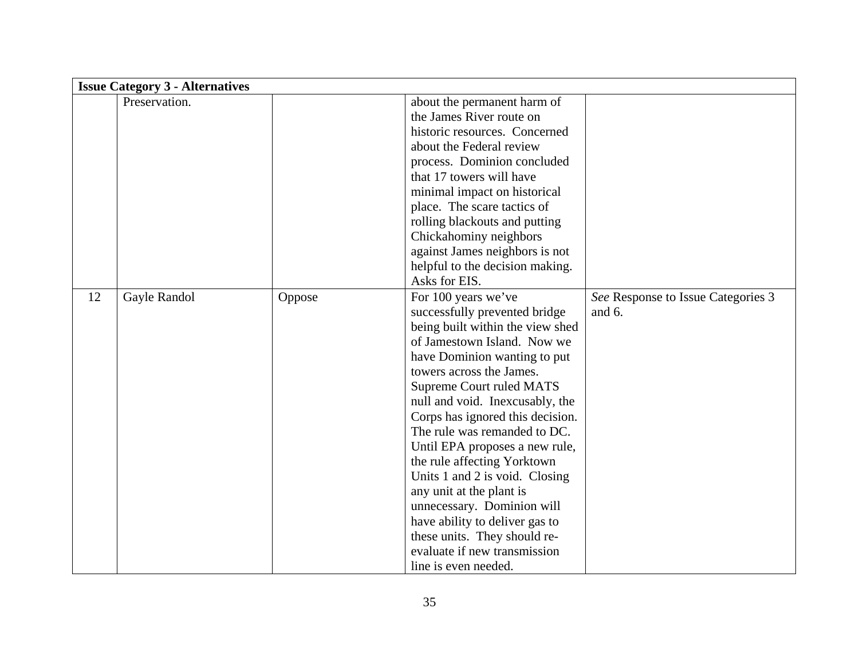|    | <b>Issue Category 3 - Alternatives</b> |        |                                  |                                    |  |
|----|----------------------------------------|--------|----------------------------------|------------------------------------|--|
|    | Preservation.                          |        | about the permanent harm of      |                                    |  |
|    |                                        |        | the James River route on         |                                    |  |
|    |                                        |        | historic resources. Concerned    |                                    |  |
|    |                                        |        | about the Federal review         |                                    |  |
|    |                                        |        | process. Dominion concluded      |                                    |  |
|    |                                        |        | that 17 towers will have         |                                    |  |
|    |                                        |        | minimal impact on historical     |                                    |  |
|    |                                        |        | place. The scare tactics of      |                                    |  |
|    |                                        |        | rolling blackouts and putting    |                                    |  |
|    |                                        |        | Chickahominy neighbors           |                                    |  |
|    |                                        |        | against James neighbors is not   |                                    |  |
|    |                                        |        | helpful to the decision making.  |                                    |  |
|    |                                        |        | Asks for EIS.                    |                                    |  |
| 12 | Gayle Randol                           | Oppose | For 100 years we've              | See Response to Issue Categories 3 |  |
|    |                                        |        | successfully prevented bridge    | and $6$ .                          |  |
|    |                                        |        | being built within the view shed |                                    |  |
|    |                                        |        | of Jamestown Island. Now we      |                                    |  |
|    |                                        |        | have Dominion wanting to put     |                                    |  |
|    |                                        |        | towers across the James.         |                                    |  |
|    |                                        |        | <b>Supreme Court ruled MATS</b>  |                                    |  |
|    |                                        |        | null and void. Inexcusably, the  |                                    |  |
|    |                                        |        | Corps has ignored this decision. |                                    |  |
|    |                                        |        | The rule was remanded to DC.     |                                    |  |
|    |                                        |        | Until EPA proposes a new rule,   |                                    |  |
|    |                                        |        | the rule affecting Yorktown      |                                    |  |
|    |                                        |        | Units 1 and 2 is void. Closing   |                                    |  |
|    |                                        |        | any unit at the plant is         |                                    |  |
|    |                                        |        | unnecessary. Dominion will       |                                    |  |
|    |                                        |        | have ability to deliver gas to   |                                    |  |
|    |                                        |        | these units. They should re-     |                                    |  |
|    |                                        |        | evaluate if new transmission     |                                    |  |
|    |                                        |        | line is even needed.             |                                    |  |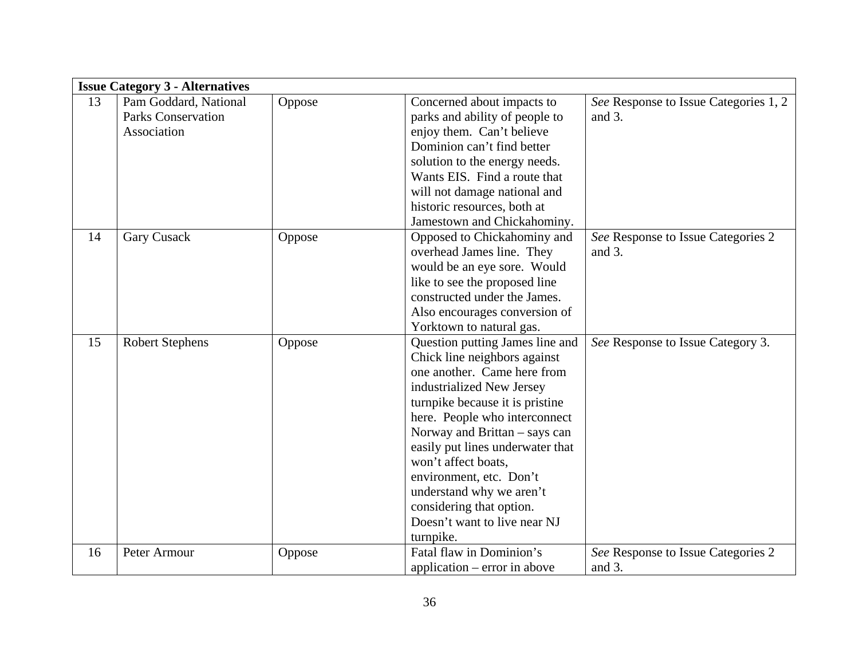|    | <b>Issue Category 3 - Alternatives</b> |        |                                  |                                       |
|----|----------------------------------------|--------|----------------------------------|---------------------------------------|
| 13 | Pam Goddard, National                  | Oppose | Concerned about impacts to       | See Response to Issue Categories 1, 2 |
|    | <b>Parks Conservation</b>              |        | parks and ability of people to   | and $3$ .                             |
|    | Association                            |        | enjoy them. Can't believe        |                                       |
|    |                                        |        | Dominion can't find better       |                                       |
|    |                                        |        | solution to the energy needs.    |                                       |
|    |                                        |        | Wants EIS. Find a route that     |                                       |
|    |                                        |        | will not damage national and     |                                       |
|    |                                        |        | historic resources, both at      |                                       |
|    |                                        |        | Jamestown and Chickahominy.      |                                       |
| 14 | <b>Gary Cusack</b>                     | Oppose | Opposed to Chickahominy and      | See Response to Issue Categories 2    |
|    |                                        |        | overhead James line. They        | and $3$ .                             |
|    |                                        |        | would be an eye sore. Would      |                                       |
|    |                                        |        | like to see the proposed line    |                                       |
|    |                                        |        | constructed under the James.     |                                       |
|    |                                        |        | Also encourages conversion of    |                                       |
|    |                                        |        | Yorktown to natural gas.         |                                       |
| 15 | <b>Robert Stephens</b>                 | Oppose | Question putting James line and  | See Response to Issue Category 3.     |
|    |                                        |        | Chick line neighbors against     |                                       |
|    |                                        |        | one another. Came here from      |                                       |
|    |                                        |        | industrialized New Jersey        |                                       |
|    |                                        |        | turnpike because it is pristine  |                                       |
|    |                                        |        | here. People who interconnect    |                                       |
|    |                                        |        | Norway and Brittan - says can    |                                       |
|    |                                        |        | easily put lines underwater that |                                       |
|    |                                        |        | won't affect boats,              |                                       |
|    |                                        |        | environment, etc. Don't          |                                       |
|    |                                        |        | understand why we aren't         |                                       |
|    |                                        |        | considering that option.         |                                       |
|    |                                        |        | Doesn't want to live near NJ     |                                       |
|    |                                        |        | turnpike.                        |                                       |
| 16 | Peter Armour                           | Oppose | Fatal flaw in Dominion's         | See Response to Issue Categories 2    |
|    |                                        |        | application $-$ error in above   | and 3.                                |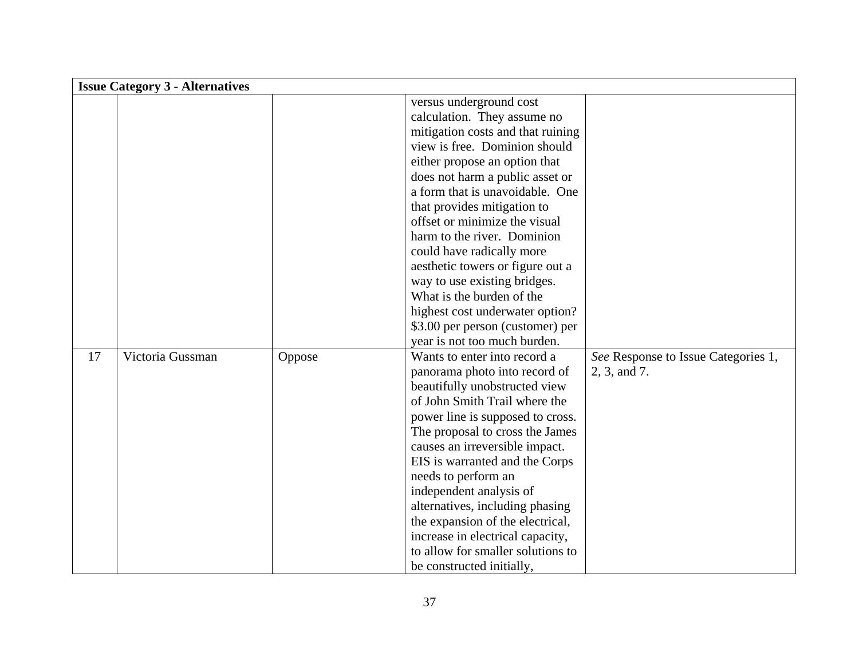|    | <b>Issue Category 3 - Alternatives</b> |        |                                   |                                     |
|----|----------------------------------------|--------|-----------------------------------|-------------------------------------|
|    |                                        |        | versus underground cost           |                                     |
|    |                                        |        | calculation. They assume no       |                                     |
|    |                                        |        | mitigation costs and that ruining |                                     |
|    |                                        |        | view is free. Dominion should     |                                     |
|    |                                        |        | either propose an option that     |                                     |
|    |                                        |        | does not harm a public asset or   |                                     |
|    |                                        |        | a form that is unavoidable. One   |                                     |
|    |                                        |        | that provides mitigation to       |                                     |
|    |                                        |        | offset or minimize the visual     |                                     |
|    |                                        |        | harm to the river. Dominion       |                                     |
|    |                                        |        | could have radically more         |                                     |
|    |                                        |        | aesthetic towers or figure out a  |                                     |
|    |                                        |        | way to use existing bridges.      |                                     |
|    |                                        |        | What is the burden of the         |                                     |
|    |                                        |        | highest cost underwater option?   |                                     |
|    |                                        |        | \$3.00 per person (customer) per  |                                     |
|    |                                        |        | year is not too much burden.      |                                     |
| 17 | Victoria Gussman                       | Oppose | Wants to enter into record a      | See Response to Issue Categories 1, |
|    |                                        |        | panorama photo into record of     | 2, 3, and 7.                        |
|    |                                        |        | beautifully unobstructed view     |                                     |
|    |                                        |        | of John Smith Trail where the     |                                     |
|    |                                        |        | power line is supposed to cross.  |                                     |
|    |                                        |        | The proposal to cross the James   |                                     |
|    |                                        |        | causes an irreversible impact.    |                                     |
|    |                                        |        | EIS is warranted and the Corps    |                                     |
|    |                                        |        | needs to perform an               |                                     |
|    |                                        |        | independent analysis of           |                                     |
|    |                                        |        | alternatives, including phasing   |                                     |
|    |                                        |        | the expansion of the electrical,  |                                     |
|    |                                        |        | increase in electrical capacity,  |                                     |
|    |                                        |        | to allow for smaller solutions to |                                     |
|    |                                        |        | be constructed initially,         |                                     |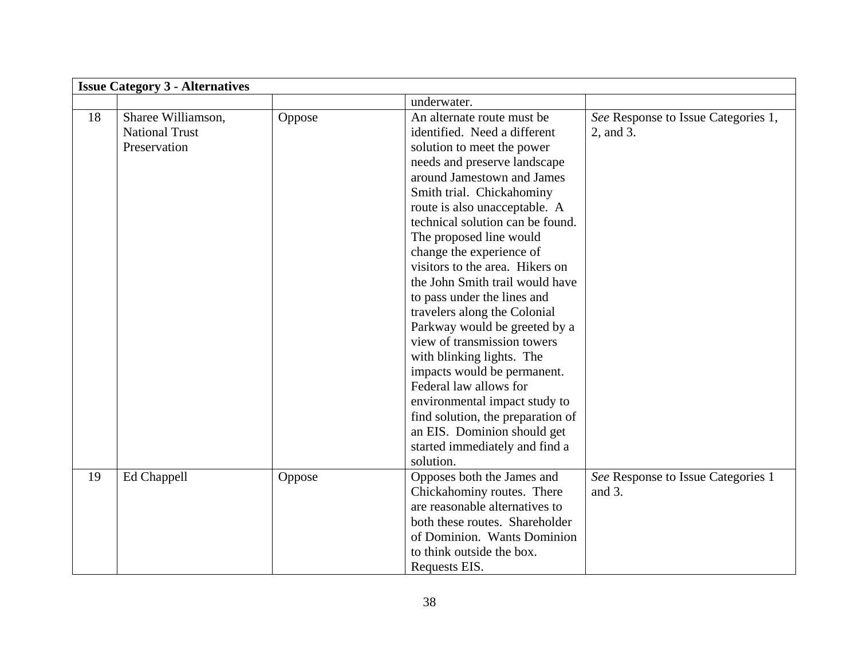|    | <b>Issue Category 3 - Alternatives</b>                      |        |                                                                                                                                                                                                                                                                                                                                                                                                                                                                                                                                                                                                                                                                                                                                                   |                                                  |
|----|-------------------------------------------------------------|--------|---------------------------------------------------------------------------------------------------------------------------------------------------------------------------------------------------------------------------------------------------------------------------------------------------------------------------------------------------------------------------------------------------------------------------------------------------------------------------------------------------------------------------------------------------------------------------------------------------------------------------------------------------------------------------------------------------------------------------------------------------|--------------------------------------------------|
|    |                                                             |        | underwater.                                                                                                                                                                                                                                                                                                                                                                                                                                                                                                                                                                                                                                                                                                                                       |                                                  |
| 18 | Sharee Williamson,<br><b>National Trust</b><br>Preservation | Oppose | An alternate route must be<br>identified. Need a different<br>solution to meet the power<br>needs and preserve landscape<br>around Jamestown and James<br>Smith trial. Chickahominy<br>route is also unacceptable. A<br>technical solution can be found.<br>The proposed line would<br>change the experience of<br>visitors to the area. Hikers on<br>the John Smith trail would have<br>to pass under the lines and<br>travelers along the Colonial<br>Parkway would be greeted by a<br>view of transmission towers<br>with blinking lights. The<br>impacts would be permanent.<br>Federal law allows for<br>environmental impact study to<br>find solution, the preparation of<br>an EIS. Dominion should get<br>started immediately and find a | See Response to Issue Categories 1,<br>2, and 3. |
|    |                                                             |        | solution.                                                                                                                                                                                                                                                                                                                                                                                                                                                                                                                                                                                                                                                                                                                                         |                                                  |
| 19 | Ed Chappell                                                 | Oppose | Opposes both the James and<br>Chickahominy routes. There<br>are reasonable alternatives to<br>both these routes. Shareholder<br>of Dominion. Wants Dominion<br>to think outside the box.<br>Requests EIS.                                                                                                                                                                                                                                                                                                                                                                                                                                                                                                                                         | See Response to Issue Categories 1<br>and $3$ .  |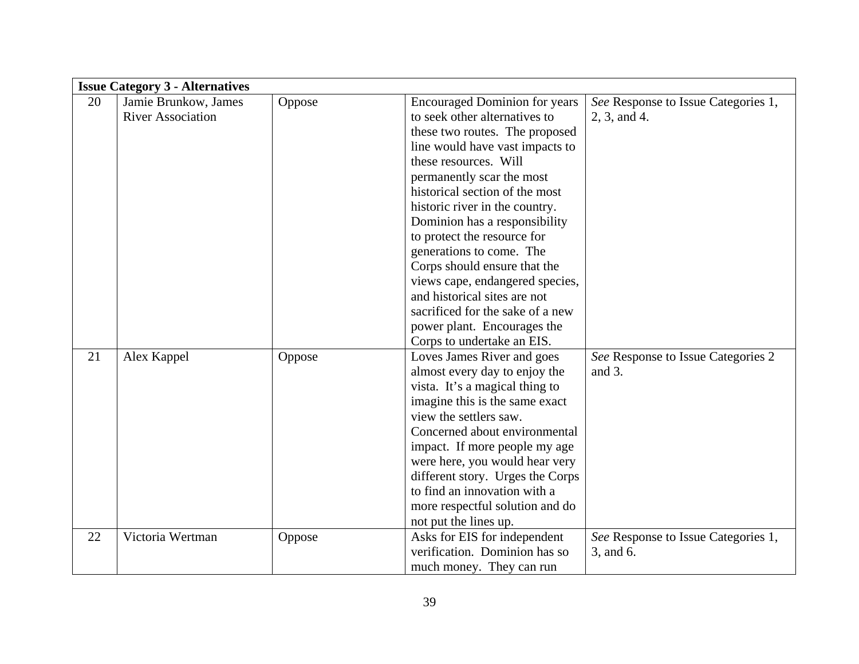|    | <b>Issue Category 3 - Alternatives</b> |        |                                      |                                     |
|----|----------------------------------------|--------|--------------------------------------|-------------------------------------|
| 20 | Jamie Brunkow, James                   | Oppose | <b>Encouraged Dominion for years</b> | See Response to Issue Categories 1, |
|    | <b>River Association</b>               |        | to seek other alternatives to        | 2, 3, and 4.                        |
|    |                                        |        | these two routes. The proposed       |                                     |
|    |                                        |        | line would have vast impacts to      |                                     |
|    |                                        |        | these resources. Will                |                                     |
|    |                                        |        | permanently scar the most            |                                     |
|    |                                        |        | historical section of the most       |                                     |
|    |                                        |        | historic river in the country.       |                                     |
|    |                                        |        | Dominion has a responsibility        |                                     |
|    |                                        |        | to protect the resource for          |                                     |
|    |                                        |        | generations to come. The             |                                     |
|    |                                        |        | Corps should ensure that the         |                                     |
|    |                                        |        | views cape, endangered species,      |                                     |
|    |                                        |        | and historical sites are not         |                                     |
|    |                                        |        | sacrificed for the sake of a new     |                                     |
|    |                                        |        | power plant. Encourages the          |                                     |
|    |                                        |        | Corps to undertake an EIS.           |                                     |
| 21 | Alex Kappel                            | Oppose | Loves James River and goes           | See Response to Issue Categories 2  |
|    |                                        |        | almost every day to enjoy the        | and $3$ .                           |
|    |                                        |        | vista. It's a magical thing to       |                                     |
|    |                                        |        | imagine this is the same exact       |                                     |
|    |                                        |        | view the settlers saw.               |                                     |
|    |                                        |        | Concerned about environmental        |                                     |
|    |                                        |        | impact. If more people my age        |                                     |
|    |                                        |        | were here, you would hear very       |                                     |
|    |                                        |        | different story. Urges the Corps     |                                     |
|    |                                        |        | to find an innovation with a         |                                     |
|    |                                        |        | more respectful solution and do      |                                     |
|    |                                        |        | not put the lines up.                |                                     |
| 22 | Victoria Wertman                       | Oppose | Asks for EIS for independent         | See Response to Issue Categories 1, |
|    |                                        |        | verification. Dominion has so        | 3, and 6.                           |
|    |                                        |        | much money. They can run             |                                     |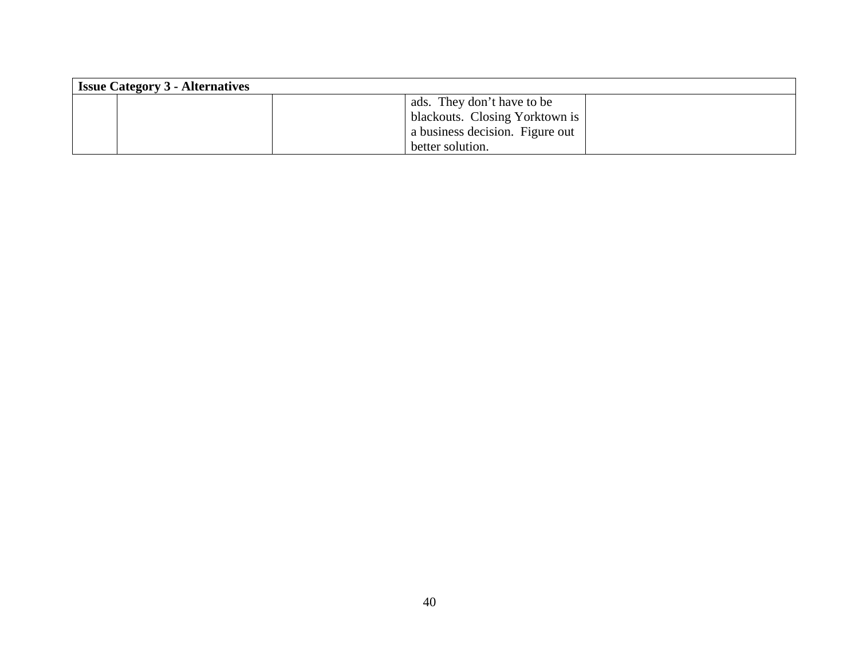| <b>Issue Category 3 - Alternatives</b> |                                 |  |  |  |
|----------------------------------------|---------------------------------|--|--|--|
|                                        | ads. They don't have to be      |  |  |  |
|                                        | blackouts. Closing Yorktown is  |  |  |  |
|                                        | a business decision. Figure out |  |  |  |
|                                        | better solution.                |  |  |  |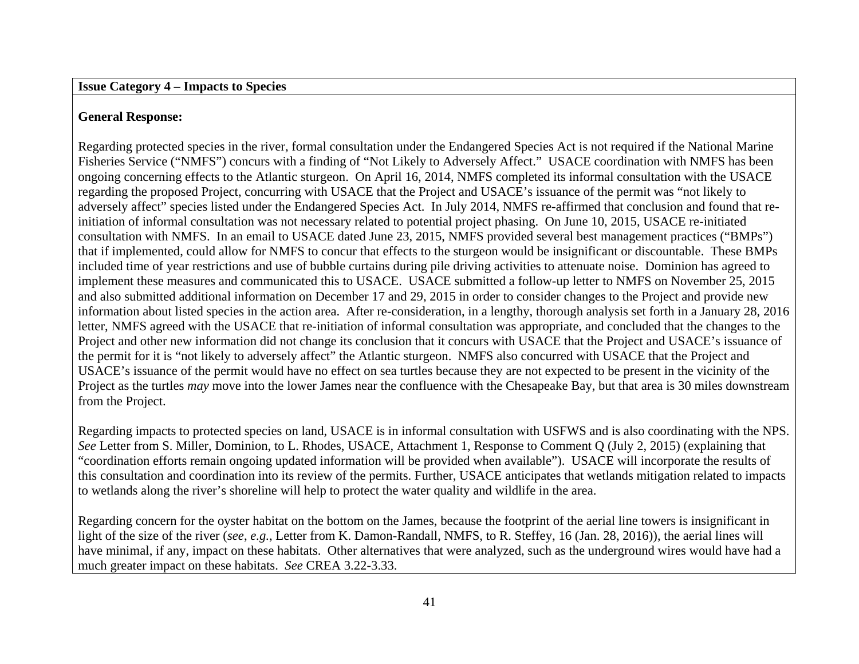#### **Issue Category 4 – Impacts to Species**

# **General Response:**

Regarding protected species in the river, formal consultation under the Endangered Species Act is not required if the National Marine Fisheries Service ("NMFS") concurs with a finding of "Not Likely to Adversely Affect." USACE coordination with NMFS has been ongoing concerning effects to the Atlantic sturgeon. On April 16, 2014, NMFS completed its informal consultation with the USACE regarding the proposed Project, concurring with USACE that the Project and USACE's issuance of the permit was "not likely to adversely affect" species listed under the Endangered Species Act. In July 2014, NMFS re-affirmed that conclusion and found that reinitiation of informal consultation was not necessary related to potential project phasing. On June 10, 2015, USACE re-initiated consultation with NMFS. In an email to USACE dated June 23, 2015, NMFS provided several best management practices ("BMPs") that if implemented, could allow for NMFS to concur that effects to the sturgeon would be insignificant or discountable. These BMPs included time of year restrictions and use of bubble curtains during pile driving activities to attenuate noise. Dominion has agreed to implement these measures and communicated this to USACE. USACE submitted a follow-up letter to NMFS on November 25, 2015 and also submitted additional information on December 17 and 29, 2015 in order to consider changes to the Project and provide new information about listed species in the action area. After re-consideration, in a lengthy, thorough analysis set forth in a January 28, 2016 letter, NMFS agreed with the USACE that re-initiation of informal consultation was appropriate, and concluded that the changes to the Project and other new information did not change its conclusion that it concurs with USACE that the Project and USACE's issuance of the permit for it is "not likely to adversely affect" the Atlantic sturgeon. NMFS also concurred with USACE that the Project and USACE's issuance of the permit would have no effect on sea turtles because they are not expected to be present in the vicinity of the Project as the turtles *may* move into the lower James near the confluence with the Chesapeake Bay, but that area is 30 miles downstream from the Project.

Regarding impacts to protected species on land, USACE is in informal consultation with USFWS and is also coordinating with the NPS. *See* Letter from S. Miller, Dominion, to L. Rhodes, USACE, Attachment 1, Response to Comment Q (July 2, 2015) (explaining that "coordination efforts remain ongoing updated information will be provided when available"). USACE will incorporate the results of this consultation and coordination into its review of the permits. Further, USACE anticipates that wetlands mitigation related to impacts to wetlands along the river's shoreline will help to protect the water quality and wildlife in the area.

Regarding concern for the oyster habitat on the bottom on the James, because the footprint of the aerial line towers is insignificant in light of the size of the river (*see*, *e.g.*, Letter from K. Damon-Randall, NMFS, to R. Steffey, 16 (Jan. 28, 2016)), the aerial lines will have minimal, if any, impact on these habitats. Other alternatives that were analyzed, such as the underground wires would have had a much greater impact on these habitats. *See* CREA 3.22-3.33.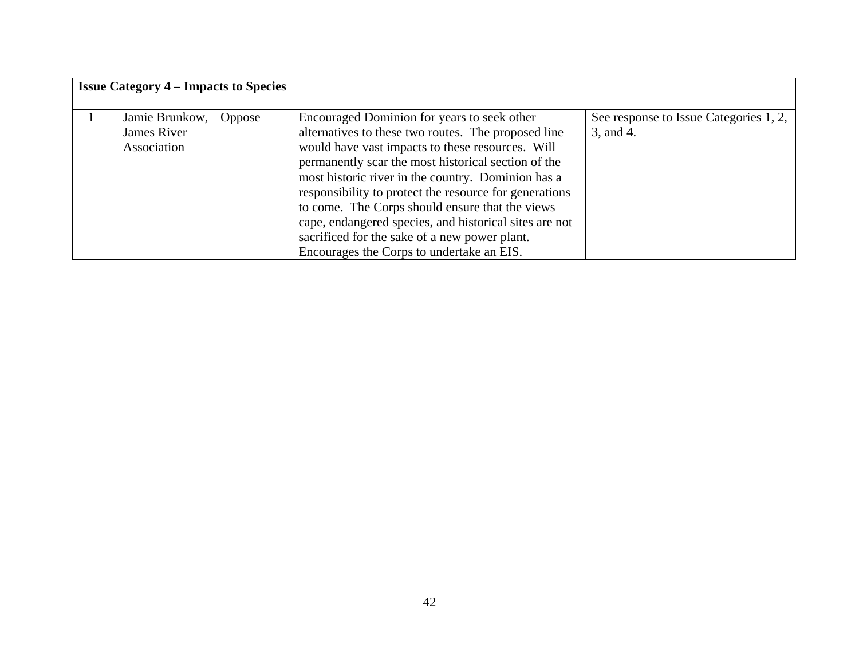| <b>Issue Category 4 – Impacts to Species</b> |        |                                                        |                                        |
|----------------------------------------------|--------|--------------------------------------------------------|----------------------------------------|
|                                              |        |                                                        |                                        |
| Jamie Brunkow,                               | Oppose | Encouraged Dominion for years to seek other            | See response to Issue Categories 1, 2, |
| James River                                  |        | alternatives to these two routes. The proposed line    | 3, and 4.                              |
| Association                                  |        | would have vast impacts to these resources. Will       |                                        |
|                                              |        | permanently scar the most historical section of the    |                                        |
|                                              |        | most historic river in the country. Dominion has a     |                                        |
|                                              |        | responsibility to protect the resource for generations |                                        |
|                                              |        | to come. The Corps should ensure that the views        |                                        |
|                                              |        | cape, endangered species, and historical sites are not |                                        |
|                                              |        | sacrificed for the sake of a new power plant.          |                                        |
|                                              |        | Encourages the Corps to undertake an EIS.              |                                        |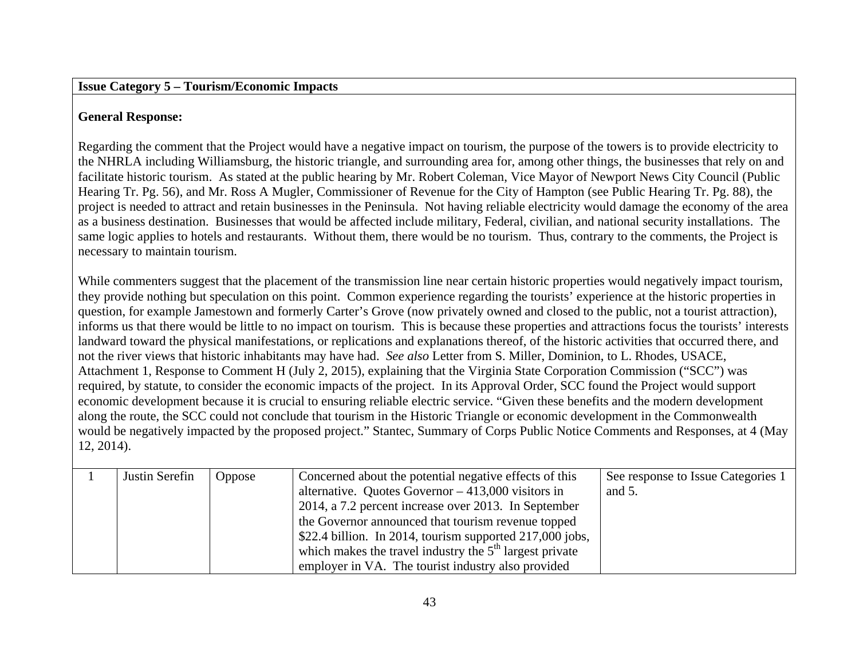#### **Issue Category 5 – Tourism/Economic Impacts**

# **General Response:**

Regarding the comment that the Project would have a negative impact on tourism, the purpose of the towers is to provide electricity to the NHRLA including Williamsburg, the historic triangle, and surrounding area for, among other things, the businesses that rely on and facilitate historic tourism. As stated at the public hearing by Mr. Robert Coleman, Vice Mayor of Newport News City Council (Public Hearing Tr. Pg. 56), and Mr. Ross A Mugler, Commissioner of Revenue for the City of Hampton (see Public Hearing Tr. Pg. 88), the project is needed to attract and retain businesses in the Peninsula. Not having reliable electricity would damage the economy of the area as a business destination. Businesses that would be affected include military, Federal, civilian, and national security installations. The same logic applies to hotels and restaurants. Without them, there would be no tourism. Thus, contrary to the comments, the Project is necessary to maintain tourism.

While commenters suggest that the placement of the transmission line near certain historic properties would negatively impact tourism, they provide nothing but speculation on this point. Common experience regarding the tourists' experience at the historic properties in question, for example Jamestown and formerly Carter's Grove (now privately owned and closed to the public, not a tourist attraction), informs us that there would be little to no impact on tourism. This is because these properties and attractions focus the tourists' interests landward toward the physical manifestations, or replications and explanations thereof, of the historic activities that occurred there, and not the river views that historic inhabitants may have had. *See also* Letter from S. Miller, Dominion, to L. Rhodes, USACE, Attachment 1, Response to Comment H (July 2, 2015), explaining that the Virginia State Corporation Commission ("SCC") was required, by statute, to consider the economic impacts of the project. In its Approval Order, SCC found the Project would support economic development because it is crucial to ensuring reliable electric service. "Given these benefits and the modern development along the route, the SCC could not conclude that tourism in the Historic Triangle or economic development in the Commonwealth would be negatively impacted by the proposed project." Stantec, Summary of Corps Public Notice Comments and Responses, at 4 (May 12, 2014).

| Justin Serefin | <b>Oppose</b> | Concerned about the potential negative effects of this    | See response to Issue Categories 1 |
|----------------|---------------|-----------------------------------------------------------|------------------------------------|
|                |               | alternative. Quotes Governor $-413,000$ visitors in       | and $5$ .                          |
|                |               | 2014, a 7.2 percent increase over 2013. In September      |                                    |
|                |               | the Governor announced that tourism revenue topped        |                                    |
|                |               | \$22.4 billion. In 2014, tourism supported 217,000 jobs,  |                                    |
|                |               | which makes the travel industry the $5th$ largest private |                                    |
|                |               | employer in VA. The tourist industry also provided        |                                    |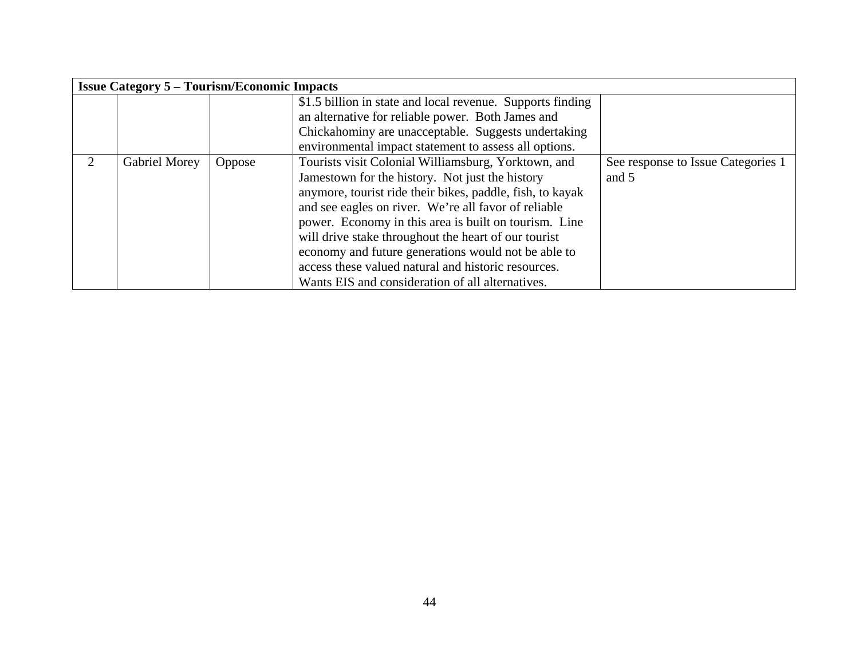|                             | <b>Issue Category 5 – Tourism/Economic Impacts</b> |               |                                                            |                                    |  |
|-----------------------------|----------------------------------------------------|---------------|------------------------------------------------------------|------------------------------------|--|
|                             |                                                    |               | \$1.5 billion in state and local revenue. Supports finding |                                    |  |
|                             |                                                    |               | an alternative for reliable power. Both James and          |                                    |  |
|                             |                                                    |               | Chickahominy are unacceptable. Suggests undertaking        |                                    |  |
|                             |                                                    |               | environmental impact statement to assess all options.      |                                    |  |
| $\mathcal{D}_{\mathcal{L}}$ | Gabriel Morey                                      | <b>Oppose</b> | Tourists visit Colonial Williamsburg, Yorktown, and        | See response to Issue Categories 1 |  |
|                             |                                                    |               | Jamestown for the history. Not just the history            | and 5                              |  |
|                             |                                                    |               | anymore, tourist ride their bikes, paddle, fish, to kayak  |                                    |  |
|                             |                                                    |               | and see eagles on river. We're all favor of reliable       |                                    |  |
|                             |                                                    |               | power. Economy in this area is built on tourism. Line      |                                    |  |
|                             |                                                    |               | will drive stake throughout the heart of our tourist       |                                    |  |
|                             |                                                    |               | economy and future generations would not be able to        |                                    |  |
|                             |                                                    |               | access these valued natural and historic resources.        |                                    |  |
|                             |                                                    |               | Wants EIS and consideration of all alternatives.           |                                    |  |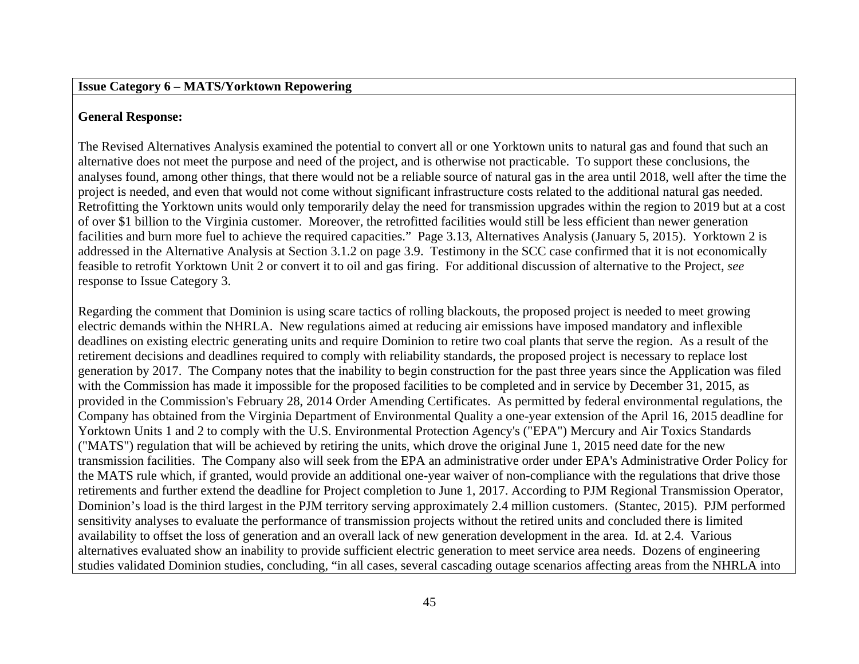### **Issue Category 6 – MATS/Yorktown Repowering**

# **General Response:**

The Revised Alternatives Analysis examined the potential to convert all or one Yorktown units to natural gas and found that such an alternative does not meet the purpose and need of the project, and is otherwise not practicable. To support these conclusions, the analyses found, among other things, that there would not be a reliable source of natural gas in the area until 2018, well after the time the project is needed, and even that would not come without significant infrastructure costs related to the additional natural gas needed. Retrofitting the Yorktown units would only temporarily delay the need for transmission upgrades within the region to 2019 but at a cost of over \$1 billion to the Virginia customer. Moreover, the retrofitted facilities would still be less efficient than newer generation facilities and burn more fuel to achieve the required capacities." Page 3.13, Alternatives Analysis (January 5, 2015). Yorktown 2 is addressed in the Alternative Analysis at Section 3.1.2 on page 3.9. Testimony in the SCC case confirmed that it is not economically feasible to retrofit Yorktown Unit 2 or convert it to oil and gas firing. For additional discussion of alternative to the Project, *see*  response to Issue Category 3.

Regarding the comment that Dominion is using scare tactics of rolling blackouts, the proposed project is needed to meet growing electric demands within the NHRLA. New regulations aimed at reducing air emissions have imposed mandatory and inflexible deadlines on existing electric generating units and require Dominion to retire two coal plants that serve the region. As a result of the retirement decisions and deadlines required to comply with reliability standards, the proposed project is necessary to replace lost generation by 2017. The Company notes that the inability to begin construction for the past three years since the Application was filed with the Commission has made it impossible for the proposed facilities to be completed and in service by December 31, 2015, as provided in the Commission's February 28, 2014 Order Amending Certificates. As permitted by federal environmental regulations, the Company has obtained from the Virginia Department of Environmental Quality a one-year extension of the April 16, 2015 deadline for Yorktown Units 1 and 2 to comply with the U.S. Environmental Protection Agency's ("EPA") Mercury and Air Toxics Standards ("MATS") regulation that will be achieved by retiring the units, which drove the original June 1, 2015 need date for the new transmission facilities. The Company also will seek from the EPA an administrative order under EPA's Administrative Order Policy for the MATS rule which, if granted, would provide an additional one-year waiver of non-compliance with the regulations that drive those retirements and further extend the deadline for Project completion to June 1, 2017. According to PJM Regional Transmission Operator, Dominion's load is the third largest in the PJM territory serving approximately 2.4 million customers. (Stantec, 2015). PJM performed sensitivity analyses to evaluate the performance of transmission projects without the retired units and concluded there is limited availability to offset the loss of generation and an overall lack of new generation development in the area. Id. at 2.4. Various alternatives evaluated show an inability to provide sufficient electric generation to meet service area needs. Dozens of engineering studies validated Dominion studies, concluding, "in all cases, several cascading outage scenarios affecting areas from the NHRLA into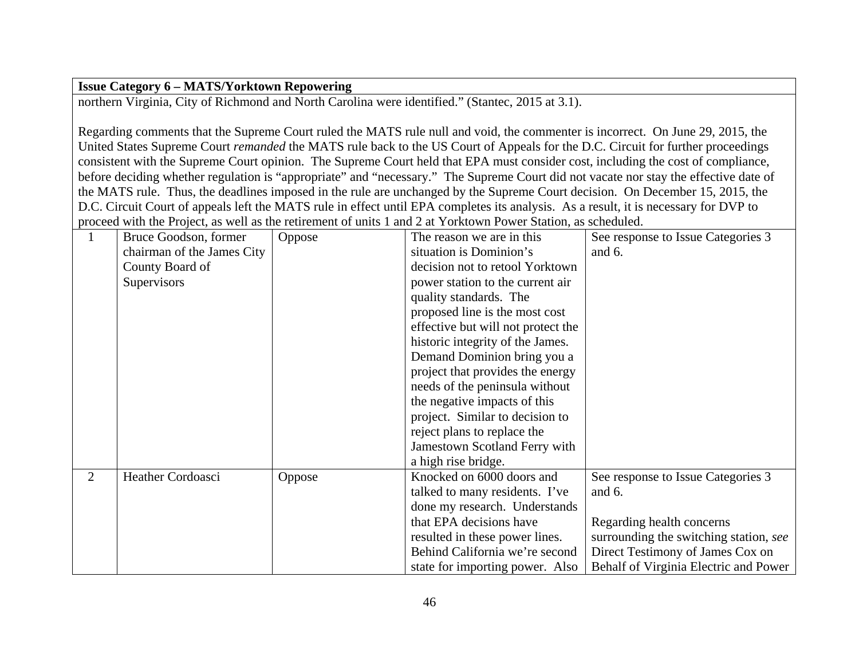# **Issue Category 6 – MATS/Yorktown Repowering**

northern Virginia, City of Richmond and North Carolina were identified." (Stantec, 2015 at 3.1).

Regarding comments that the Supreme Court ruled the MATS rule null and void, the commenter is incorrect. On June 29, 2015, the United States Supreme Court *remanded* the MATS rule back to the US Court of Appeals for the D.C. Circuit for further proceedings consistent with the Supreme Court opinion. The Supreme Court held that EPA must consider cost, including the cost of compliance, before deciding whether regulation is "appropriate" and "necessary." The Supreme Court did not vacate nor stay the effective date of the MATS rule. Thus, the deadlines imposed in the rule are unchanged by the Supreme Court decision. On December 15, 2015, the D.C. Circuit Court of appeals left the MATS rule in effect until EPA completes its analysis. As a result, it is necessary for DVP to proceed with the Project, as well as the retirement of units 1 and 2 at Yorktown Power Station, as scheduled.

|   | Bruce Goodson, former      | Oppose | The reason we are in this          | See response to Issue Categories 3     |
|---|----------------------------|--------|------------------------------------|----------------------------------------|
|   | chairman of the James City |        | situation is Dominion's            | and 6.                                 |
|   | County Board of            |        | decision not to retool Yorktown    |                                        |
|   | Supervisors                |        | power station to the current air   |                                        |
|   |                            |        | quality standards. The             |                                        |
|   |                            |        | proposed line is the most cost     |                                        |
|   |                            |        | effective but will not protect the |                                        |
|   |                            |        | historic integrity of the James.   |                                        |
|   |                            |        | Demand Dominion bring you a        |                                        |
|   |                            |        | project that provides the energy   |                                        |
|   |                            |        | needs of the peninsula without     |                                        |
|   |                            |        | the negative impacts of this       |                                        |
|   |                            |        | project. Similar to decision to    |                                        |
|   |                            |        | reject plans to replace the        |                                        |
|   |                            |        | Jamestown Scotland Ferry with      |                                        |
|   |                            |        | a high rise bridge.                |                                        |
| 2 | Heather Cordoasci          | Oppose | Knocked on 6000 doors and          | See response to Issue Categories 3     |
|   |                            |        | talked to many residents. I've     | and 6.                                 |
|   |                            |        | done my research. Understands      |                                        |
|   |                            |        | that EPA decisions have            | Regarding health concerns              |
|   |                            |        | resulted in these power lines.     | surrounding the switching station, see |
|   |                            |        | Behind California we're second     | Direct Testimony of James Cox on       |
|   |                            |        | state for importing power. Also    | Behalf of Virginia Electric and Power  |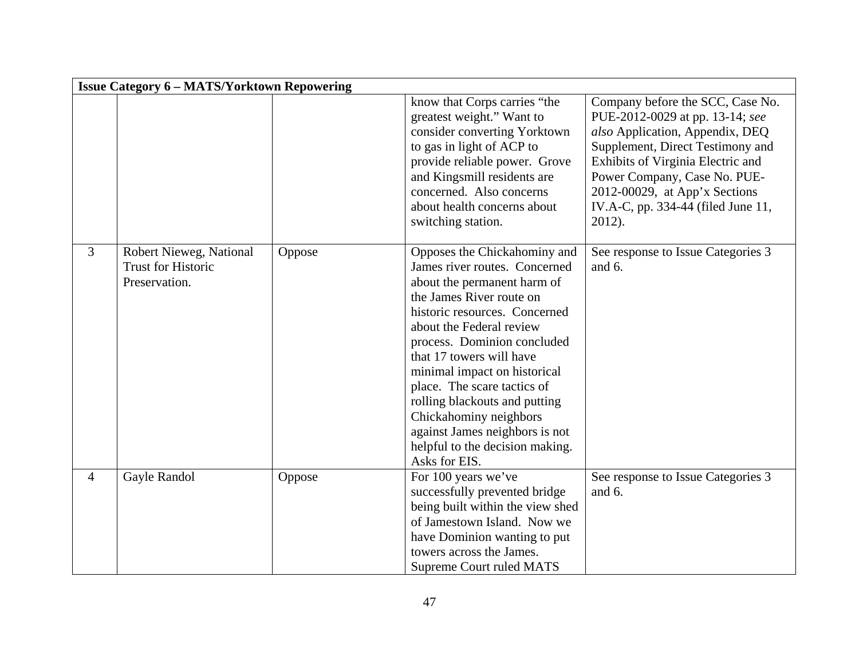|                | <b>Issue Category 6 - MATS/Yorktown Repowering</b>                    |        |                                                                                                                                                                                                                                                                                                                                                                                                                                                                  |                                                                                                                                                                                                                                                                                                  |  |
|----------------|-----------------------------------------------------------------------|--------|------------------------------------------------------------------------------------------------------------------------------------------------------------------------------------------------------------------------------------------------------------------------------------------------------------------------------------------------------------------------------------------------------------------------------------------------------------------|--------------------------------------------------------------------------------------------------------------------------------------------------------------------------------------------------------------------------------------------------------------------------------------------------|--|
|                |                                                                       |        | know that Corps carries "the<br>greatest weight." Want to<br>consider converting Yorktown<br>to gas in light of ACP to<br>provide reliable power. Grove<br>and Kingsmill residents are<br>concerned. Also concerns<br>about health concerns about<br>switching station.                                                                                                                                                                                          | Company before the SCC, Case No.<br>PUE-2012-0029 at pp. 13-14; see<br>also Application, Appendix, DEQ<br>Supplement, Direct Testimony and<br>Exhibits of Virginia Electric and<br>Power Company, Case No. PUE-<br>2012-00029, at App'x Sections<br>IV.A-C, pp. 334-44 (filed June 11,<br>2012). |  |
| 3              | Robert Nieweg, National<br><b>Trust for Historic</b><br>Preservation. | Oppose | Opposes the Chickahominy and<br>James river routes. Concerned<br>about the permanent harm of<br>the James River route on<br>historic resources. Concerned<br>about the Federal review<br>process. Dominion concluded<br>that 17 towers will have<br>minimal impact on historical<br>place. The scare tactics of<br>rolling blackouts and putting<br>Chickahominy neighbors<br>against James neighbors is not<br>helpful to the decision making.<br>Asks for EIS. | See response to Issue Categories 3<br>and 6.                                                                                                                                                                                                                                                     |  |
| $\overline{4}$ | Gayle Randol                                                          | Oppose | For 100 years we've<br>successfully prevented bridge<br>being built within the view shed<br>of Jamestown Island. Now we<br>have Dominion wanting to put<br>towers across the James.<br><b>Supreme Court ruled MATS</b>                                                                                                                                                                                                                                           | See response to Issue Categories 3<br>and $6$ .                                                                                                                                                                                                                                                  |  |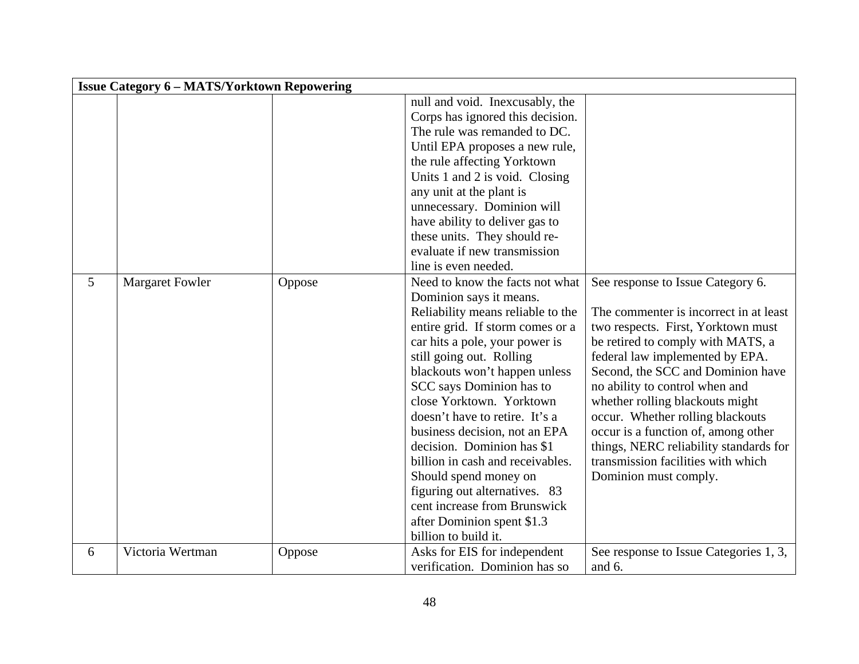|   | <b>Issue Category 6 - MATS/Yorktown Repowering</b> |        |                                                                                                                                                                                                                                                                                                                                                                                                                                                                                                                                                                                                                                                                                                                                                                                                                                                        |                                                                                                                                                                                                                                                                                                                                                                                                                                                                                         |  |
|---|----------------------------------------------------|--------|--------------------------------------------------------------------------------------------------------------------------------------------------------------------------------------------------------------------------------------------------------------------------------------------------------------------------------------------------------------------------------------------------------------------------------------------------------------------------------------------------------------------------------------------------------------------------------------------------------------------------------------------------------------------------------------------------------------------------------------------------------------------------------------------------------------------------------------------------------|-----------------------------------------------------------------------------------------------------------------------------------------------------------------------------------------------------------------------------------------------------------------------------------------------------------------------------------------------------------------------------------------------------------------------------------------------------------------------------------------|--|
| 5 | <b>Margaret Fowler</b>                             | Oppose | null and void. Inexcusably, the<br>Corps has ignored this decision.<br>The rule was remanded to DC.<br>Until EPA proposes a new rule,<br>the rule affecting Yorktown<br>Units 1 and 2 is void. Closing<br>any unit at the plant is<br>unnecessary. Dominion will<br>have ability to deliver gas to<br>these units. They should re-<br>evaluate if new transmission<br>line is even needed.<br>Need to know the facts not what<br>Dominion says it means.<br>Reliability means reliable to the<br>entire grid. If storm comes or a<br>car hits a pole, your power is<br>still going out. Rolling<br>blackouts won't happen unless<br>SCC says Dominion has to<br>close Yorktown. Yorktown<br>doesn't have to retire. It's a<br>business decision, not an EPA<br>decision. Dominion has \$1<br>billion in cash and receivables.<br>Should spend money on | See response to Issue Category 6.<br>The commenter is incorrect in at least<br>two respects. First, Yorktown must<br>be retired to comply with MATS, a<br>federal law implemented by EPA.<br>Second, the SCC and Dominion have<br>no ability to control when and<br>whether rolling blackouts might<br>occur. Whether rolling blackouts<br>occur is a function of, among other<br>things, NERC reliability standards for<br>transmission facilities with which<br>Dominion must comply. |  |
|   |                                                    |        | figuring out alternatives. 83<br>cent increase from Brunswick<br>after Dominion spent \$1.3<br>billion to build it.                                                                                                                                                                                                                                                                                                                                                                                                                                                                                                                                                                                                                                                                                                                                    |                                                                                                                                                                                                                                                                                                                                                                                                                                                                                         |  |
| 6 | Victoria Wertman                                   | Oppose | Asks for EIS for independent<br>verification. Dominion has so                                                                                                                                                                                                                                                                                                                                                                                                                                                                                                                                                                                                                                                                                                                                                                                          | See response to Issue Categories 1, 3,<br>and 6.                                                                                                                                                                                                                                                                                                                                                                                                                                        |  |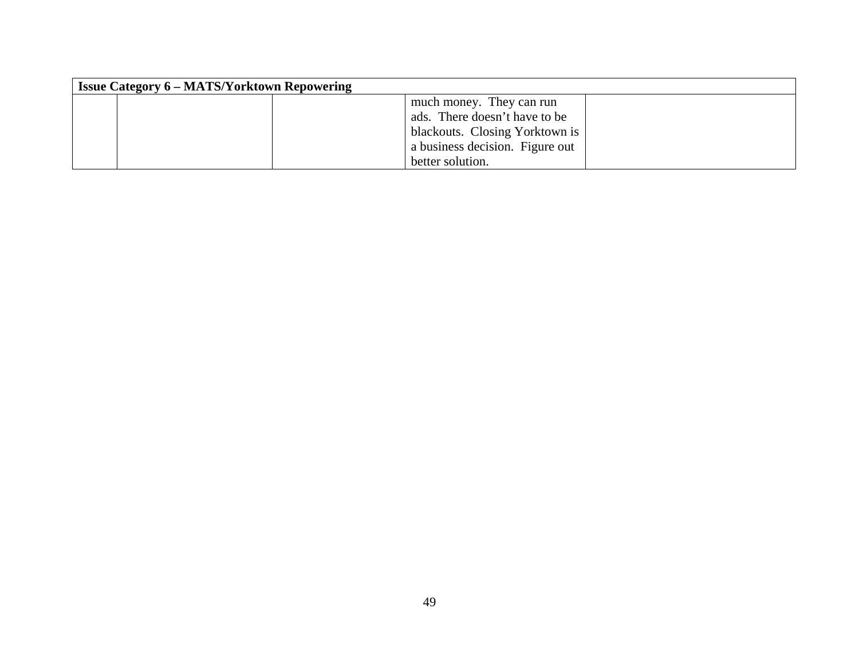| <b>Issue Category 6 - MATS/Yorktown Repowering</b> |                                 |  |  |  |
|----------------------------------------------------|---------------------------------|--|--|--|
|                                                    | much money. They can run        |  |  |  |
|                                                    | ads. There doesn't have to be   |  |  |  |
|                                                    | blackouts. Closing Yorktown is  |  |  |  |
|                                                    | a business decision. Figure out |  |  |  |
|                                                    | better solution.                |  |  |  |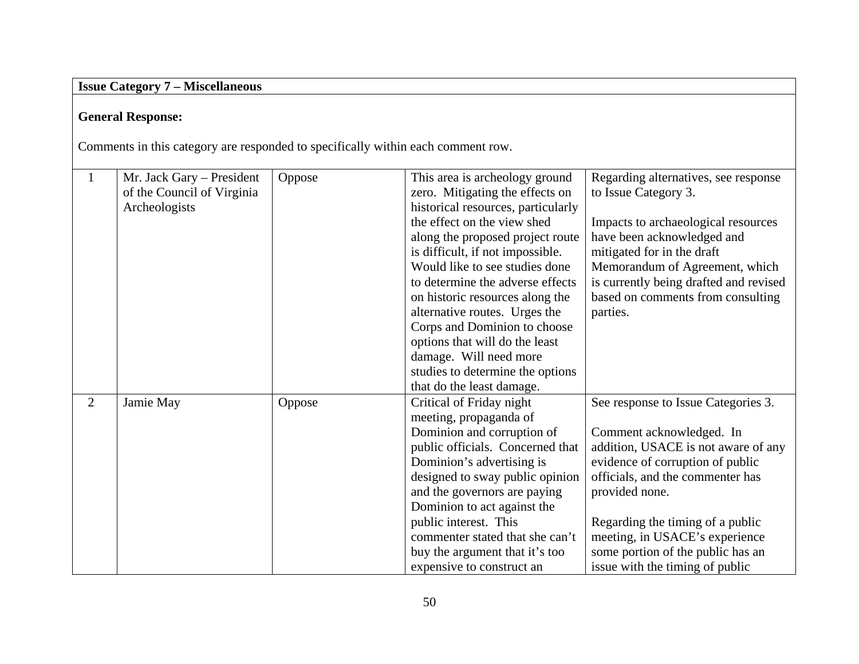# **Issue Category 7 – Miscellaneous**

# **General Response:**

Comments in this category are responded to specifically within each comment row.

|                | Mr. Jack Gary - President  | Oppose | This area is archeology ground     | Regarding alternatives, see response   |
|----------------|----------------------------|--------|------------------------------------|----------------------------------------|
|                | of the Council of Virginia |        | zero. Mitigating the effects on    | to Issue Category 3.                   |
|                | Archeologists              |        | historical resources, particularly |                                        |
|                |                            |        | the effect on the view shed        | Impacts to archaeological resources    |
|                |                            |        | along the proposed project route   | have been acknowledged and             |
|                |                            |        | is difficult, if not impossible.   | mitigated for in the draft             |
|                |                            |        | Would like to see studies done     | Memorandum of Agreement, which         |
|                |                            |        | to determine the adverse effects   | is currently being drafted and revised |
|                |                            |        | on historic resources along the    | based on comments from consulting      |
|                |                            |        | alternative routes. Urges the      | parties.                               |
|                |                            |        | Corps and Dominion to choose       |                                        |
|                |                            |        | options that will do the least     |                                        |
|                |                            |        | damage. Will need more             |                                        |
|                |                            |        | studies to determine the options   |                                        |
|                |                            |        | that do the least damage.          |                                        |
| $\overline{2}$ | Jamie May                  | Oppose | Critical of Friday night           | See response to Issue Categories 3.    |
|                |                            |        | meeting, propaganda of             |                                        |
|                |                            |        | Dominion and corruption of         | Comment acknowledged. In               |
|                |                            |        | public officials. Concerned that   | addition, USACE is not aware of any    |
|                |                            |        | Dominion's advertising is          | evidence of corruption of public       |
|                |                            |        | designed to sway public opinion    | officials, and the commenter has       |
|                |                            |        | and the governors are paying       | provided none.                         |
|                |                            |        | Dominion to act against the        |                                        |
|                |                            |        | public interest. This              | Regarding the timing of a public       |
|                |                            |        | commenter stated that she can't    | meeting, in USACE's experience         |
|                |                            |        | buy the argument that it's too     | some portion of the public has an      |
|                |                            |        | expensive to construct an          | issue with the timing of public        |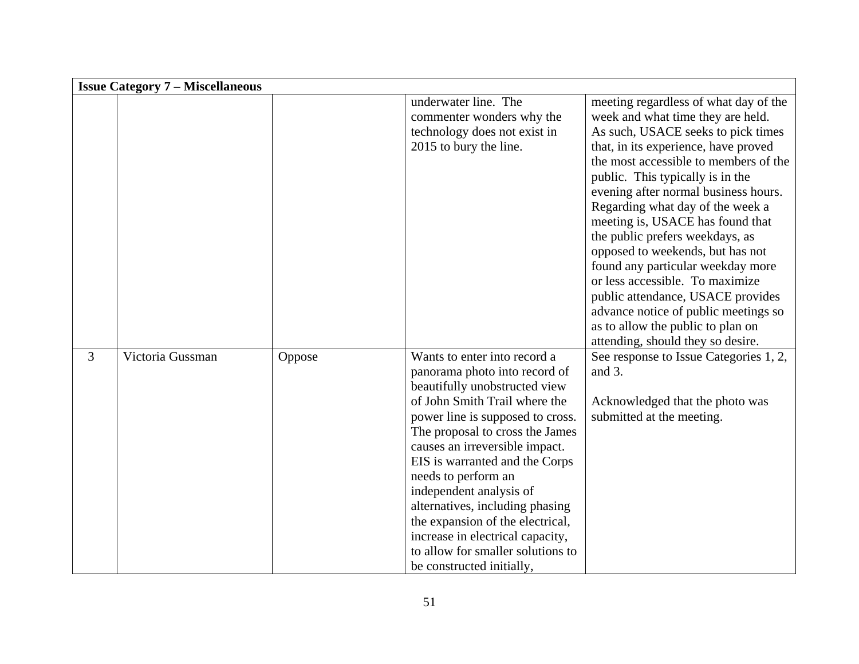|   | <b>Issue Category 7 – Miscellaneous</b> |        |                                                                                                                                                                                                                                                                                                                                                                                                                                                                                                           |                                                                                                                                                                                                                                                                                                                                                                                                                                                                                                                                                                                                                                                             |  |  |
|---|-----------------------------------------|--------|-----------------------------------------------------------------------------------------------------------------------------------------------------------------------------------------------------------------------------------------------------------------------------------------------------------------------------------------------------------------------------------------------------------------------------------------------------------------------------------------------------------|-------------------------------------------------------------------------------------------------------------------------------------------------------------------------------------------------------------------------------------------------------------------------------------------------------------------------------------------------------------------------------------------------------------------------------------------------------------------------------------------------------------------------------------------------------------------------------------------------------------------------------------------------------------|--|--|
|   |                                         |        | underwater line. The<br>commenter wonders why the<br>technology does not exist in<br>2015 to bury the line.                                                                                                                                                                                                                                                                                                                                                                                               | meeting regardless of what day of the<br>week and what time they are held.<br>As such, USACE seeks to pick times<br>that, in its experience, have proved<br>the most accessible to members of the<br>public. This typically is in the<br>evening after normal business hours.<br>Regarding what day of the week a<br>meeting is, USACE has found that<br>the public prefers weekdays, as<br>opposed to weekends, but has not<br>found any particular weekday more<br>or less accessible. To maximize<br>public attendance, USACE provides<br>advance notice of public meetings so<br>as to allow the public to plan on<br>attending, should they so desire. |  |  |
| 3 | Victoria Gussman                        | Oppose | Wants to enter into record a<br>panorama photo into record of<br>beautifully unobstructed view<br>of John Smith Trail where the<br>power line is supposed to cross.<br>The proposal to cross the James<br>causes an irreversible impact.<br>EIS is warranted and the Corps<br>needs to perform an<br>independent analysis of<br>alternatives, including phasing<br>the expansion of the electrical,<br>increase in electrical capacity,<br>to allow for smaller solutions to<br>be constructed initially, | See response to Issue Categories 1, 2,<br>and 3.<br>Acknowledged that the photo was<br>submitted at the meeting.                                                                                                                                                                                                                                                                                                                                                                                                                                                                                                                                            |  |  |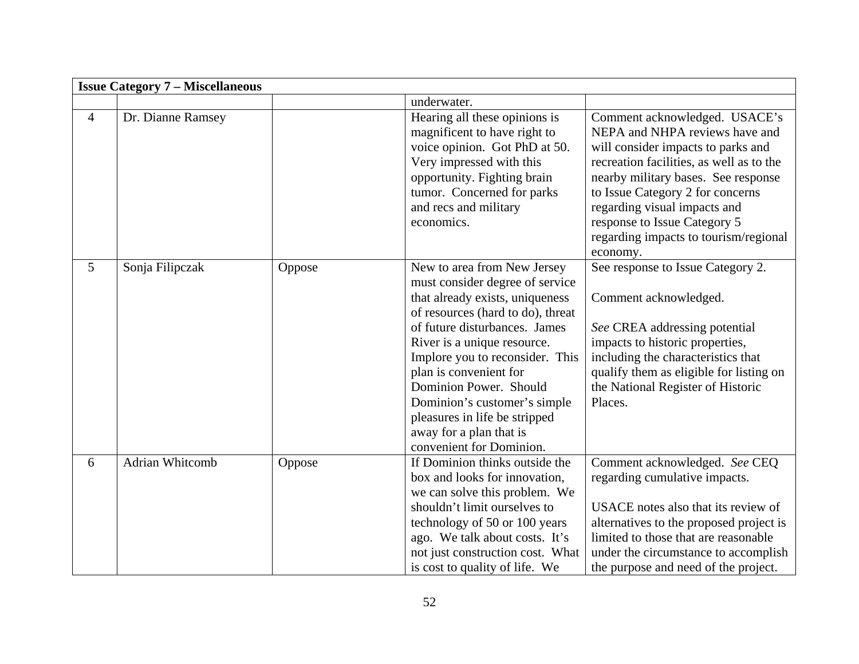|                | <b>Issue Category 7 – Miscellaneous</b> |        |                                                                                                                                                                                                                                                                                                                                                                                                                       |                                                                                                                                                                                                                                                                                                                                                   |
|----------------|-----------------------------------------|--------|-----------------------------------------------------------------------------------------------------------------------------------------------------------------------------------------------------------------------------------------------------------------------------------------------------------------------------------------------------------------------------------------------------------------------|---------------------------------------------------------------------------------------------------------------------------------------------------------------------------------------------------------------------------------------------------------------------------------------------------------------------------------------------------|
|                |                                         |        | underwater.                                                                                                                                                                                                                                                                                                                                                                                                           |                                                                                                                                                                                                                                                                                                                                                   |
| $\overline{4}$ | Dr. Dianne Ramsey                       |        | Hearing all these opinions is<br>magnificent to have right to<br>voice opinion. Got PhD at 50.<br>Very impressed with this<br>opportunity. Fighting brain<br>tumor. Concerned for parks<br>and recs and military<br>economics.                                                                                                                                                                                        | Comment acknowledged. USACE's<br>NEPA and NHPA reviews have and<br>will consider impacts to parks and<br>recreation facilities, as well as to the<br>nearby military bases. See response<br>to Issue Category 2 for concerns<br>regarding visual impacts and<br>response to Issue Category 5<br>regarding impacts to tourism/regional<br>economy. |
| $\mathfrak{S}$ | Sonja Filipczak                         | Oppose | New to area from New Jersey<br>must consider degree of service<br>that already exists, uniqueness<br>of resources (hard to do), threat<br>of future disturbances. James<br>River is a unique resource.<br>Implore you to reconsider. This<br>plan is convenient for<br>Dominion Power. Should<br>Dominion's customer's simple<br>pleasures in life be stripped<br>away for a plan that is<br>convenient for Dominion. | See response to Issue Category 2.<br>Comment acknowledged.<br>See CREA addressing potential<br>impacts to historic properties,<br>including the characteristics that<br>qualify them as eligible for listing on<br>the National Register of Historic<br>Places.                                                                                   |
| 6              | Adrian Whitcomb                         | Oppose | If Dominion thinks outside the<br>box and looks for innovation,<br>we can solve this problem. We<br>shouldn't limit ourselves to<br>technology of 50 or 100 years<br>ago. We talk about costs. It's<br>not just construction cost. What<br>is cost to quality of life. We                                                                                                                                             | Comment acknowledged. See CEQ<br>regarding cumulative impacts.<br>USACE notes also that its review of<br>alternatives to the proposed project is<br>limited to those that are reasonable<br>under the circumstance to accomplish<br>the purpose and need of the project.                                                                          |